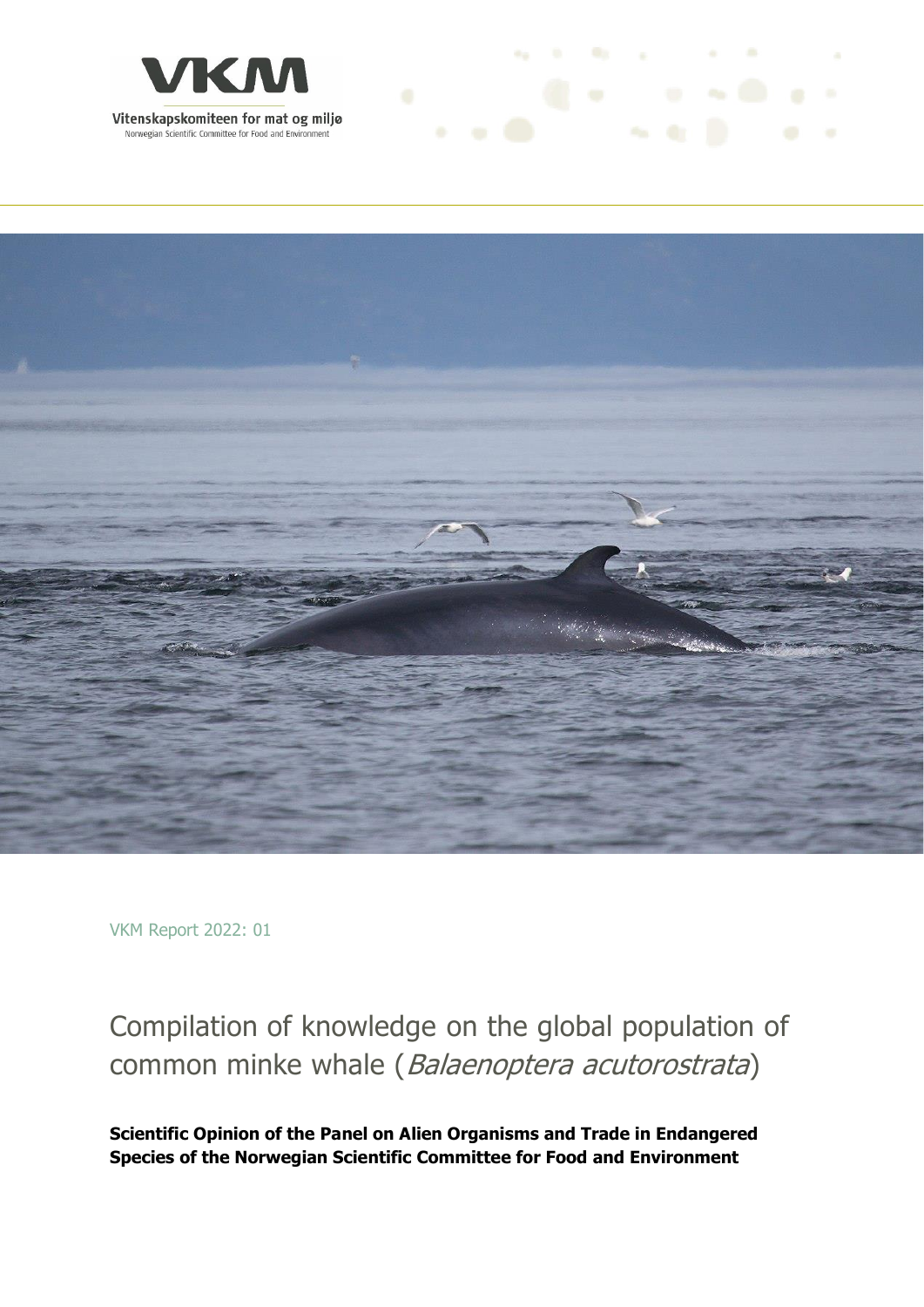



the first the control of the

VKM Report 2022: 01

## Compilation of knowledge on the global population of common minke whale (Balaenoptera acutorostrata)

**Scientific Opinion of the Panel on Alien Organisms and Trade in Endangered Species of the Norwegian Scientific Committee for Food and Environment**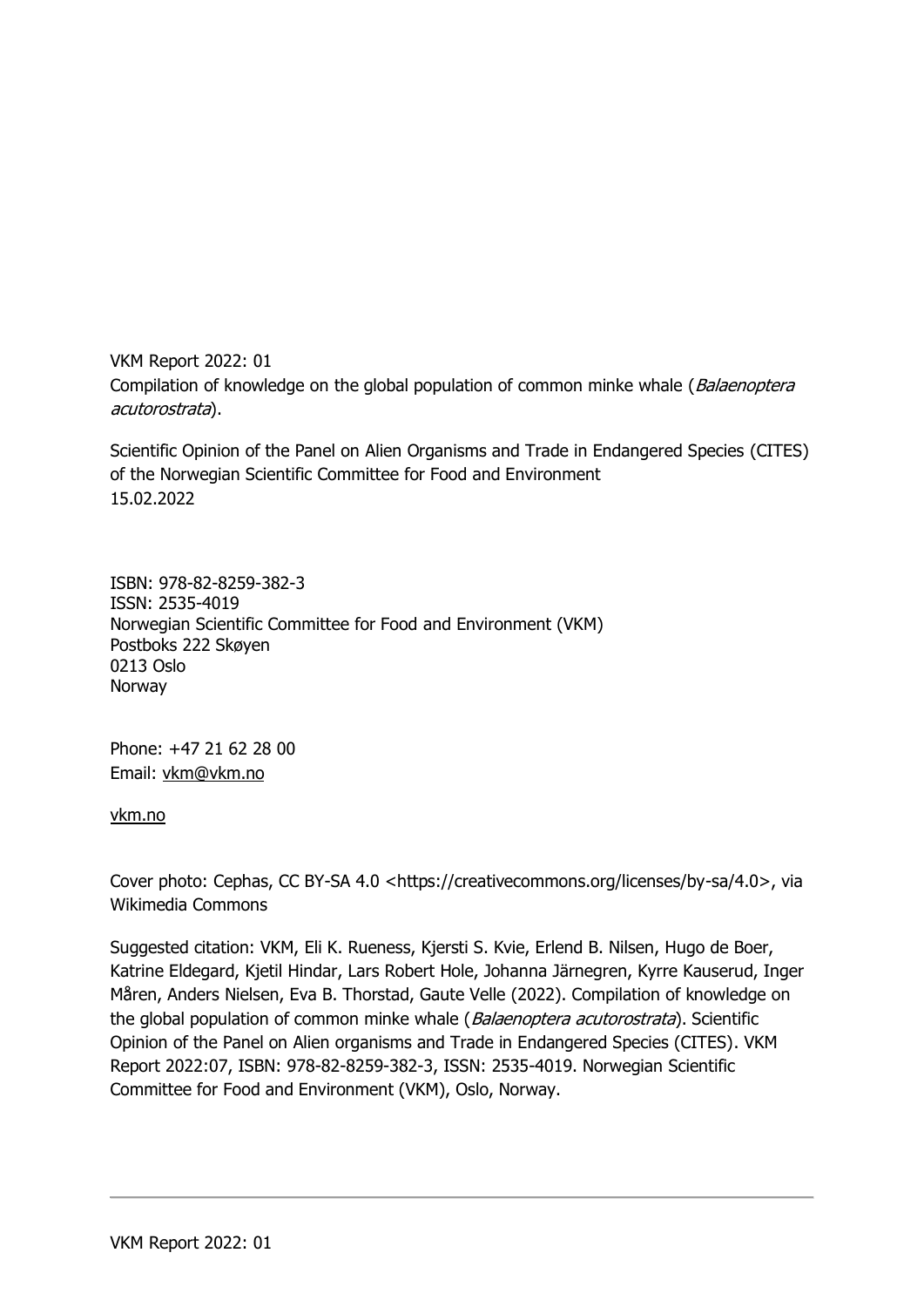VKM Report 2022: 01 Compilation of knowledge on the global population of common minke whale (Balaenoptera acutorostrata).

Scientific Opinion of the Panel on Alien Organisms and Trade in Endangered Species (CITES) of the Norwegian Scientific Committee for Food and Environment 15.02.2022

ISBN: 978-82-8259-382-3 ISSN: 2535-4019 Norwegian Scientific Committee for Food and Environment (VKM) Postboks 222 Skøyen 0213 Oslo Norway

Phone: +47 21 62 28 00 Email: [vkm@vkm.no](mailto:vkm@vkm.no)

[vkm.no](https://vkm.no/)

Cover photo: Cephas, CC BY-SA 4.0 <https://creativecommons.org/licenses/by-sa/4.0>, via Wikimedia Commons

Suggested citation: VKM, Eli K. Rueness, Kjersti S. Kvie, Erlend B. Nilsen, Hugo de Boer, Katrine Eldegard, Kjetil Hindar, Lars Robert Hole, Johanna Järnegren, Kyrre Kauserud, Inger Måren, Anders Nielsen, Eva B. Thorstad, Gaute Velle (2022). Compilation of knowledge on the global population of common minke whale (Balaenoptera acutorostrata). Scientific Opinion of the Panel on Alien organisms and Trade in Endangered Species (CITES). VKM Report 2022:07, ISBN: 978-82-8259-382-3, ISSN: 2535-4019. Norwegian Scientific Committee for Food and Environment (VKM), Oslo, Norway.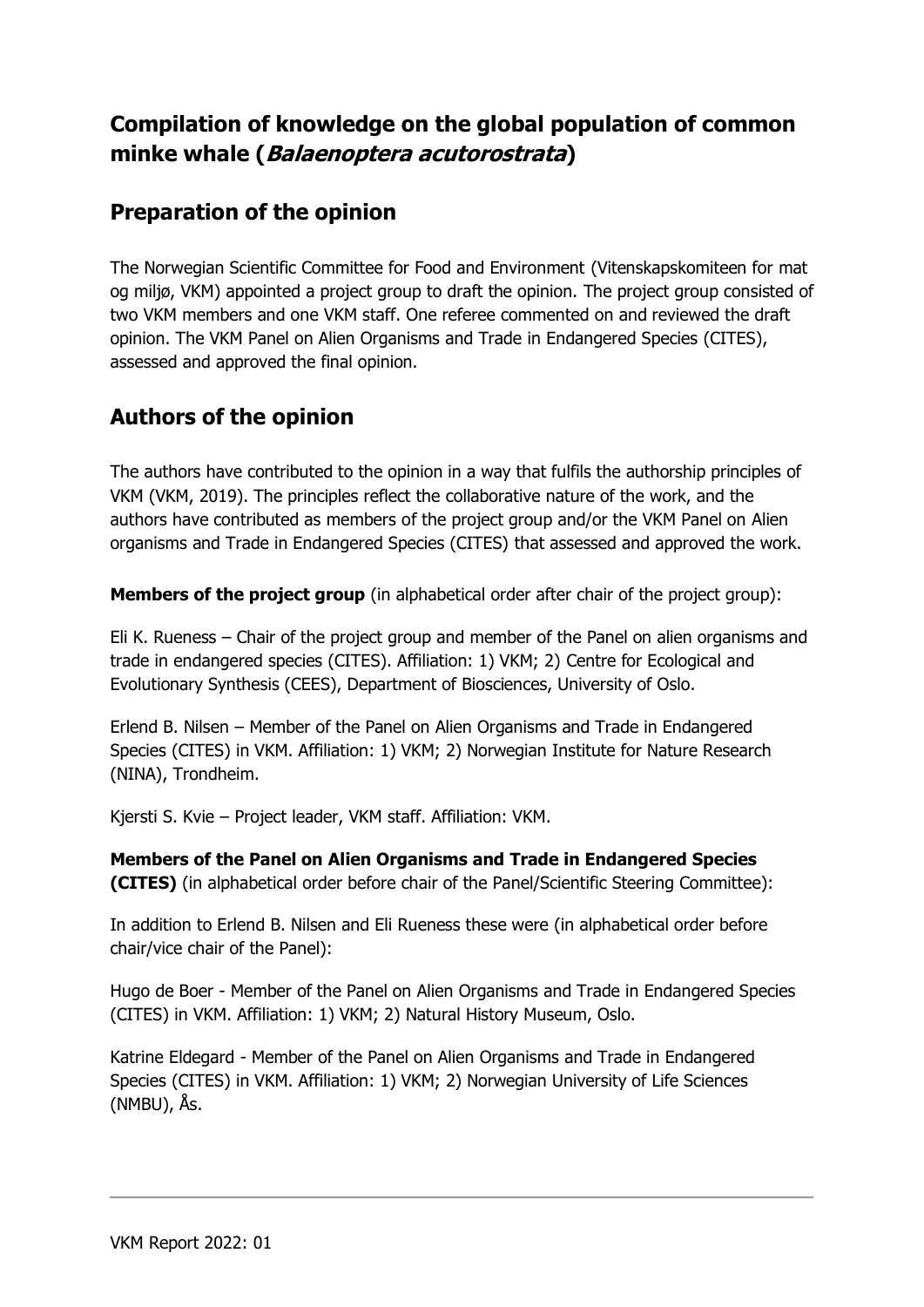## **Compilation of knowledge on the global population of common minke whale (Balaenoptera acutorostrata)**

### **Preparation of the opinion**

The Norwegian Scientific Committee for Food and Environment (Vitenskapskomiteen for mat og miljø, VKM) appointed a project group to draft the opinion. The project group consisted of two VKM members and one VKM staff. One referee commented on and reviewed the draft opinion. The VKM Panel on Alien Organisms and Trade in Endangered Species (CITES), assessed and approved the final opinion.

## **Authors of the opinion**

The authors have contributed to the opinion in a way that fulfils the authorship principles of VKM (VKM, 2019). The principles reflect the collaborative nature of the work, and the authors have contributed as members of the project group and/or the VKM Panel on Alien organisms and Trade in Endangered Species (CITES) that assessed and approved the work.

**Members of the project group** (in alphabetical order after chair of the project group):

Eli K. Rueness – Chair of the project group and member of the Panel on alien organisms and trade in endangered species (CITES). Affiliation: 1) VKM; 2) Centre for Ecological and Evolutionary Synthesis (CEES), Department of Biosciences, University of Oslo.

Erlend B. Nilsen – Member of the Panel on Alien Organisms and Trade in Endangered Species (CITES) in VKM. Affiliation: 1) VKM; 2) Norwegian Institute for Nature Research (NINA), Trondheim.

Kjersti S. Kvie – Project leader, VKM staff. Affiliation: VKM.

**Members of the Panel on Alien Organisms and Trade in Endangered Species (CITES)** (in alphabetical order before chair of the Panel/Scientific Steering Committee):

In addition to Erlend B. Nilsen and Eli Rueness these were (in alphabetical order before chair/vice chair of the Panel):

Hugo de Boer - Member of the Panel on Alien Organisms and Trade in Endangered Species (CITES) in VKM. Affiliation: 1) VKM; 2) Natural History Museum, Oslo.

Katrine Eldegard - Member of the Panel on Alien Organisms and Trade in Endangered Species (CITES) in VKM. Affiliation: 1) VKM; 2) Norwegian University of Life Sciences (NMBU), Ås.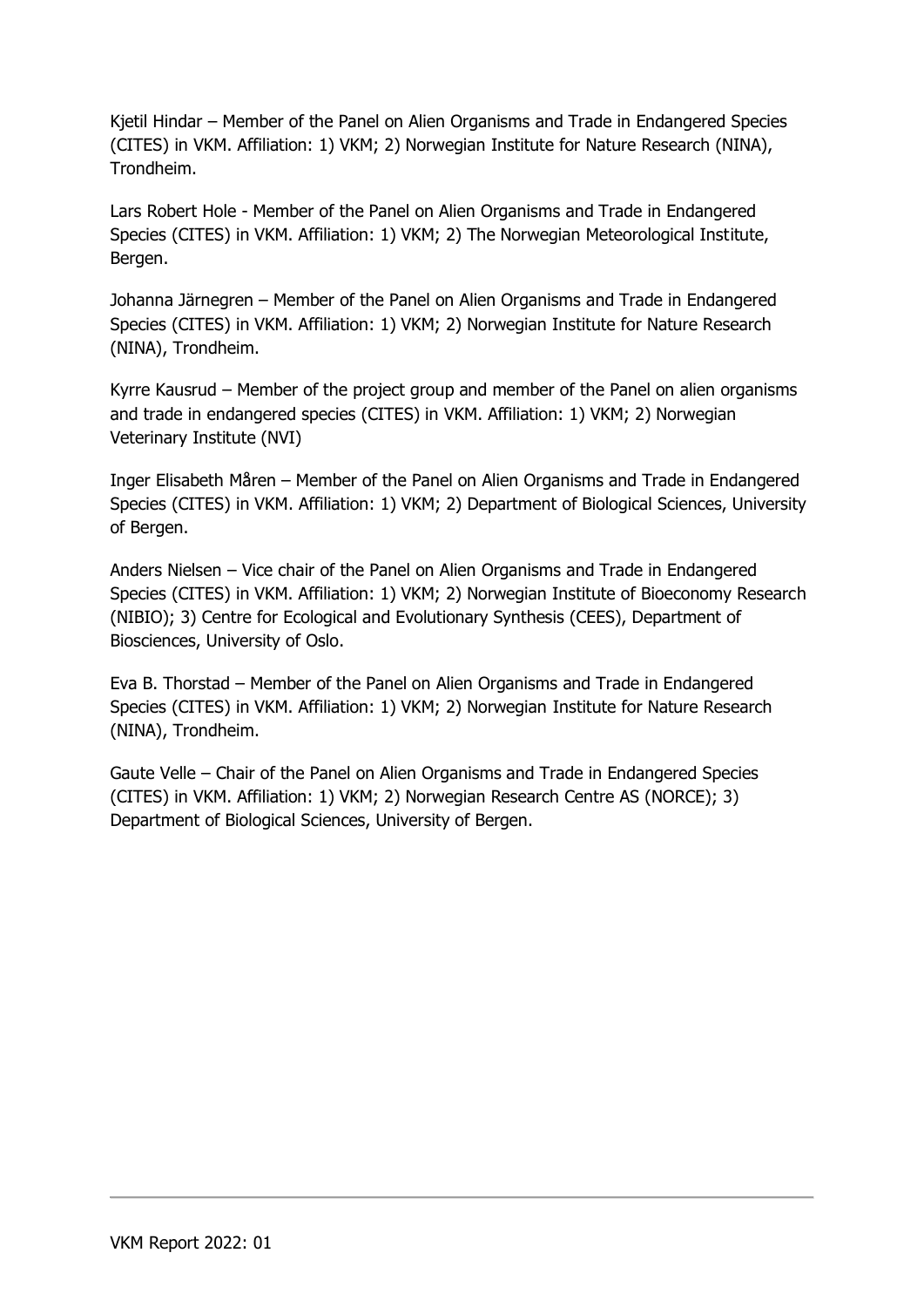Kjetil Hindar – Member of the Panel on Alien Organisms and Trade in Endangered Species (CITES) in VKM. Affiliation: 1) VKM; 2) Norwegian Institute for Nature Research (NINA), Trondheim.

Lars Robert Hole - Member of the Panel on Alien Organisms and Trade in Endangered Species (CITES) in VKM. Affiliation: 1) VKM; 2) The Norwegian Meteorological Institute, Bergen.

Johanna Järnegren – Member of the Panel on Alien Organisms and Trade in Endangered Species (CITES) in VKM. Affiliation: 1) VKM; 2) Norwegian Institute for Nature Research (NINA), Trondheim.

Kyrre Kausrud – Member of the project group and member of the Panel on alien organisms and trade in endangered species (CITES) in VKM. Affiliation: 1) VKM; 2) Norwegian Veterinary Institute (NVI)

Inger Elisabeth Måren – Member of the Panel on Alien Organisms and Trade in Endangered Species (CITES) in VKM. Affiliation: 1) VKM; 2) Department of Biological Sciences, University of Bergen.

Anders Nielsen – Vice chair of the Panel on Alien Organisms and Trade in Endangered Species (CITES) in VKM. Affiliation: 1) VKM; 2) Norwegian Institute of Bioeconomy Research (NIBIO); 3) Centre for Ecological and Evolutionary Synthesis (CEES), Department of Biosciences, University of Oslo.

Eva B. Thorstad – Member of the Panel on Alien Organisms and Trade in Endangered Species (CITES) in VKM. Affiliation: 1) VKM; 2) Norwegian Institute for Nature Research (NINA), Trondheim.

Gaute Velle – Chair of the Panel on Alien Organisms and Trade in Endangered Species (CITES) in VKM. Affiliation: 1) VKM; 2) Norwegian Research Centre AS (NORCE); 3) Department of Biological Sciences, University of Bergen.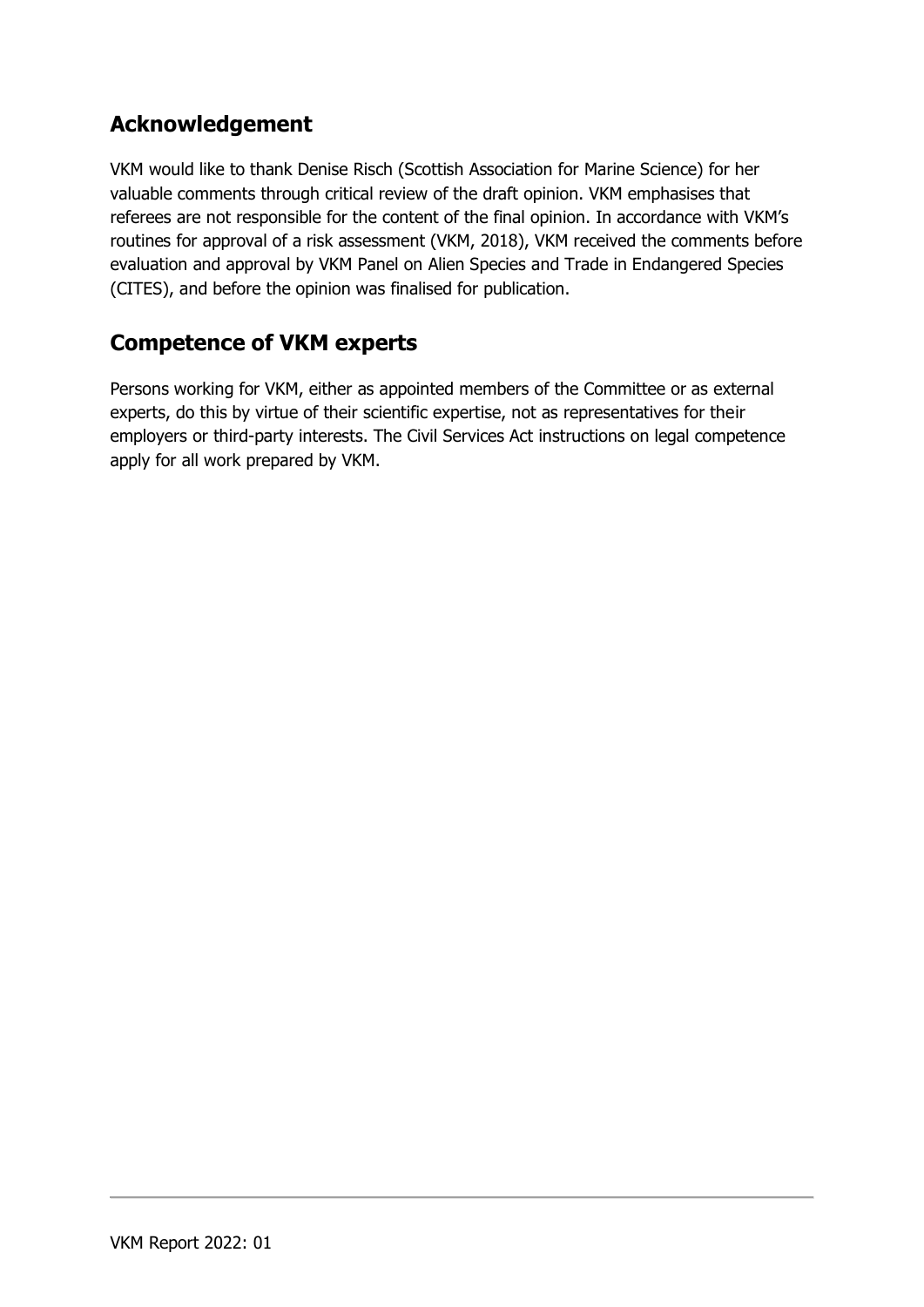### **Acknowledgement**

VKM would like to thank Denise Risch (Scottish Association for Marine Science) for her valuable comments through critical review of the draft opinion. VKM emphasises that referees are not responsible for the content of the final opinion. In accordance with VKM's routines for approval of a risk assessment (VKM, 2018), VKM received the comments before evaluation and approval by VKM Panel on Alien Species and Trade in Endangered Species (CITES), and before the opinion was finalised for publication.

#### **Competence of VKM experts**

Persons working for VKM, either as appointed members of the Committee or as external experts, do this by virtue of their scientific expertise, not as representatives for their employers or third-party interests. The Civil Services Act instructions on legal competence apply for all work prepared by VKM.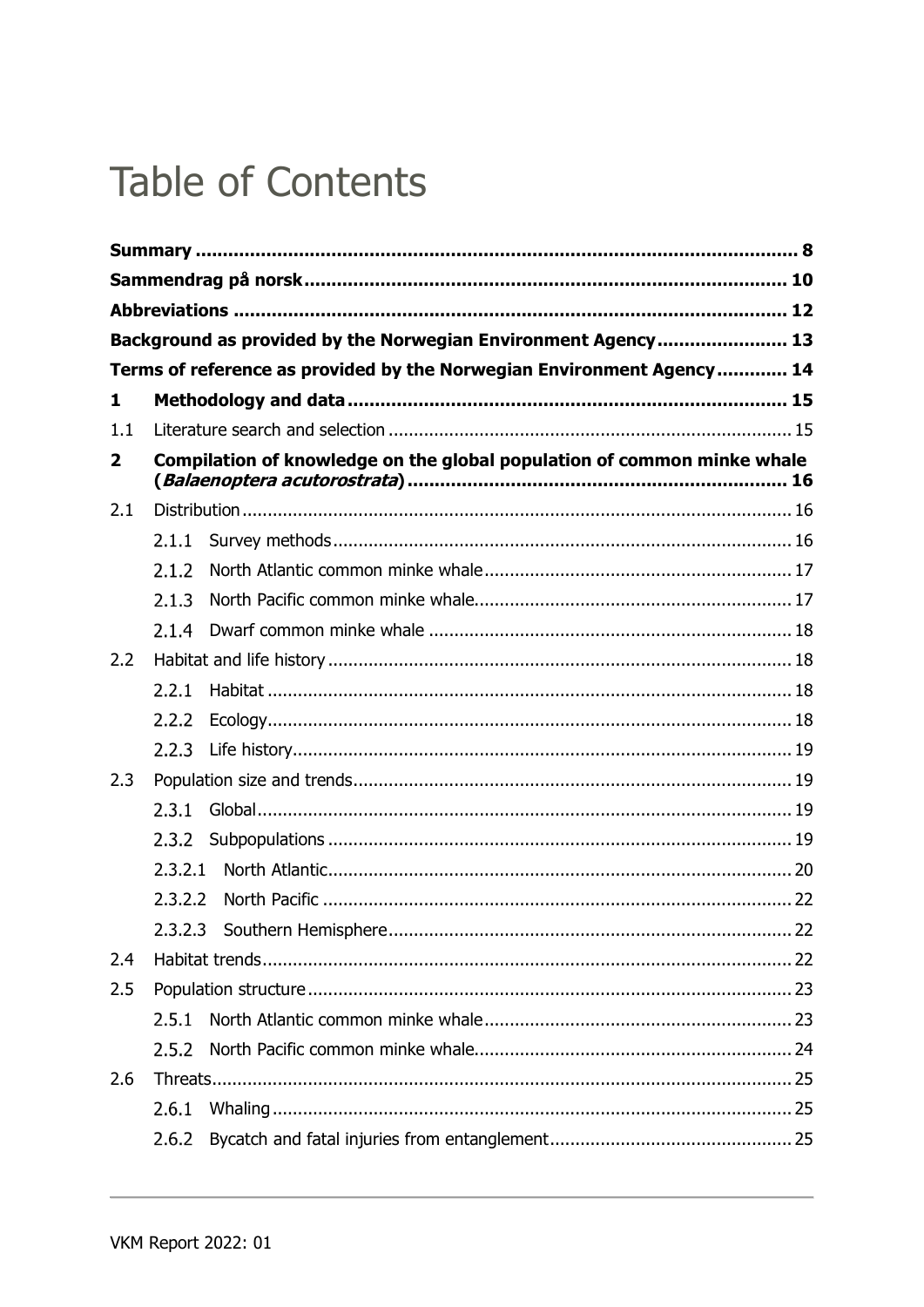## **Table of Contents**

|              |         | Background as provided by the Norwegian Environment Agency 13           |  |
|--------------|---------|-------------------------------------------------------------------------|--|
|              |         | Terms of reference as provided by the Norwegian Environment Agency 14   |  |
| 1            |         |                                                                         |  |
| 1.1          |         |                                                                         |  |
| $\mathbf{2}$ |         | Compilation of knowledge on the global population of common minke whale |  |
| 2.1          |         |                                                                         |  |
|              | 2.1.1   |                                                                         |  |
|              | 2.1.2   |                                                                         |  |
|              | 2.1.3   |                                                                         |  |
|              | 2.1.4   |                                                                         |  |
| 2.2          |         |                                                                         |  |
|              | 2.2.1   |                                                                         |  |
|              | 2.2.2   |                                                                         |  |
|              | 2.2.3   |                                                                         |  |
| 2.3          |         |                                                                         |  |
|              | 2.3.1   |                                                                         |  |
|              | 2.3.2   |                                                                         |  |
|              | 2.3.2.1 |                                                                         |  |
|              | 2.3.2.2 |                                                                         |  |
|              |         | 2.3.2.3 Southern Hemisphere<br>22                                       |  |
| 2.4          |         |                                                                         |  |
| 2.5          |         |                                                                         |  |
|              | 2.5.1   |                                                                         |  |
|              | 2.5.2   |                                                                         |  |
| 2.6          |         |                                                                         |  |
|              | 2.6.1   |                                                                         |  |
|              | 2.6.2   |                                                                         |  |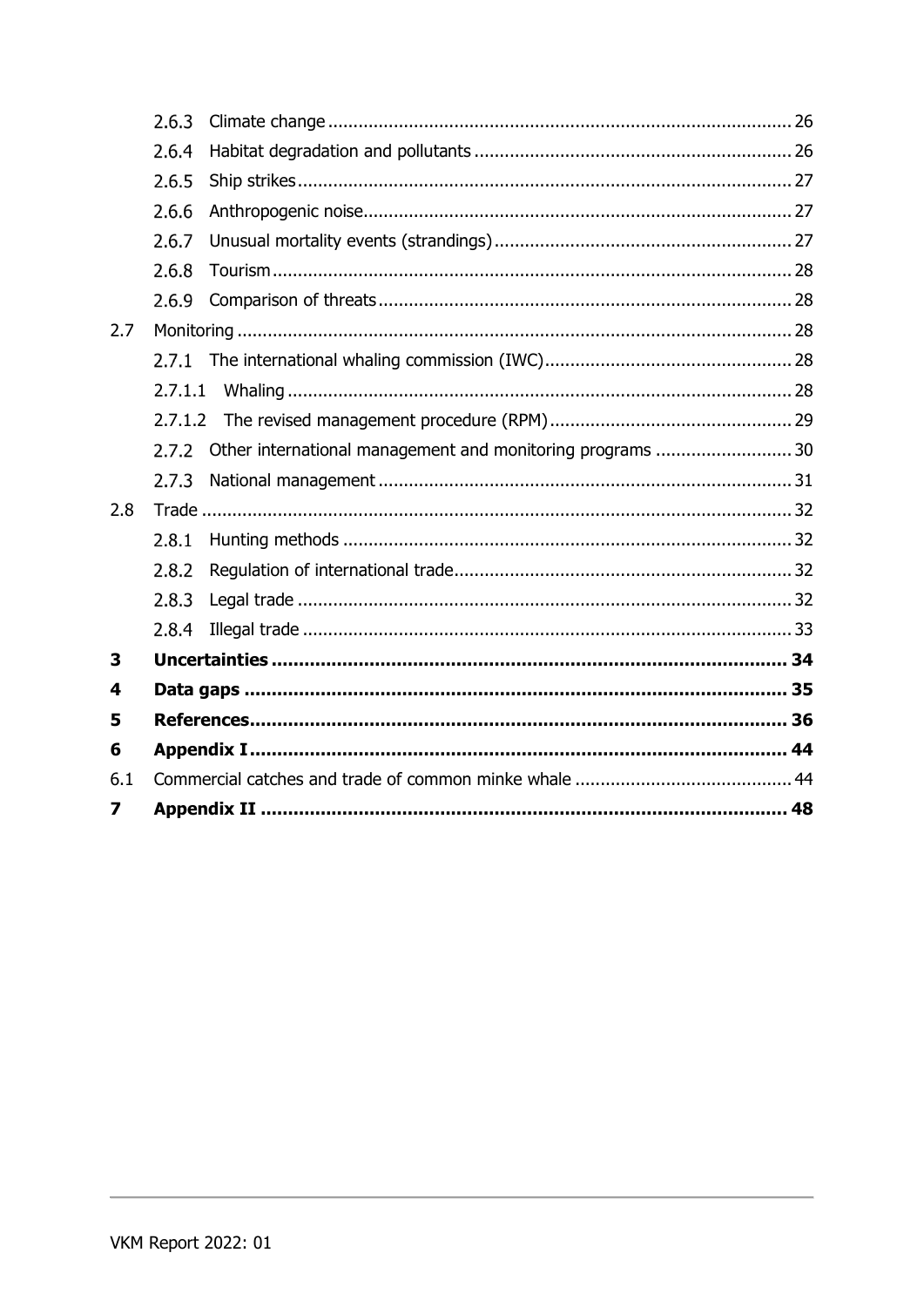|     | 2.6.3   |                                                           |  |  |  |
|-----|---------|-----------------------------------------------------------|--|--|--|
|     | 2.6.4   |                                                           |  |  |  |
|     | 2.6.5   |                                                           |  |  |  |
|     | 2.6.6   |                                                           |  |  |  |
|     | 2.6.7   |                                                           |  |  |  |
|     | 2.6.8   |                                                           |  |  |  |
|     | 2.6.9   |                                                           |  |  |  |
| 2.7 |         |                                                           |  |  |  |
|     | 2.7.1   |                                                           |  |  |  |
|     | 2.7.1.1 |                                                           |  |  |  |
|     |         |                                                           |  |  |  |
|     | 2.7.2   | Other international management and monitoring programs 30 |  |  |  |
|     | 2.7.3   |                                                           |  |  |  |
| 2.8 |         |                                                           |  |  |  |
|     | 2.8.1   |                                                           |  |  |  |
|     | 2.8.2   |                                                           |  |  |  |
|     | 2.8.3   |                                                           |  |  |  |
|     | 2.8.4   |                                                           |  |  |  |
| 3   |         |                                                           |  |  |  |
| 4   |         |                                                           |  |  |  |
| 5   |         |                                                           |  |  |  |
| 6   |         |                                                           |  |  |  |
| 6.1 |         |                                                           |  |  |  |
| 7   |         |                                                           |  |  |  |
|     |         |                                                           |  |  |  |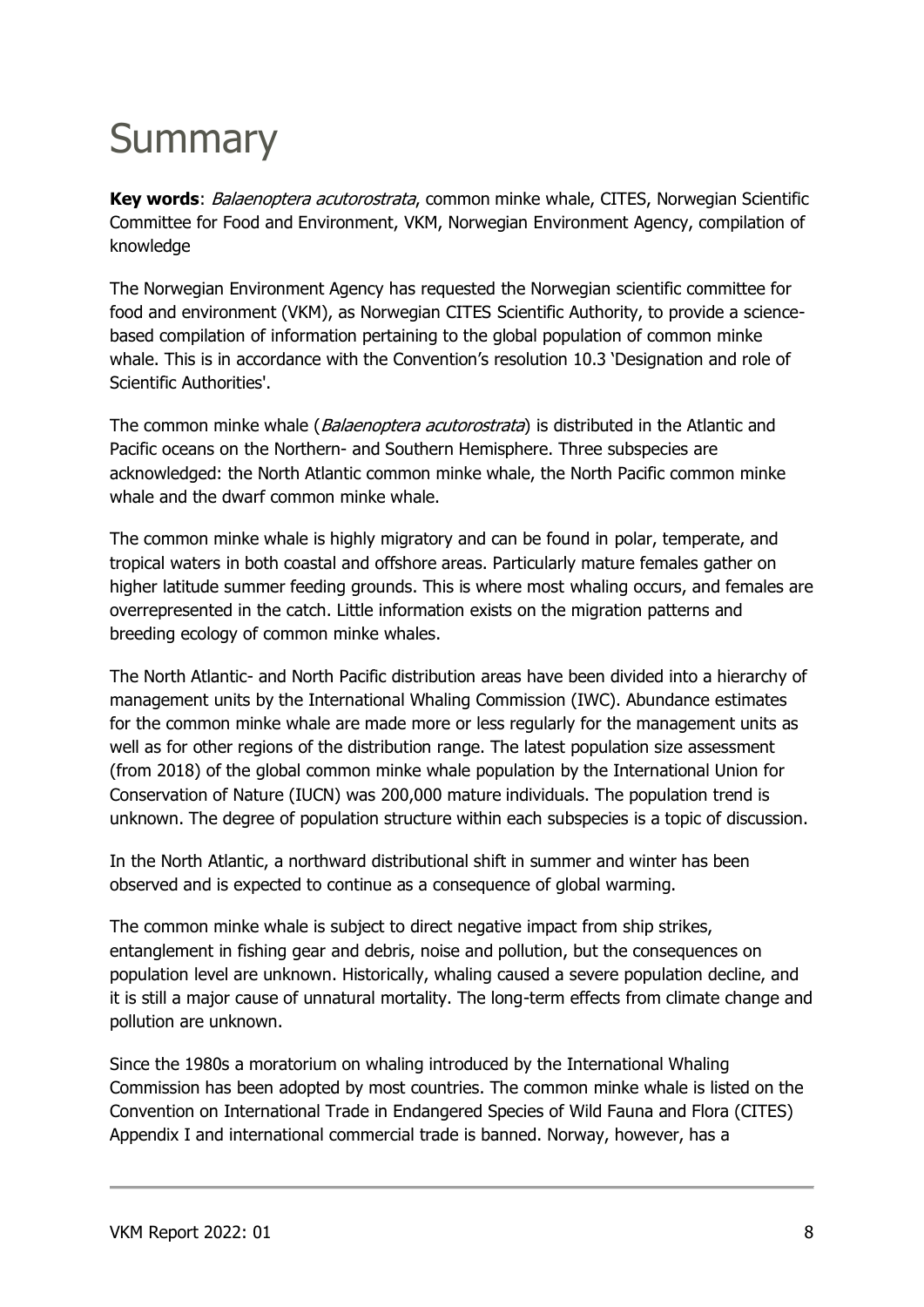## <span id="page-7-0"></span>**Summary**

**Key words**: Balaenoptera acutorostrata, common minke whale, CITES, Norwegian Scientific Committee for Food and Environment, VKM, Norwegian Environment Agency, compilation of knowledge

The Norwegian Environment Agency has requested the Norwegian scientific committee for food and environment (VKM), as Norwegian CITES Scientific Authority, to provide a sciencebased compilation of information pertaining to the global population of common minke whale. This is in accordance with the Convention's resolution 10.3 'Designation and role of Scientific Authorities'.

The common minke whale (*Balaenoptera acutorostrata*) is distributed in the Atlantic and Pacific oceans on the Northern- and Southern Hemisphere. Three subspecies are acknowledged: the North Atlantic common minke whale, the North Pacific common minke whale and the dwarf common minke whale.

The common minke whale is highly migratory and can be found in polar, temperate, and tropical waters in both coastal and offshore areas. Particularly mature females gather on higher latitude summer feeding grounds. This is where most whaling occurs, and females are overrepresented in the catch. Little information exists on the migration patterns and breeding ecology of common minke whales.

The North Atlantic- and North Pacific distribution areas have been divided into a hierarchy of management units by the International Whaling Commission (IWC). Abundance estimates for the common minke whale are made more or less regularly for the management units as well as for other regions of the distribution range. The latest population size assessment (from 2018) of the global common minke whale population by the International Union for Conservation of Nature (IUCN) was 200,000 mature individuals. The population trend is unknown. The degree of population structure within each subspecies is a topic of discussion.

In the North Atlantic, a northward distributional shift in summer and winter has been observed and is expected to continue as a consequence of global warming.

The common minke whale is subject to direct negative impact from ship strikes, entanglement in fishing gear and debris, noise and pollution, but the consequences on population level are unknown. Historically, whaling caused a severe population decline, and it is still a major cause of unnatural mortality. The long-term effects from climate change and pollution are unknown.

Since the 1980s a moratorium on whaling introduced by the International Whaling Commission has been adopted by most countries. The common minke whale is listed on the Convention on International Trade in Endangered Species of Wild Fauna and Flora (CITES) Appendix I and international commercial trade is banned. Norway, however, has a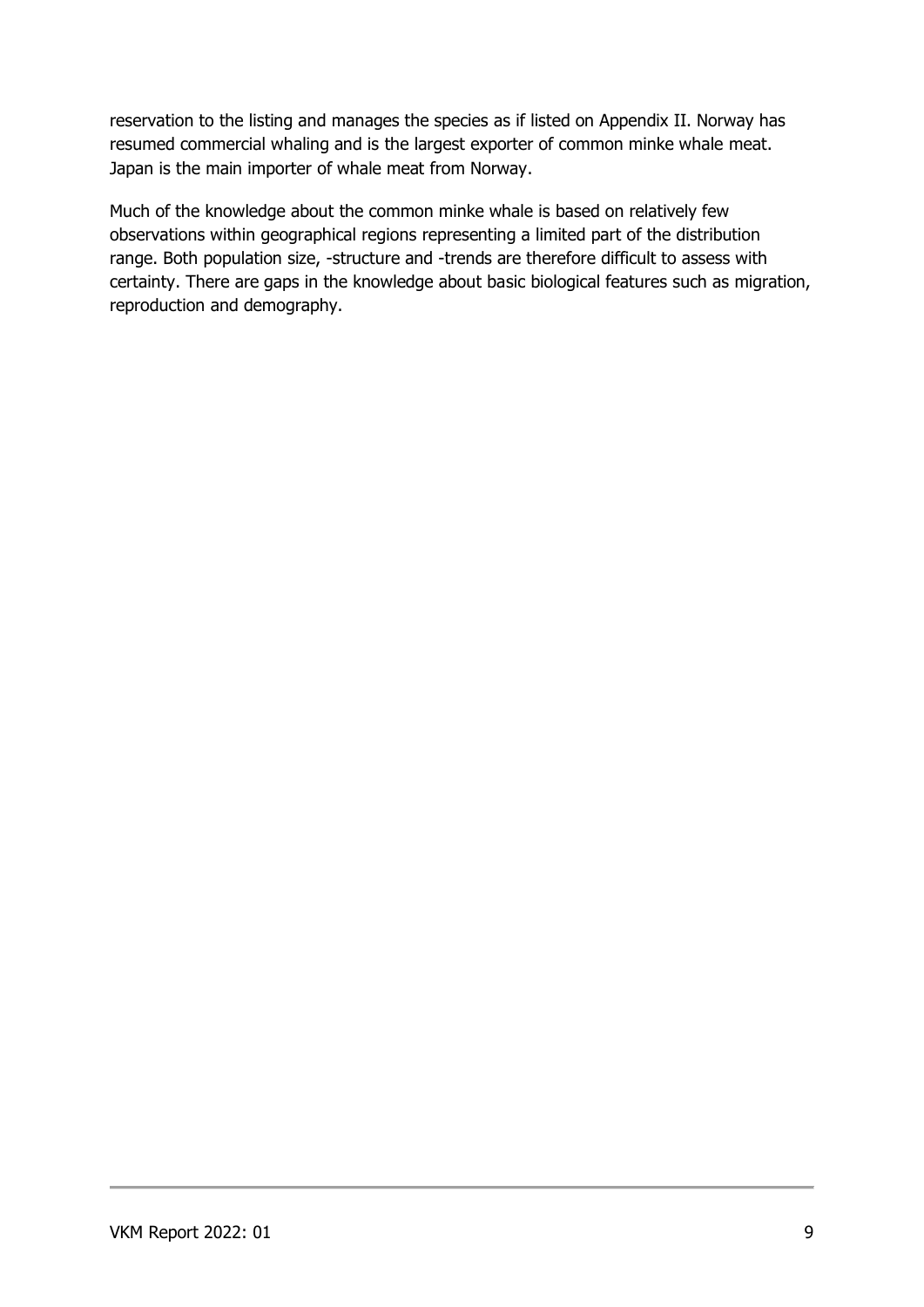reservation to the listing and manages the species as if listed on Appendix II. Norway has resumed commercial whaling and is the largest exporter of common minke whale meat. Japan is the main importer of whale meat from Norway.

Much of the knowledge about the common minke whale is based on relatively few observations within geographical regions representing a limited part of the distribution range. Both population size, -structure and -trends are therefore difficult to assess with certainty. There are gaps in the knowledge about basic biological features such as migration, reproduction and demography.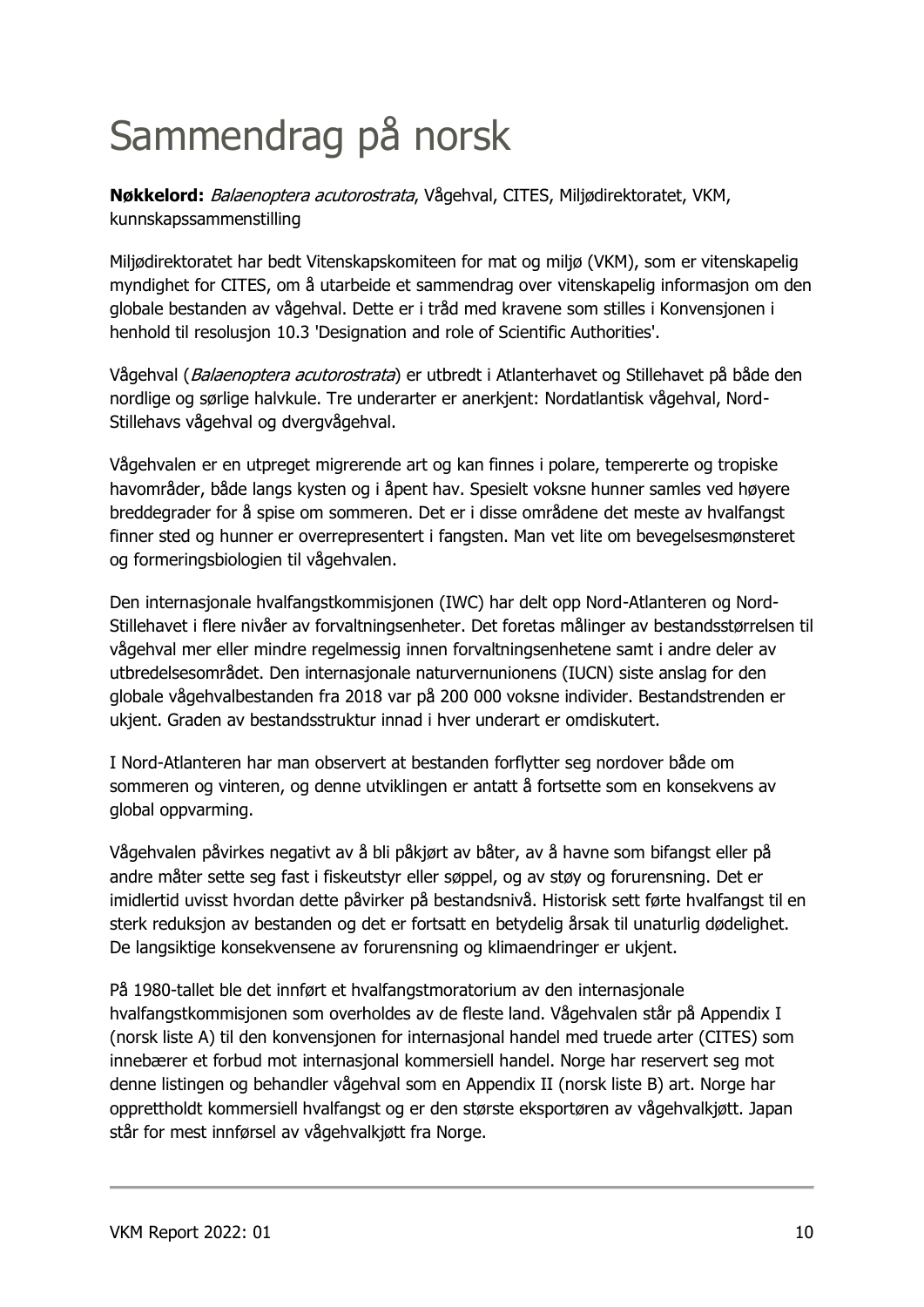# <span id="page-9-0"></span>Sammendrag på norsk

**Nøkkelord:** Balaenoptera acutorostrata, Vågehval, CITES, Miljødirektoratet, VKM, kunnskapssammenstilling

Miljødirektoratet har bedt Vitenskapskomiteen for mat og miljø (VKM), som er vitenskapelig myndighet for CITES, om å utarbeide et sammendrag over vitenskapelig informasjon om den globale bestanden av vågehval. Dette er i tråd med kravene som stilles i Konvensjonen i henhold til resolusjon 10.3 'Designation and role of Scientific Authorities'.

Vågehval (Balaenoptera acutorostrata) er utbredt i Atlanterhavet og Stillehavet på både den nordlige og sørlige halvkule. Tre underarter er anerkjent: Nordatlantisk vågehval, Nord-Stillehavs vågehval og dvergvågehval.

Vågehvalen er en utpreget migrerende art og kan finnes i polare, tempererte og tropiske havområder, både langs kysten og i åpent hav. Spesielt voksne hunner samles ved høyere breddegrader for å spise om sommeren. Det er i disse områdene det meste av hvalfangst finner sted og hunner er overrepresentert i fangsten. Man vet lite om bevegelsesmønsteret og formeringsbiologien til vågehvalen.

Den internasjonale hvalfangstkommisjonen (IWC) har delt opp Nord-Atlanteren og Nord-Stillehavet i flere nivåer av forvaltningsenheter. Det foretas målinger av bestandsstørrelsen til vågehval mer eller mindre regelmessig innen forvaltningsenhetene samt i andre deler av utbredelsesområdet. Den internasjonale naturvernunionens (IUCN) siste anslag for den globale vågehvalbestanden fra 2018 var på 200 000 voksne individer. Bestandstrenden er ukjent. Graden av bestandsstruktur innad i hver underart er omdiskutert.

I Nord-Atlanteren har man observert at bestanden forflytter seg nordover både om sommeren og vinteren, og denne utviklingen er antatt å fortsette som en konsekvens av global oppvarming.

Vågehvalen påvirkes negativt av å bli påkjørt av båter, av å havne som bifangst eller på andre måter sette seg fast i fiskeutstyr eller søppel, og av støy og forurensning. Det er imidlertid uvisst hvordan dette påvirker på bestandsnivå. Historisk sett førte hvalfangst til en sterk reduksjon av bestanden og det er fortsatt en betydelig årsak til unaturlig dødelighet. De langsiktige konsekvensene av forurensning og klimaendringer er ukjent.

På 1980-tallet ble det innført et hvalfangstmoratorium av den internasjonale hvalfangstkommisjonen som overholdes av de fleste land. Vågehvalen står på Appendix I (norsk liste A) til den konvensjonen for internasjonal handel med truede arter (CITES) som innebærer et forbud mot internasjonal kommersiell handel. Norge har reservert seg mot denne listingen og behandler vågehval som en Appendix II (norsk liste B) art. Norge har opprettholdt kommersiell hvalfangst og er den største eksportøren av vågehvalkjøtt. Japan står for mest innførsel av vågehvalkjøtt fra Norge.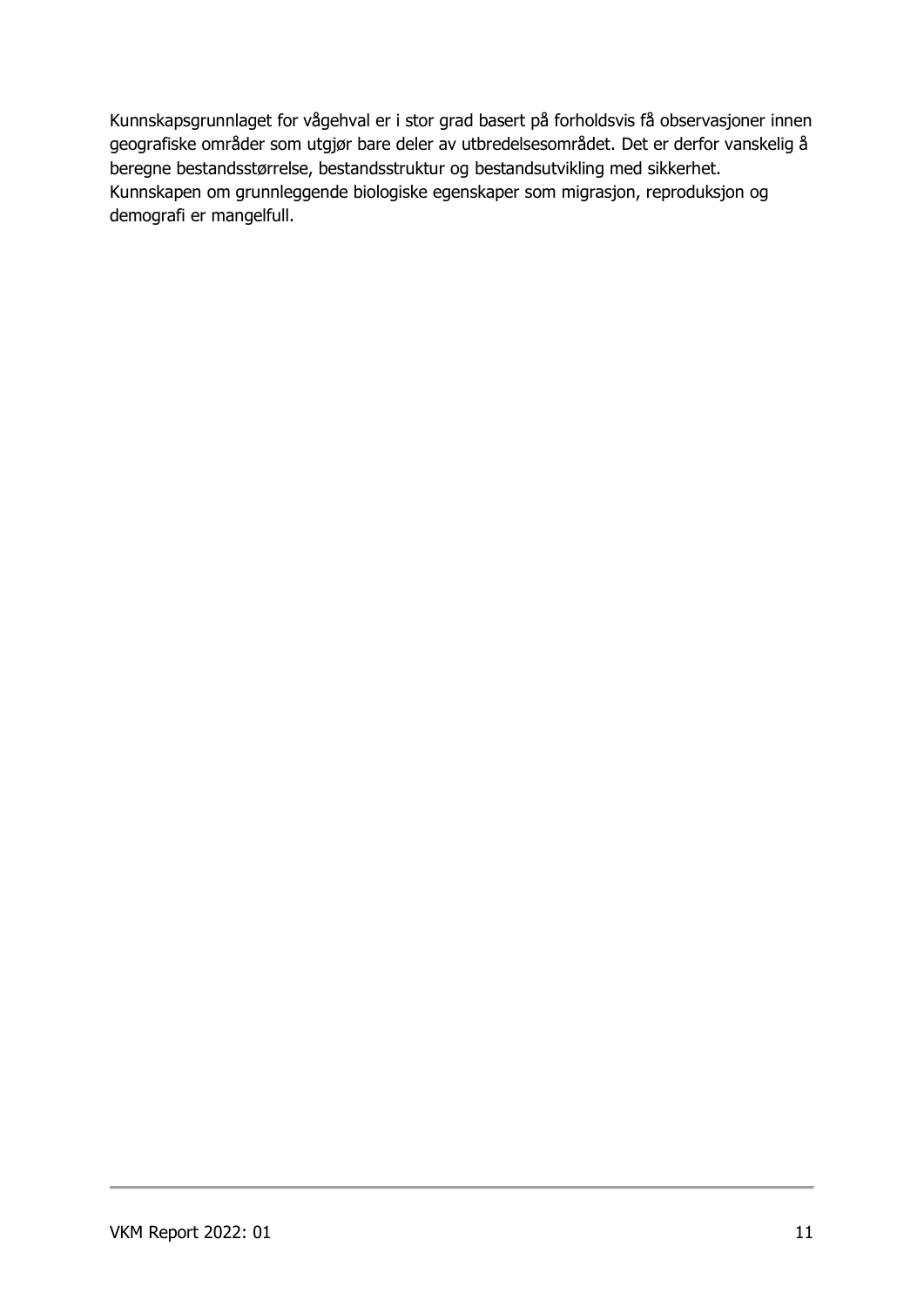Kunnskapsgrunnlaget for vågehval er i stor grad basert på forholdsvis få observasjoner innen geografiske områder som utgjør bare deler av utbredelsesområdet. Det er derfor vanskelig å beregne bestandsstørrelse, bestandsstruktur og bestandsutvikling med sikkerhet. Kunnskapen om grunnleggende biologiske egenskaper som migrasjon, reproduksjon og demografi er mangelfull.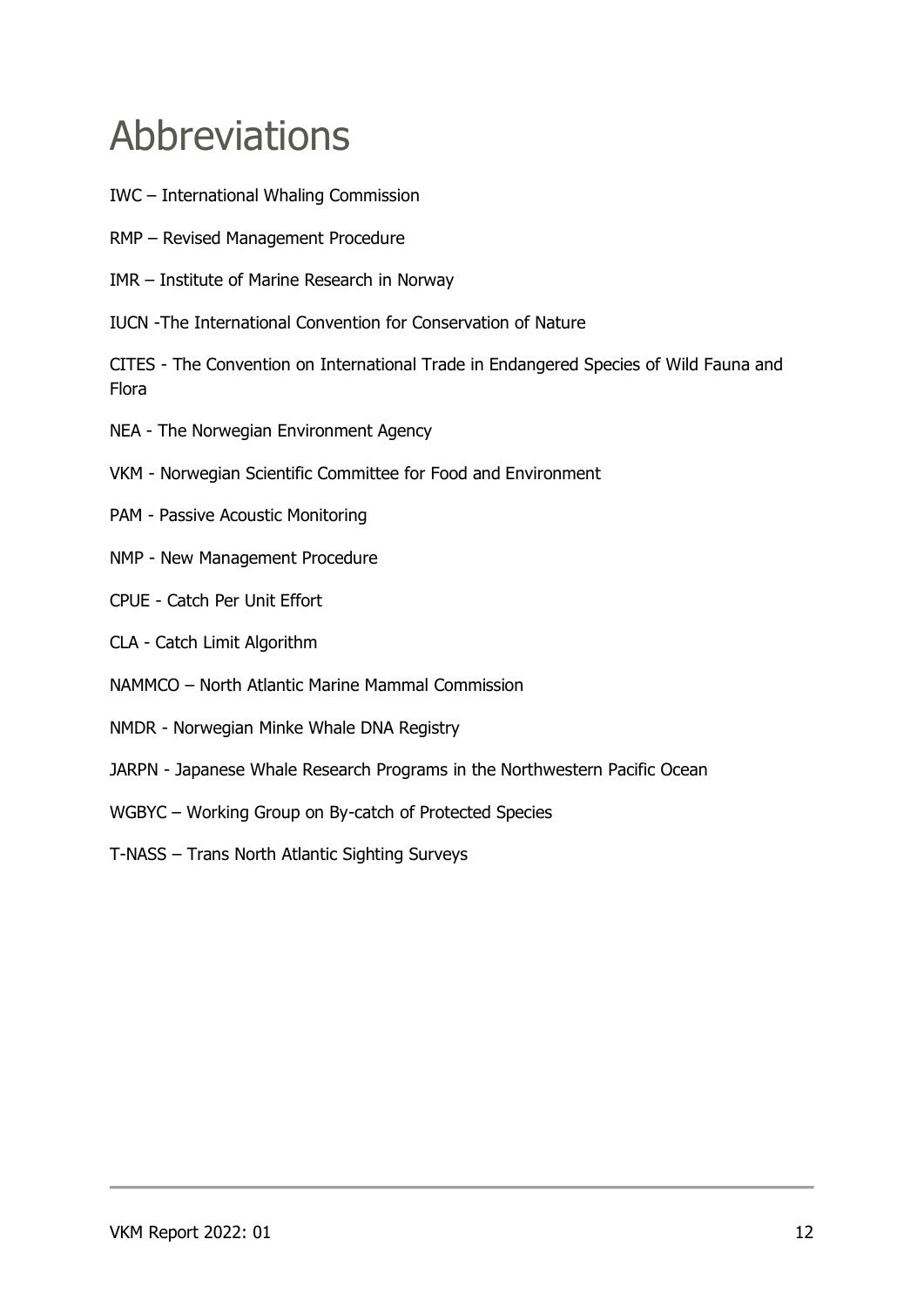## <span id="page-11-0"></span>Abbreviations

- IWC International Whaling Commission
- RMP Revised Management Procedure
- IMR Institute of Marine Research in Norway
- IUCN -The International Convention for Conservation of Nature

CITES - The Convention on International Trade in Endangered Species of Wild Fauna and Flora

- NEA The Norwegian Environment Agency
- VKM Norwegian Scientific Committee for Food and Environment
- PAM Passive Acoustic Monitoring
- NMP New Management Procedure
- CPUE Catch Per Unit Effort
- CLA Catch Limit Algorithm
- NAMMCO North Atlantic Marine Mammal Commission
- NMDR Norwegian Minke Whale DNA Registry
- JARPN Japanese Whale Research Programs in the Northwestern Pacific Ocean
- WGBYC Working Group on By-catch of Protected Species
- T-NASS Trans North Atlantic Sighting Surveys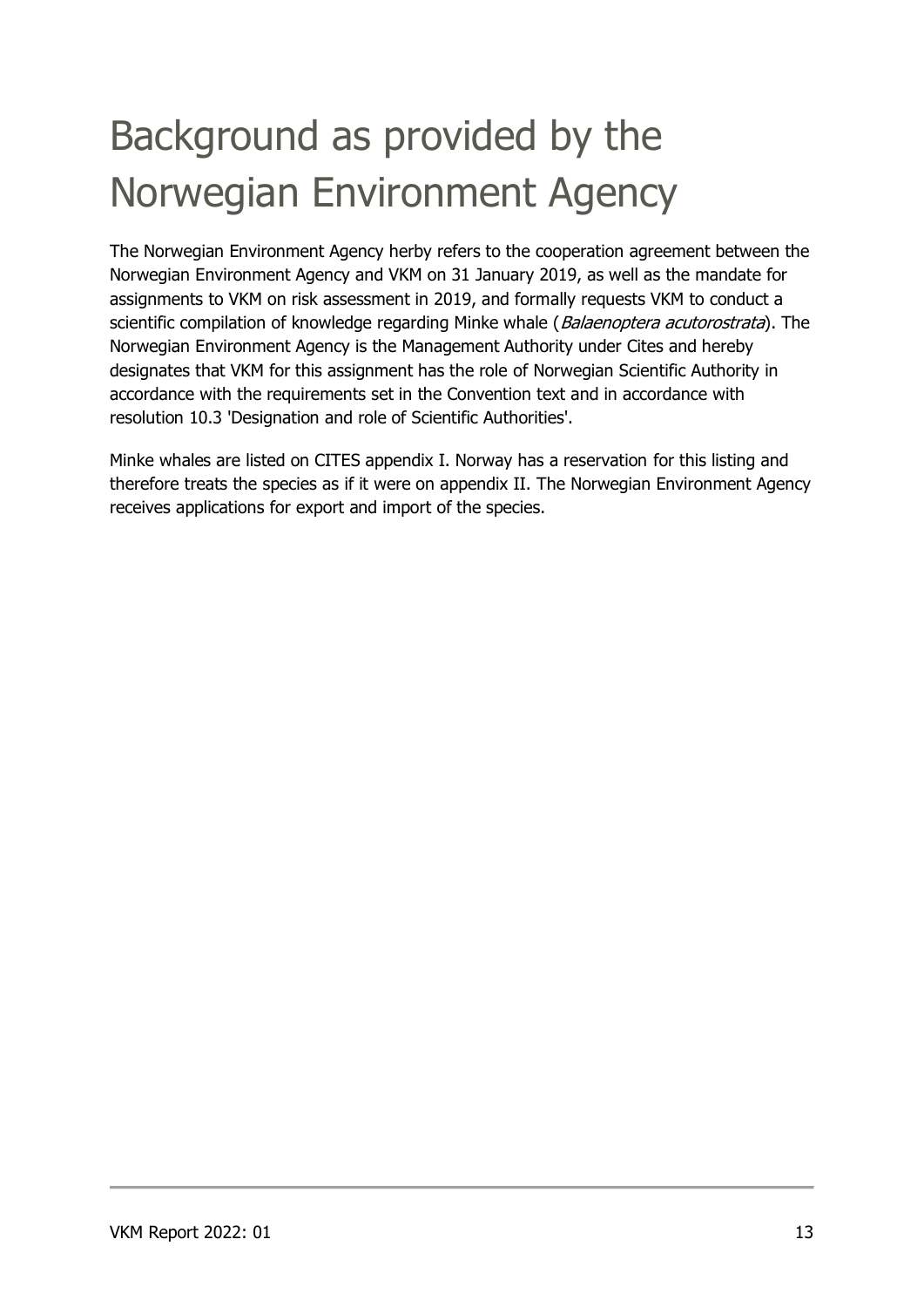# <span id="page-12-0"></span>Background as provided by the Norwegian Environment Agency

The Norwegian Environment Agency herby refers to the cooperation agreement between the Norwegian Environment Agency and VKM on 31 January 2019, as well as the mandate for assignments to VKM on risk assessment in 2019, and formally requests VKM to conduct a scientific compilation of knowledge regarding Minke whale (Balaenoptera acutorostrata). The Norwegian Environment Agency is the Management Authority under Cites and hereby designates that VKM for this assignment has the role of Norwegian Scientific Authority in accordance with the requirements set in the Convention text and in accordance with resolution 10.3 'Designation and role of Scientific Authorities'.

Minke whales are listed on CITES appendix I. Norway has a reservation for this listing and therefore treats the species as if it were on appendix II. The Norwegian Environment Agency receives applications for export and import of the species.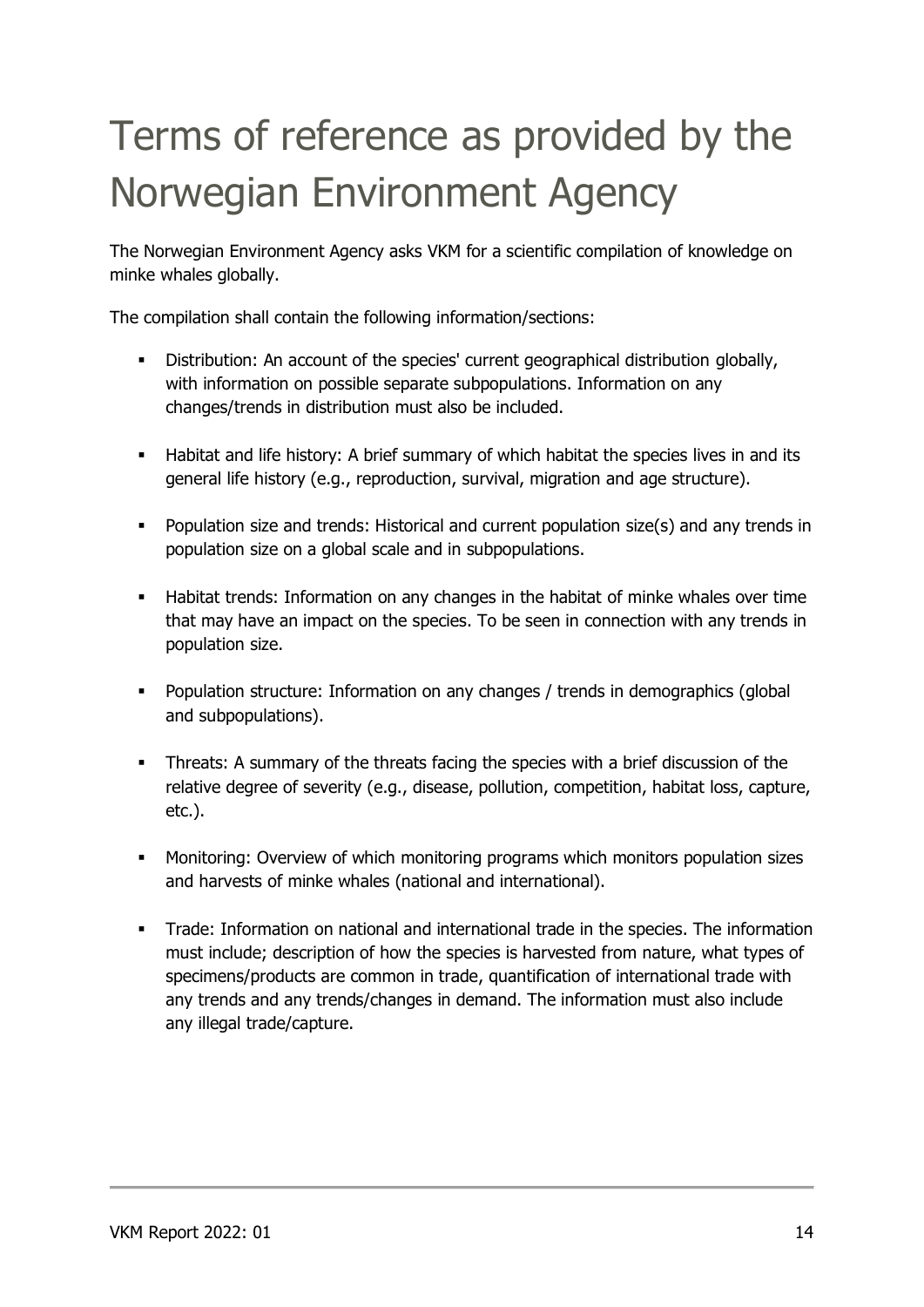# <span id="page-13-0"></span>Terms of reference as provided by the Norwegian Environment Agency

The Norwegian Environment Agency asks VKM for a scientific compilation of knowledge on minke whales globally.

The compilation shall contain the following information/sections:

- Distribution: An account of the species' current geographical distribution globally, with information on possible separate subpopulations. Information on any changes/trends in distribution must also be included.
- Habitat and life history: A brief summary of which habitat the species lives in and its general life history (e.g., reproduction, survival, migration and age structure).
- **•** Population size and trends: Historical and current population size(s) and any trends in population size on a global scale and in subpopulations.
- **■** Habitat trends: Information on any changes in the habitat of minke whales over time that may have an impact on the species. To be seen in connection with any trends in population size.
- Population structure: Information on any changes / trends in demographics (global and subpopulations).
- Threats: A summary of the threats facing the species with a brief discussion of the relative degree of severity (e.g., disease, pollution, competition, habitat loss, capture, etc.).
- Monitoring: Overview of which monitoring programs which monitors population sizes and harvests of minke whales (national and international).
- Trade: Information on national and international trade in the species. The information must include; description of how the species is harvested from nature, what types of specimens/products are common in trade, quantification of international trade with any trends and any trends/changes in demand. The information must also include any illegal trade/capture.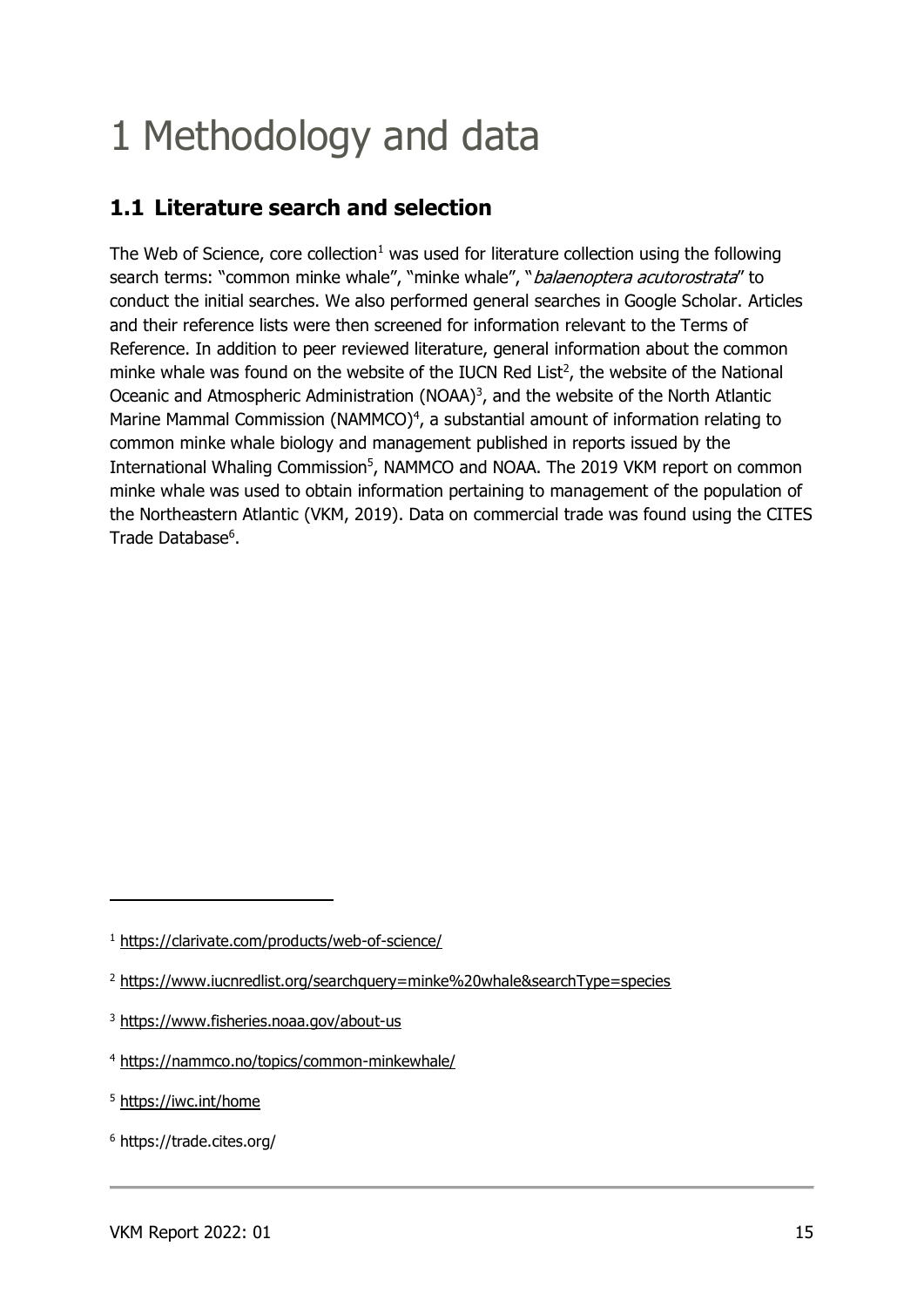## <span id="page-14-0"></span>1 Methodology and data

### <span id="page-14-1"></span>**1.1 Literature search and selection**

The Web of Science, core collection<sup>1</sup> was used for literature collection using the following search terms: "common minke whale", "minke whale", "balaenoptera acutorostrata" to conduct the initial searches. We also performed general searches in Google Scholar. Articles and their reference lists were then screened for information relevant to the Terms of Reference. In addition to peer reviewed literature, general information about the common minke whale was found on the website of the IUCN Red List<sup>2</sup>, the website of the National Oceanic and Atmospheric Administration (NOAA) $<sup>3</sup>$ , and the website of the North Atlantic</sup> Marine Mammal Commission (NAMMCO) $<sup>4</sup>$ , a substantial amount of information relating to</sup> common minke whale biology and management published in reports issued by the International Whaling Commission<sup>5</sup>, NAMMCO and NOAA. The 2019 VKM report on common minke whale was used to obtain information pertaining to management of the population of the Northeastern Atlantic (VKM, 2019). Data on commercial trade was found using the CITES Trade Database<sup>6</sup>.

<sup>1</sup> <https://clarivate.com/products/web-of-science/>

<sup>&</sup>lt;sup>2</sup> <https://www.iucnredlist.org/searchquery=minke%20whale&searchType=species>

<sup>3</sup> <https://www.fisheries.noaa.gov/about-us>

<sup>4</sup> <https://nammco.no/topics/common-minkewhale/>

<sup>5</sup> <https://iwc.int/home>

<sup>6</sup> https://trade.cites.org/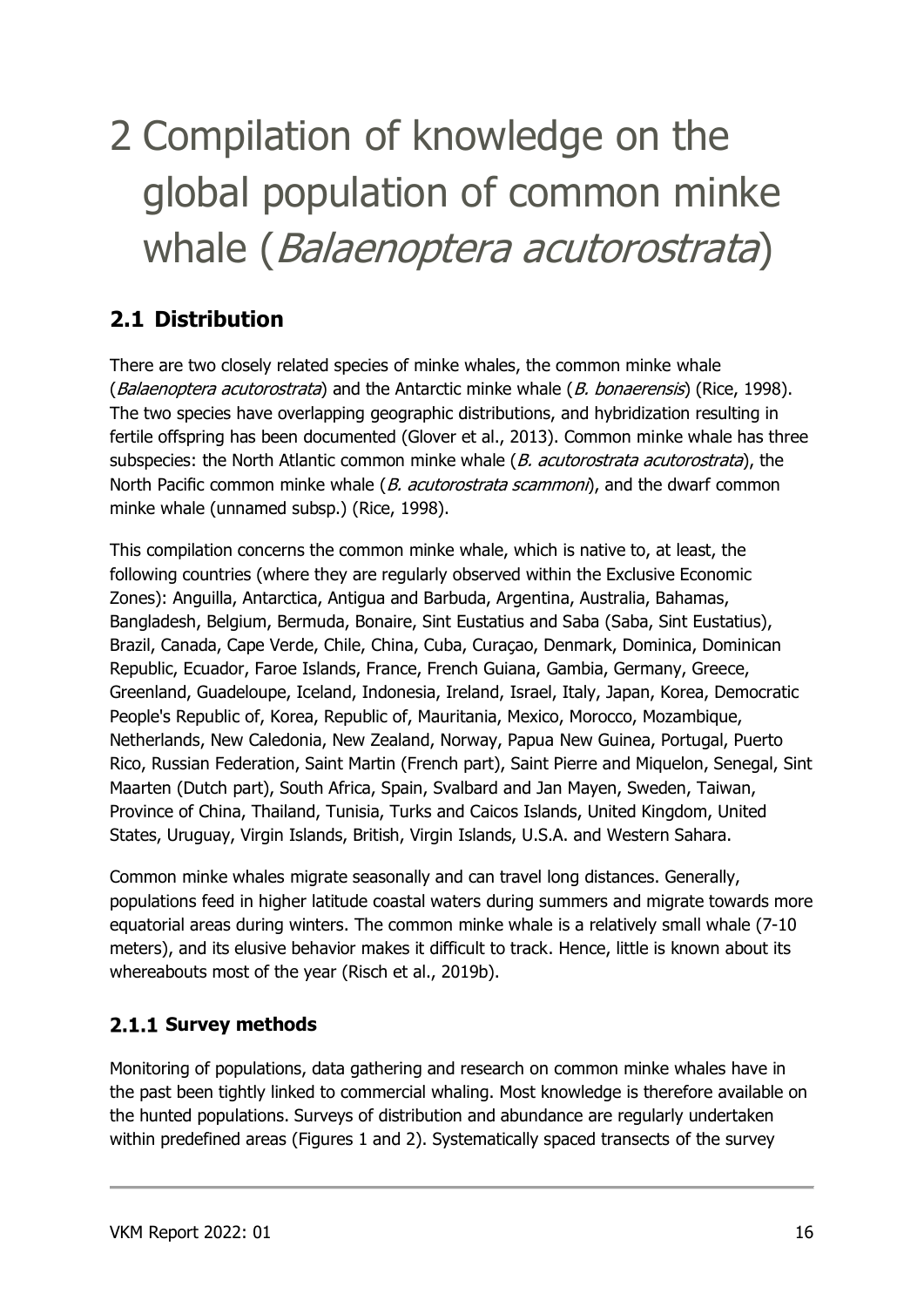# <span id="page-15-0"></span>2 Compilation of knowledge on the global population of common minke whale (Balaenoptera acutorostrata)

## <span id="page-15-1"></span>**2.1 Distribution**

There are two closely related species of minke whales, the common minke whale (Balaenoptera acutorostrata) and the Antarctic minke whale (B. bonaerensis) (Rice, 1998). The two species have overlapping geographic distributions, and hybridization resulting in fertile offspring has been documented (Glover et al., 2013). Common minke whale has three subspecies: the North Atlantic common minke whale  $(B.$  acutorostrata acutorostrata), the North Pacific common minke whale (*B. acutorostrata scammoni*), and the dwarf common minke whale (unnamed subsp.) (Rice, 1998).

This compilation concerns the common minke whale, which is native to, at least, the following countries (where they are regularly observed within the Exclusive Economic Zones): Anguilla, Antarctica, Antigua and Barbuda, Argentina, Australia, Bahamas, Bangladesh, Belgium, Bermuda, Bonaire, Sint Eustatius and Saba (Saba, Sint Eustatius), Brazil, Canada, Cape Verde, Chile, China, Cuba, Curaçao, Denmark, Dominica, Dominican Republic, Ecuador, Faroe Islands, France, French Guiana, Gambia, Germany, Greece, Greenland, Guadeloupe, Iceland, Indonesia, Ireland, Israel, Italy, Japan, Korea, Democratic People's Republic of, Korea, Republic of, Mauritania, Mexico, Morocco, Mozambique, Netherlands, New Caledonia, New Zealand, Norway, Papua New Guinea, Portugal, Puerto Rico, Russian Federation, Saint Martin (French part), Saint Pierre and Miquelon, Senegal, Sint Maarten (Dutch part), South Africa, Spain, Svalbard and Jan Mayen, Sweden, Taiwan, Province of China, Thailand, Tunisia, Turks and Caicos Islands, United Kingdom, United States, Uruguay, Virgin Islands, British, Virgin Islands, U.S.A. and Western Sahara.

Common minke whales migrate seasonally and can travel long distances. Generally, populations feed in higher latitude coastal waters during summers and migrate towards more equatorial areas during winters. The common minke whale is a relatively small whale (7-10 meters), and its elusive behavior makes it difficult to track. Hence, little is known about its whereabouts most of the year (Risch et al., 2019b).

#### <span id="page-15-2"></span>**2.1.1 Survey methods**

Monitoring of populations, data gathering and research on common minke whales have in the past been tightly linked to commercial whaling. Most knowledge is therefore available on the hunted populations. Surveys of distribution and abundance are regularly undertaken within predefined areas (Figures 1 and 2). Systematically spaced transects of the survey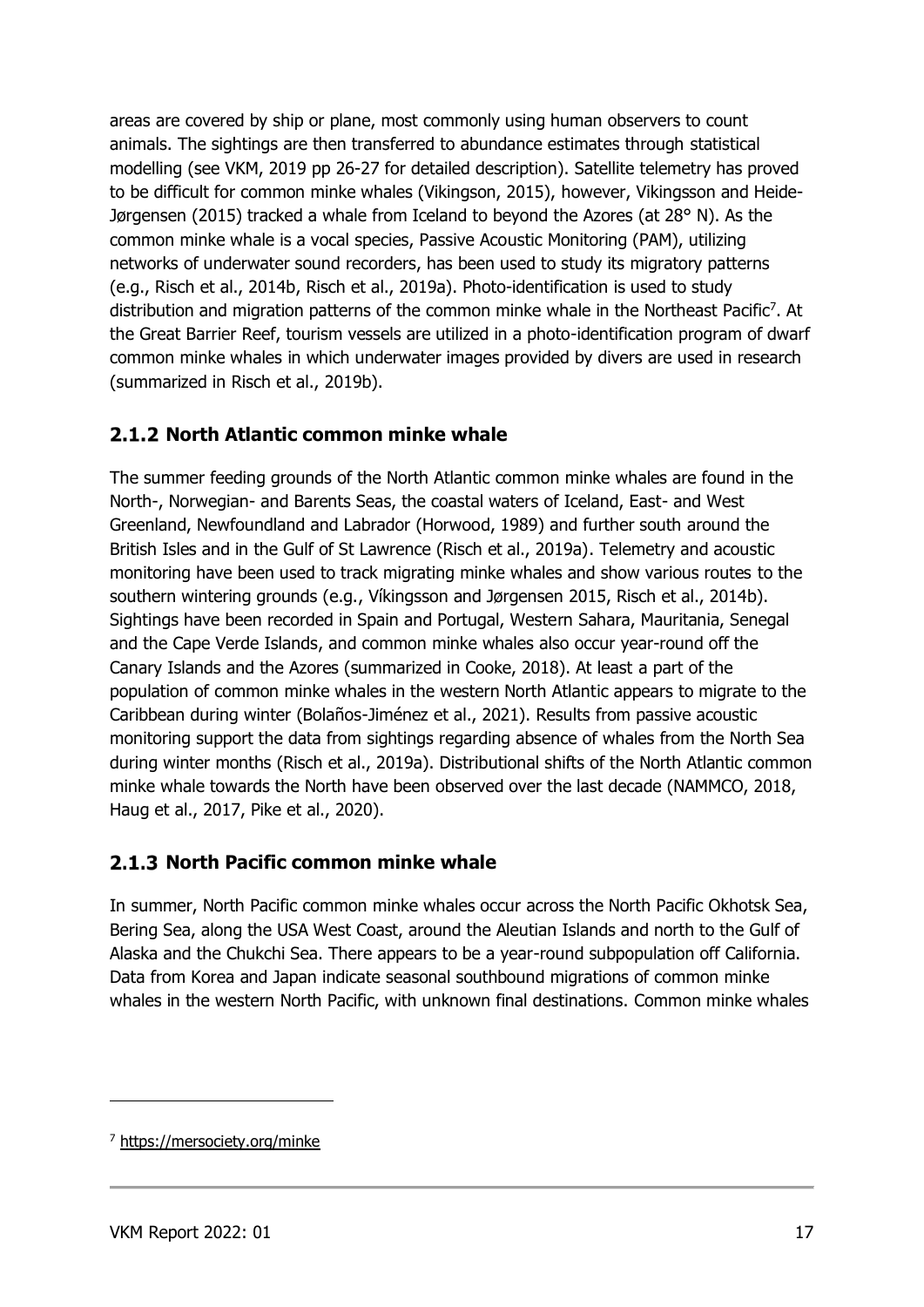areas are covered by ship or plane, most commonly using human observers to count animals. The sightings are then transferred to abundance estimates through statistical modelling (see VKM, 2019 pp 26-27 for detailed description). Satellite telemetry has proved to be difficult for common minke whales (Vikingson, 2015), however, Vikingsson and Heide-Jørgensen (2015) tracked a whale from Iceland to beyond the Azores (at  $28^{\circ}$  N). As the common minke whale is a vocal species, Passive Acoustic Monitoring (PAM), utilizing networks of underwater sound recorders, has been used to study its migratory patterns (e.g., Risch et al., 2014b, Risch et al., 2019a). Photo-identification is used to study distribution and migration patterns of the common minke whale in the Northeast Pacific<sup>7</sup>. At the Great Barrier Reef, tourism vessels are utilized in a photo-identification program of dwarf common minke whales in which underwater images provided by divers are used in research (summarized in Risch et al., 2019b).

#### <span id="page-16-0"></span>**2.1.2 North Atlantic common minke whale**

The summer feeding grounds of the North Atlantic common minke whales are found in the North-, Norwegian- and Barents Seas, the coastal waters of Iceland, East- and West Greenland, Newfoundland and Labrador (Horwood, 1989) and further south around the British Isles and in the Gulf of St Lawrence (Risch et al., 2019a). Telemetry and acoustic monitoring have been used to track migrating minke whales and show various routes to the southern wintering grounds (e.g., Víkingsson and Jørgensen 2015, Risch et al., 2014b). Sightings have been recorded in Spain and Portugal, Western Sahara, Mauritania, Senegal and the Cape Verde Islands, and common minke whales also occur year-round off the Canary Islands and the Azores (summarized in Cooke, 2018). At least a part of the population of common minke whales in the western North Atlantic appears to migrate to the Caribbean during winter (Bolaños-Jiménez et al., 2021). Results from passive acoustic monitoring support the data from sightings regarding absence of whales from the North Sea during winter months (Risch et al., 2019a). Distributional shifts of the North Atlantic common minke whale towards the North have been observed over the last decade (NAMMCO, 2018, Haug et al., 2017, Pike et al., 2020).

#### <span id="page-16-1"></span>**2.1.3 North Pacific common minke whale**

In summer, North Pacific common minke whales occur across the North Pacific Okhotsk Sea, Bering Sea, along the USA West Coast, around the Aleutian Islands and north to the Gulf of Alaska and the Chukchi Sea. There appears to be a year-round subpopulation off California. Data from Korea and Japan indicate seasonal southbound migrations of common minke whales in the western North Pacific, with unknown final destinations. Common minke whales

<sup>7</sup> <https://mersociety.org/minke>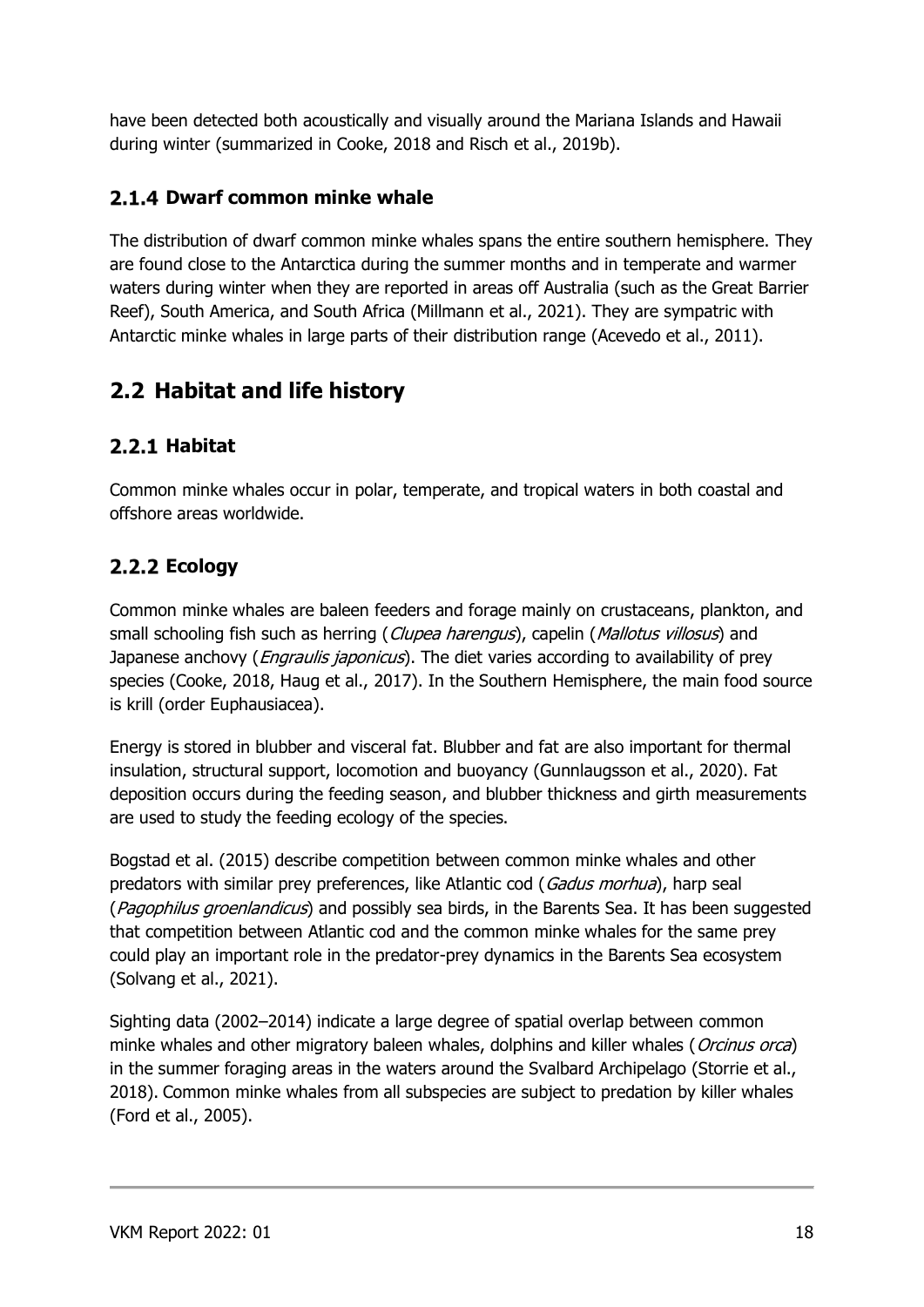have been detected both acoustically and visually around the Mariana Islands and Hawaii during winter (summarized in Cooke, 2018 and Risch et al., 2019b).

#### <span id="page-17-0"></span>**Dwarf common minke whale**

The distribution of dwarf common minke whales spans the entire southern hemisphere. They are found close to the Antarctica during the summer months and in temperate and warmer waters during winter when they are reported in areas off Australia (such as the Great Barrier Reef), South America, and South Africa (Millmann et al., 2021). They are sympatric with Antarctic minke whales in large parts of their distribution range (Acevedo et al., 2011).

## <span id="page-17-1"></span>**2.2 Habitat and life history**

#### <span id="page-17-2"></span>**Habitat**

Common minke whales occur in polar, temperate, and tropical waters in both coastal and offshore areas worldwide.

#### <span id="page-17-3"></span>**Ecology**

Common minke whales are baleen feeders and forage mainly on crustaceans, plankton, and small schooling fish such as herring (Clupea harengus), capelin (Mallotus villosus) and Japanese anchovy (*Engraulis japonicus*). The diet varies according to availability of prey species (Cooke, 2018, Haug et al., 2017). In the Southern Hemisphere, the main food source is krill (order Euphausiacea).

Energy is stored in blubber and visceral fat. Blubber and fat are also important for thermal insulation, structural support, locomotion and buoyancy (Gunnlaugsson et al., 2020). Fat deposition occurs during the feeding season, and blubber thickness and girth measurements are used to study the feeding ecology of the species.

Bogstad et al. (2015) describe competition between common minke whales and other predators with similar prey preferences, like Atlantic cod (Gadus morhua), harp seal (Pagophilus groenlandicus) and possibly sea birds, in the Barents Sea. It has been suggested that competition between Atlantic cod and the common minke whales for the same prey could play an important role in the predator-prey dynamics in the Barents Sea ecosystem (Solvang et al., 2021).

Sighting data (2002–2014) indicate a large degree of spatial overlap between common minke whales and other migratory baleen whales, dolphins and killer whales (Orcinus orca) in the summer foraging areas in the waters around the Svalbard Archipelago (Storrie et al., 2018). Common minke whales from all subspecies are subject to predation by killer whales (Ford et al., 2005).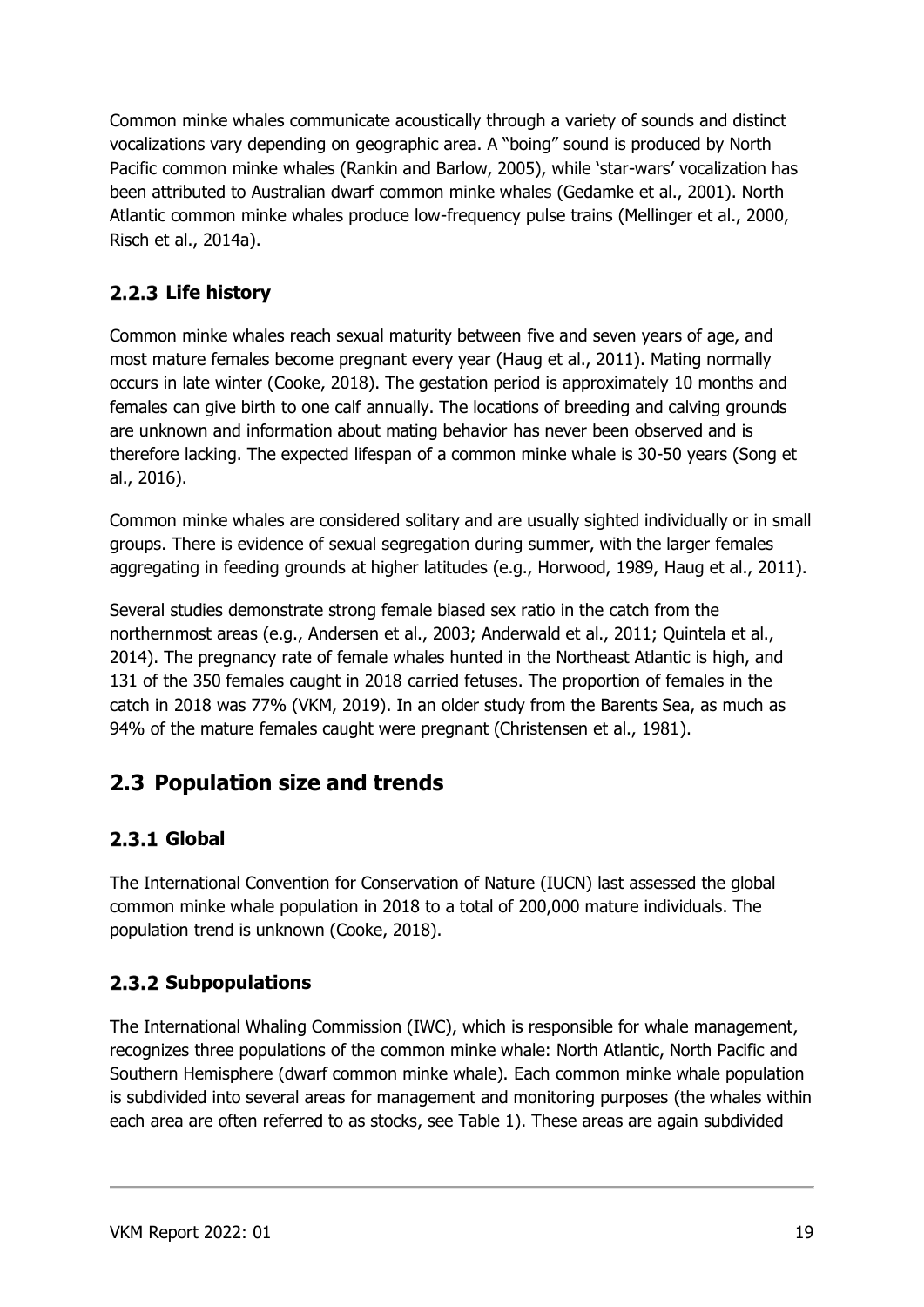Common minke whales communicate acoustically through a variety of sounds and distinct vocalizations vary depending on geographic area. A "boing" sound is produced by North Pacific common minke whales (Rankin and Barlow, 2005), while 'star-wars' vocalization has been attributed to Australian dwarf common minke whales (Gedamke et al., 2001). North Atlantic common minke whales produce low-frequency pulse trains (Mellinger et al., 2000, Risch et al., 2014a).

#### <span id="page-18-0"></span>**Life history**

Common minke whales reach sexual maturity between five and seven years of age, and most mature females become pregnant every year (Haug et al., 2011). Mating normally occurs in late winter (Cooke, 2018). The gestation period is approximately 10 months and females can give birth to one calf annually. The locations of breeding and calving grounds are unknown and information about mating behavior has never been observed and is therefore lacking. The expected lifespan of a common minke whale is 30-50 years (Song et al., 2016).

Common minke whales are considered solitary and are usually sighted individually or in small groups. There is evidence of sexual segregation during summer, with the larger females aggregating in feeding grounds at higher latitudes (e.g., Horwood, 1989, Haug et al., 2011).

Several studies demonstrate strong female biased sex ratio in the catch from the northernmost areas (e.g., Andersen et al., 2003; Anderwald et al., 2011; Quintela et al., 2014). The pregnancy rate of female whales hunted in the Northeast Atlantic is high, and 131 of the 350 females caught in 2018 carried fetuses. The proportion of females in the catch in 2018 was 77% (VKM, 2019). In an older study from the Barents Sea, as much as 94% of the mature females caught were pregnant (Christensen et al., 1981).

## <span id="page-18-1"></span>**2.3 Population size and trends**

#### <span id="page-18-2"></span>**Global**

The International Convention for Conservation of Nature (IUCN) last assessed the global common minke whale population in 2018 to a total of 200,000 mature individuals. The population trend is unknown (Cooke, 2018).

#### <span id="page-18-3"></span>**2.3.2 Subpopulations**

The International Whaling Commission (IWC), which is responsible for whale management, recognizes three populations of the common minke whale: North Atlantic, North Pacific and Southern Hemisphere (dwarf common minke whale). Each common minke whale population is subdivided into several areas for management and monitoring purposes (the whales within each area are often referred to as stocks, see Table 1). These areas are again subdivided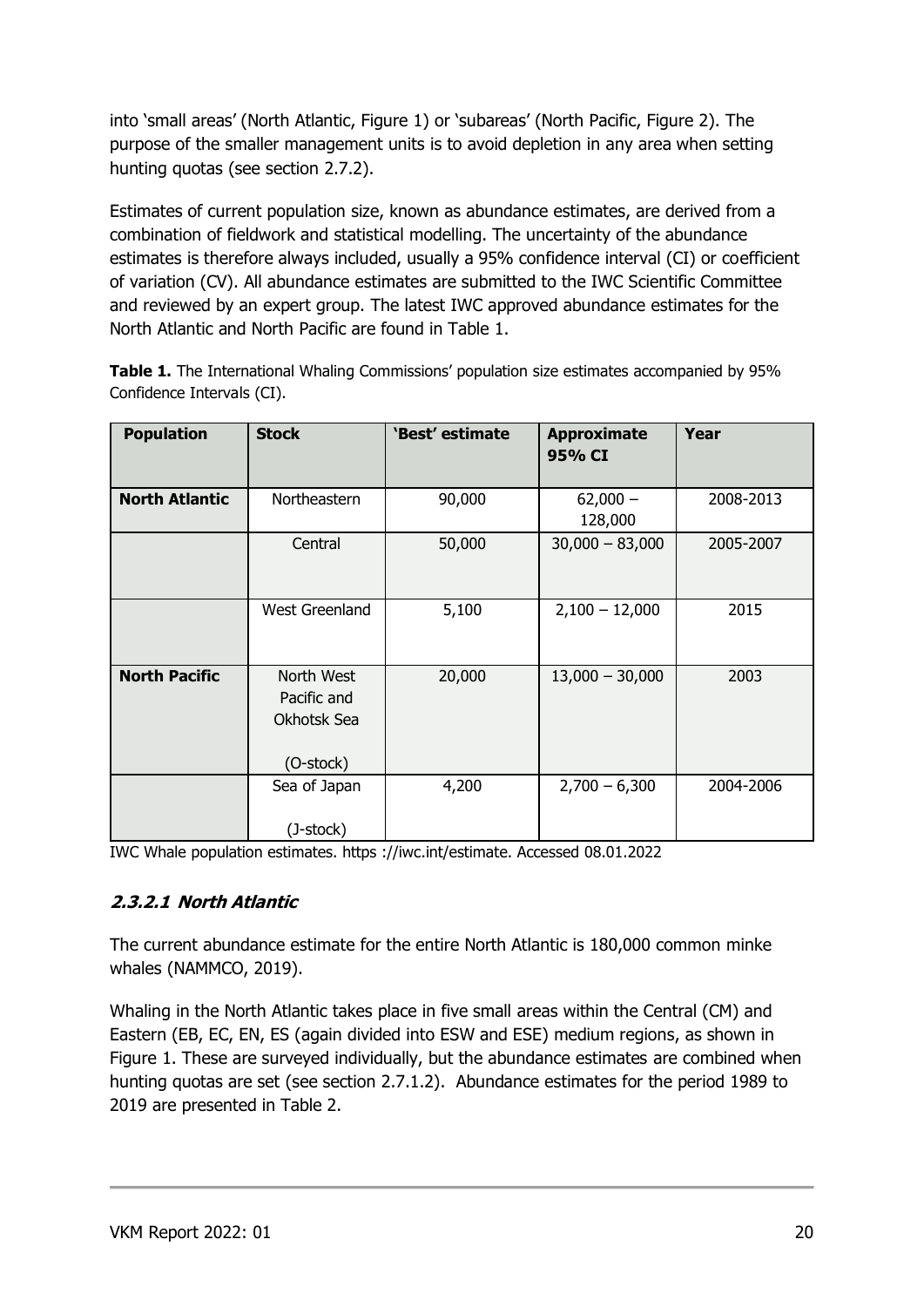into 'small areas' (North Atlantic, Figure 1) or 'subareas' (North Pacific, Figure 2). The purpose of the smaller management units is to avoid depletion in any area when setting hunting quotas (see section 2.7.2).

Estimates of current population size, known as abundance estimates, are derived from a combination of fieldwork and statistical modelling. The uncertainty of the abundance estimates is therefore always included, usually a 95% confidence interval (CI) or coefficient of variation (CV). All abundance estimates are submitted to the IWC Scientific Committee and reviewed by an expert group. The latest IWC approved abundance estimates for the North Atlantic and North Pacific are found in Table 1.

| <b>Population</b>     | <b>Stock</b>                                          | 'Best' estimate | <b>Approximate</b><br>95% CI | Year      |
|-----------------------|-------------------------------------------------------|-----------------|------------------------------|-----------|
|                       |                                                       |                 |                              |           |
| <b>North Atlantic</b> | Northeastern                                          | 90,000          | $62,000 -$<br>128,000        | 2008-2013 |
|                       | Central                                               | 50,000          | $30,000 - 83,000$            | 2005-2007 |
|                       | <b>West Greenland</b>                                 | 5,100           | $2,100 - 12,000$             | 2015      |
| <b>North Pacific</b>  | North West<br>Pacific and<br>Okhotsk Sea<br>(O-stock) | 20,000          | $13,000 - 30,000$            | 2003      |
|                       | Sea of Japan<br>(J-stock)                             | 4,200           | $2,700 - 6,300$              | 2004-2006 |

**Table 1.** The International Whaling Commissions' population size estimates accompanied by 95% Confidence Intervals (CI).

IWC Whale population estimates. https ://iwc.int/estimate. Accessed 08.01.2022

#### <span id="page-19-0"></span>**2.3.2.1 North Atlantic**

The current abundance estimate for the entire North Atlantic is 180,000 common minke whales (NAMMCO, 2019).

Whaling in the North Atlantic takes place in five small areas within the Central (CM) and Eastern (EB, EC, EN, ES (again divided into ESW and ESE) medium regions, as shown in Figure 1. These are surveyed individually, but the abundance estimates are combined when hunting quotas are set (see section 2.7.1.2). Abundance estimates for the period 1989 to 2019 are presented in Table 2.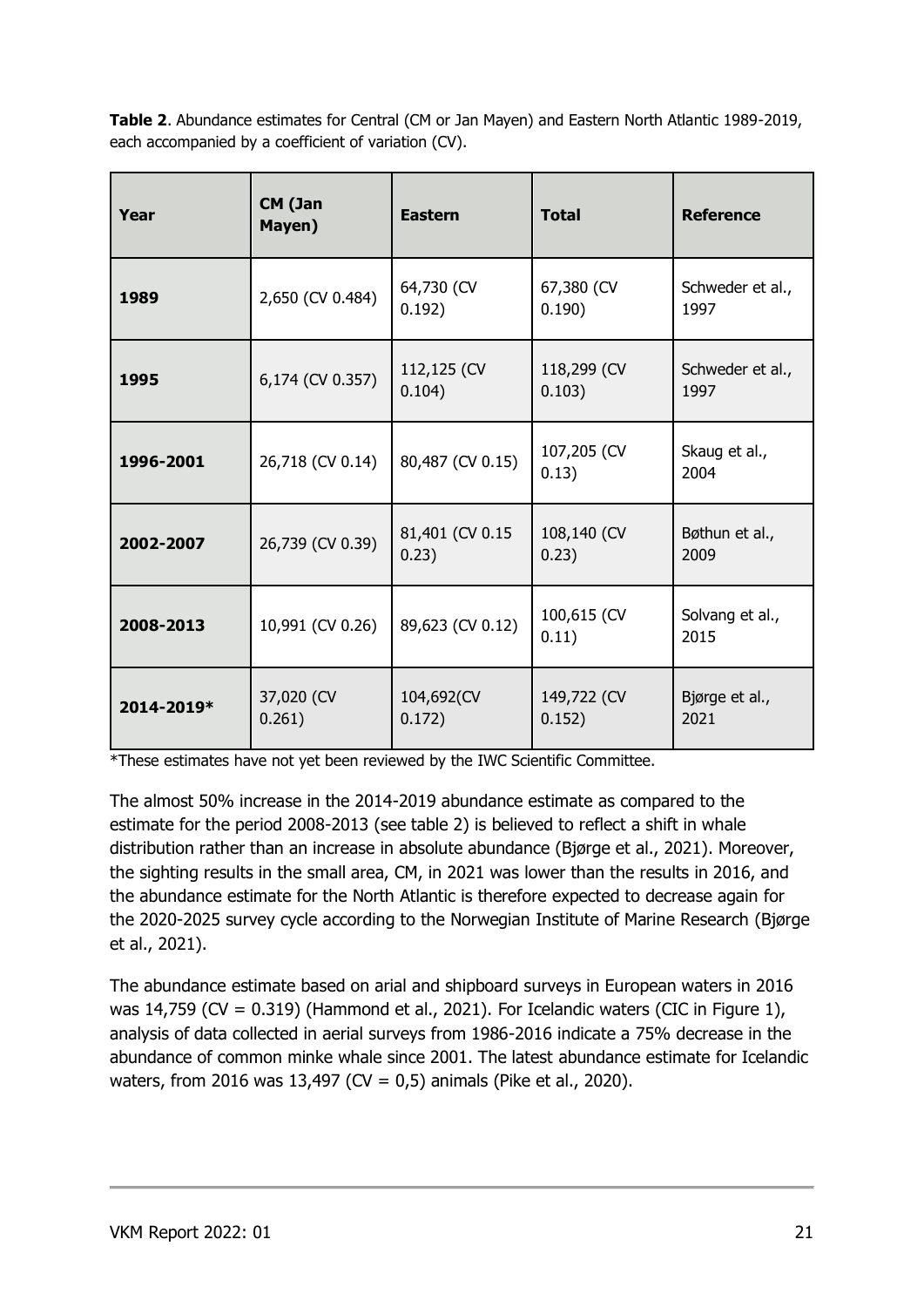**Table 2**. Abundance estimates for Central (CM or Jan Mayen) and Eastern North Atlantic 1989-2019, each accompanied by a coefficient of variation (CV).

| Year       | CM (Jan<br>Mayen)    | <b>Eastern</b>            | <b>Total</b>          | <b>Reference</b>         |
|------------|----------------------|---------------------------|-----------------------|--------------------------|
| 1989       | 2,650 (CV 0.484)     | 64,730 (CV<br>0.192)      | 67,380 (CV<br>0.190)  | Schweder et al.,<br>1997 |
| 1995       | 6,174 (CV 0.357)     | 112,125 (CV<br>0.104)     | 118,299 (CV<br>0.103) | Schweder et al.,<br>1997 |
| 1996-2001  | 26,718 (CV 0.14)     | 80,487 (CV 0.15)          | 107,205 (CV<br>0.13)  | Skaug et al.,<br>2004    |
| 2002-2007  | 26,739 (CV 0.39)     | 81,401 (CV 0.15)<br>0.23) | 108,140 (CV<br>0.23)  | Bøthun et al.,<br>2009   |
| 2008-2013  | 10,991 (CV 0.26)     | 89,623 (CV 0.12)          | 100,615 (CV<br>0.11)  | Solvang et al.,<br>2015  |
| 2014-2019* | 37,020 (CV<br>0.261) | 104,692(CV<br>0.172)      | 149,722 (CV<br>0.152) | Bjørge et al.,<br>2021   |

\*These estimates have not yet been reviewed by the IWC Scientific Committee.

The almost 50% increase in the 2014-2019 abundance estimate as compared to the estimate for the period 2008-2013 (see table 2) is believed to reflect a shift in whale distribution rather than an increase in absolute abundance (Bjørge et al., 2021). Moreover, the sighting results in the small area, CM, in 2021 was lower than the results in 2016, and the abundance estimate for the North Atlantic is therefore expected to decrease again for the 2020-2025 survey cycle according to the Norwegian Institute of Marine Research (Bjørge et al., 2021).

The abundance estimate based on arial and shipboard surveys in European waters in 2016 was 14,759 (CV =  $0.319$ ) (Hammond et al., 2021). For Icelandic waters (CIC in Figure 1), analysis of data collected in aerial surveys from 1986-2016 indicate a 75% decrease in the abundance of common minke whale since 2001. The latest abundance estimate for Icelandic waters, from 2016 was 13,497 (CV = 0,5) animals (Pike et al., 2020).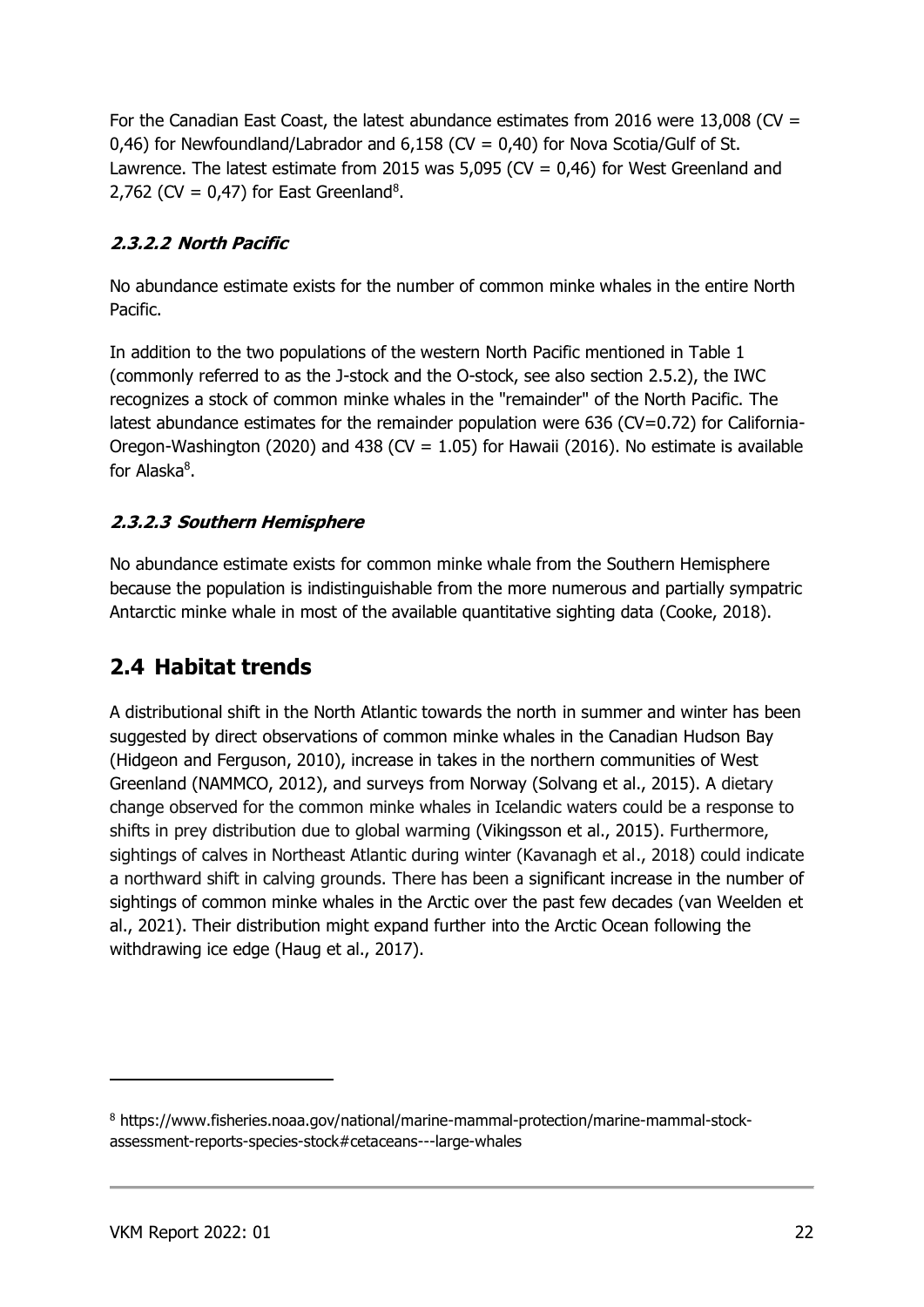For the Canadian East Coast, the latest abundance estimates from 2016 were 13,008 (CV = 0,46) for Newfoundland/Labrador and  $6,158$  (CV = 0,40) for Nova Scotia/Gulf of St. Lawrence. The latest estimate from 2015 was 5,095 ( $CV = 0.46$ ) for West Greenland and 2,762 (CV =  $0,47$ ) for East Greenland<sup>8</sup>.

#### <span id="page-21-0"></span>**2.3.2.2 North Pacific**

No abundance estimate exists for the number of common minke whales in the entire North Pacific.

In addition to the two populations of the western North Pacific mentioned in Table 1 (commonly referred to as the J-stock and the O-stock, see also section 2.5.2), the IWC recognizes a stock of common minke whales in the "remainder" of the North Pacific. The latest abundance estimates for the remainder population were 636 (CV=0.72) for California-Oregon-Washington (2020) and 438 (CV =  $1.05$ ) for Hawaii (2016). No estimate is available for Alaska<sup>8</sup>.

#### <span id="page-21-1"></span>**2.3.2.3 Southern Hemisphere**

No abundance estimate exists for common minke whale from the Southern Hemisphere because the population is indistinguishable from the more numerous and partially sympatric Antarctic minke whale in most of the available quantitative sighting data (Cooke, 2018).

#### <span id="page-21-2"></span>**2.4 Habitat trends**

A distributional shift in the North Atlantic towards the north in summer and winter has been suggested by direct observations of common minke whales in the Canadian Hudson Bay (Hidgeon and Ferguson, 2010), increase in takes in the northern communities of West Greenland (NAMMCO, 2012), and surveys from Norway (Solvang et al., 2015). A dietary change observed for the common minke whales in Icelandic waters could be a response to shifts in prey distribution due to global warming (Vikingsson et al., 2015). Furthermore, sightings of calves in Northeast Atlantic during winter (Kavanagh et al., 2018) could indicate a northward shift in calving grounds. There has been a significant increase in the number of sightings of common minke whales in the Arctic over the past few decades (van Weelden et al., 2021). Their distribution might expand further into the Arctic Ocean following the withdrawing ice edge (Haug et al., 2017).

<sup>8</sup> https://www.fisheries.noaa.gov/national/marine-mammal-protection/marine-mammal-stockassessment-reports-species-stock#cetaceans---large-whales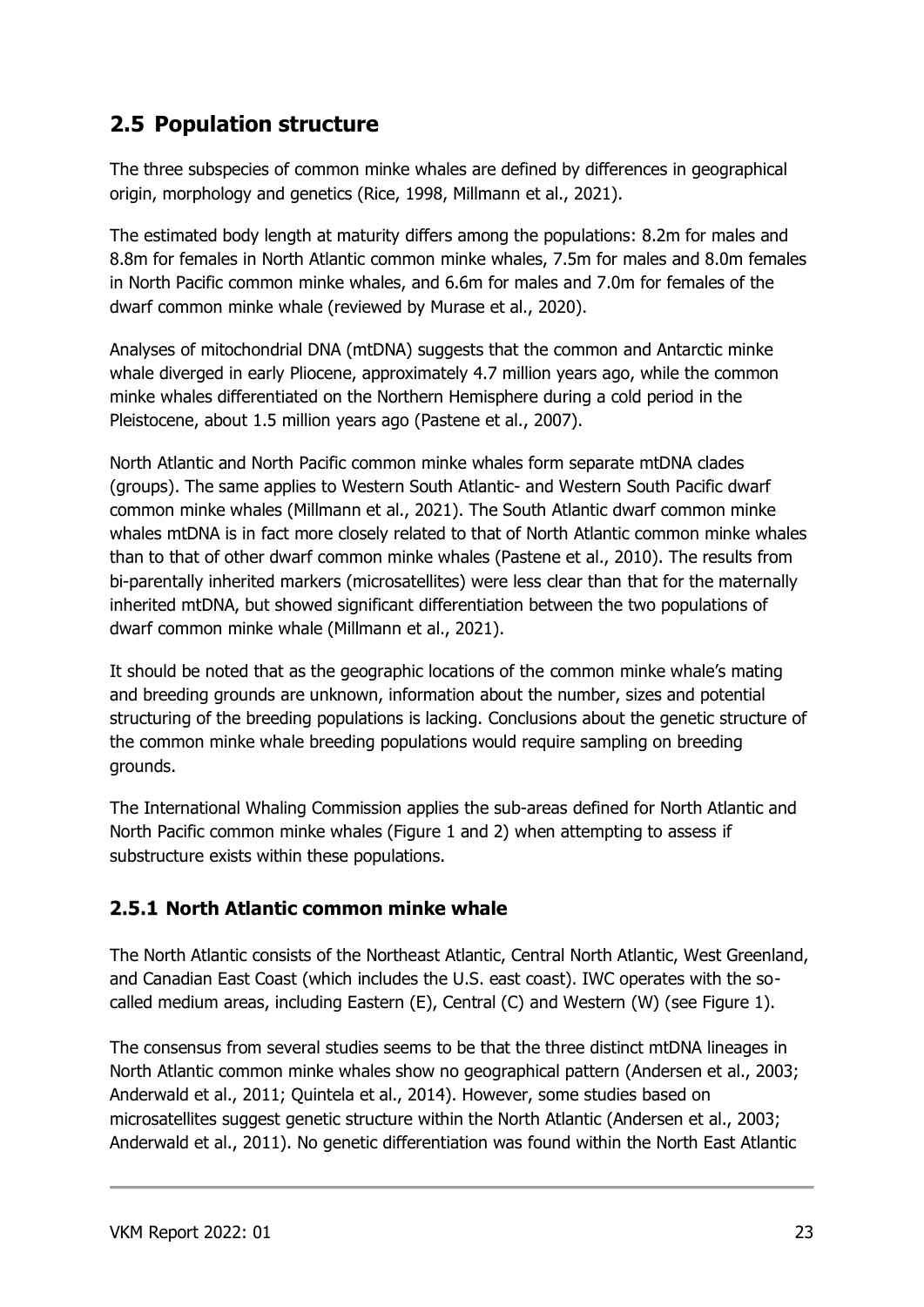### <span id="page-22-0"></span>**2.5 Population structure**

The three subspecies of common minke whales are defined by differences in geographical origin, morphology and genetics (Rice, 1998, Millmann et al., 2021).

The estimated body length at maturity differs among the populations: 8.2m for males and 8.8m for females in North Atlantic common minke whales, 7.5m for males and 8.0m females in North Pacific common minke whales, and 6.6m for males and 7.0m for females of the dwarf common minke whale (reviewed by Murase et al., 2020).

Analyses of mitochondrial DNA (mtDNA) suggests that the common and Antarctic minke whale diverged in early Pliocene, approximately 4.7 million years ago, while the common minke whales differentiated on the Northern Hemisphere during a cold period in the Pleistocene, about 1.5 million years ago (Pastene et al., 2007).

North Atlantic and North Pacific common minke whales form separate mtDNA clades (groups). The same applies to Western South Atlantic- and Western South Pacific dwarf common minke whales (Millmann et al., 2021). The South Atlantic dwarf common minke whales mtDNA is in fact more closely related to that of North Atlantic common minke whales than to that of other dwarf common minke whales (Pastene et al., 2010). The results from bi-parentally inherited markers (microsatellites) were less clear than that for the maternally inherited mtDNA, but showed significant differentiation between the two populations of dwarf common minke whale (Millmann et al., 2021).

It should be noted that as the geographic locations of the common minke whale's mating and breeding grounds are unknown, information about the number, sizes and potential structuring of the breeding populations is lacking. Conclusions about the genetic structure of the common minke whale breeding populations would require sampling on breeding grounds.

The International Whaling Commission applies the sub-areas defined for North Atlantic and North Pacific common minke whales (Figure 1 and 2) when attempting to assess if substructure exists within these populations.

#### <span id="page-22-1"></span>**2.5.1 North Atlantic common minke whale**

The North Atlantic consists of the Northeast Atlantic, Central North Atlantic, West Greenland, and Canadian East Coast (which includes the U.S. east coast). IWC operates with the socalled medium areas, including Eastern (E), Central (C) and Western (W) (see Figure 1).

The consensus from several studies seems to be that the three distinct mtDNA lineages in North Atlantic common minke whales show no geographical pattern (Andersen et al., 2003; Anderwald et al., 2011; Quintela et al., 2014). However, some studies based on microsatellites suggest genetic structure within the North Atlantic (Andersen et al., 2003; Anderwald et al., 2011). No genetic differentiation was found within the North East Atlantic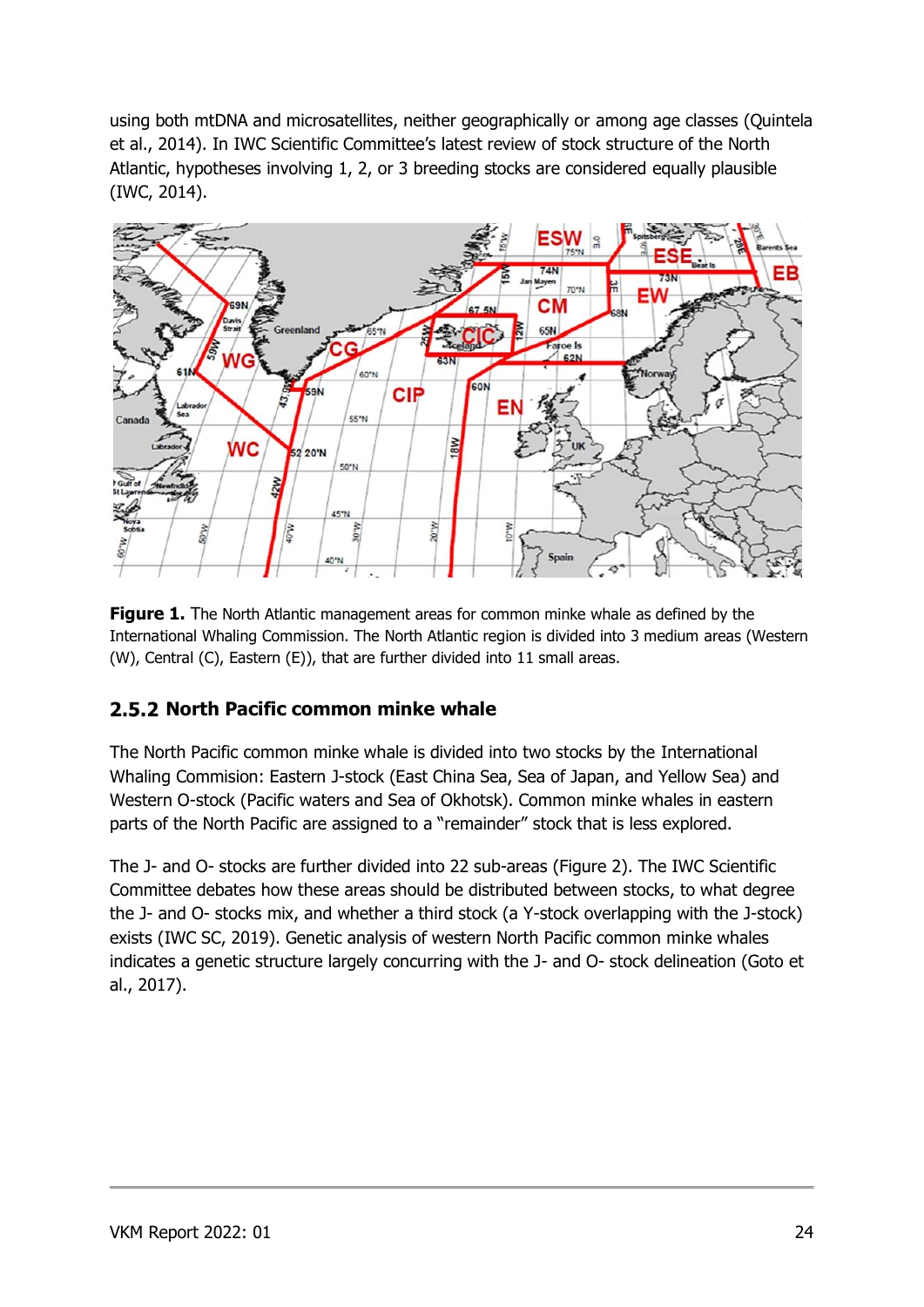using both mtDNA and microsatellites, neither geographically or among age classes (Quintela et al., 2014). In IWC Scientific Committee's latest review of stock structure of the North Atlantic, hypotheses involving 1, 2, or 3 breeding stocks are considered equally plausible (IWC, 2014).



**Figure 1.** The North Atlantic management areas for common minke whale as defined by the International Whaling Commission. The North Atlantic region is divided into 3 medium areas (Western (W), Central (C), Eastern (E)), that are further divided into 11 small areas.

#### <span id="page-23-0"></span>**2.5.2 North Pacific common minke whale**

The North Pacific common minke whale is divided into two stocks by the International Whaling Commision: Eastern J-stock (East China Sea, Sea of Japan, and Yellow Sea) and Western O-stock (Pacific waters and Sea of Okhotsk). Common minke whales in eastern parts of the North Pacific are assigned to a "remainder" stock that is less explored.

The J- and O- stocks are further divided into 22 sub-areas (Figure 2). The IWC Scientific Committee debates how these areas should be distributed between stocks, to what degree the J- and O- stocks mix, and whether a third stock (a Y-stock overlapping with the J-stock) exists (IWC SC, 2019). Genetic analysis of western North Pacific common minke whales indicates a genetic structure largely concurring with the J- and O- stock delineation (Goto et al., 2017).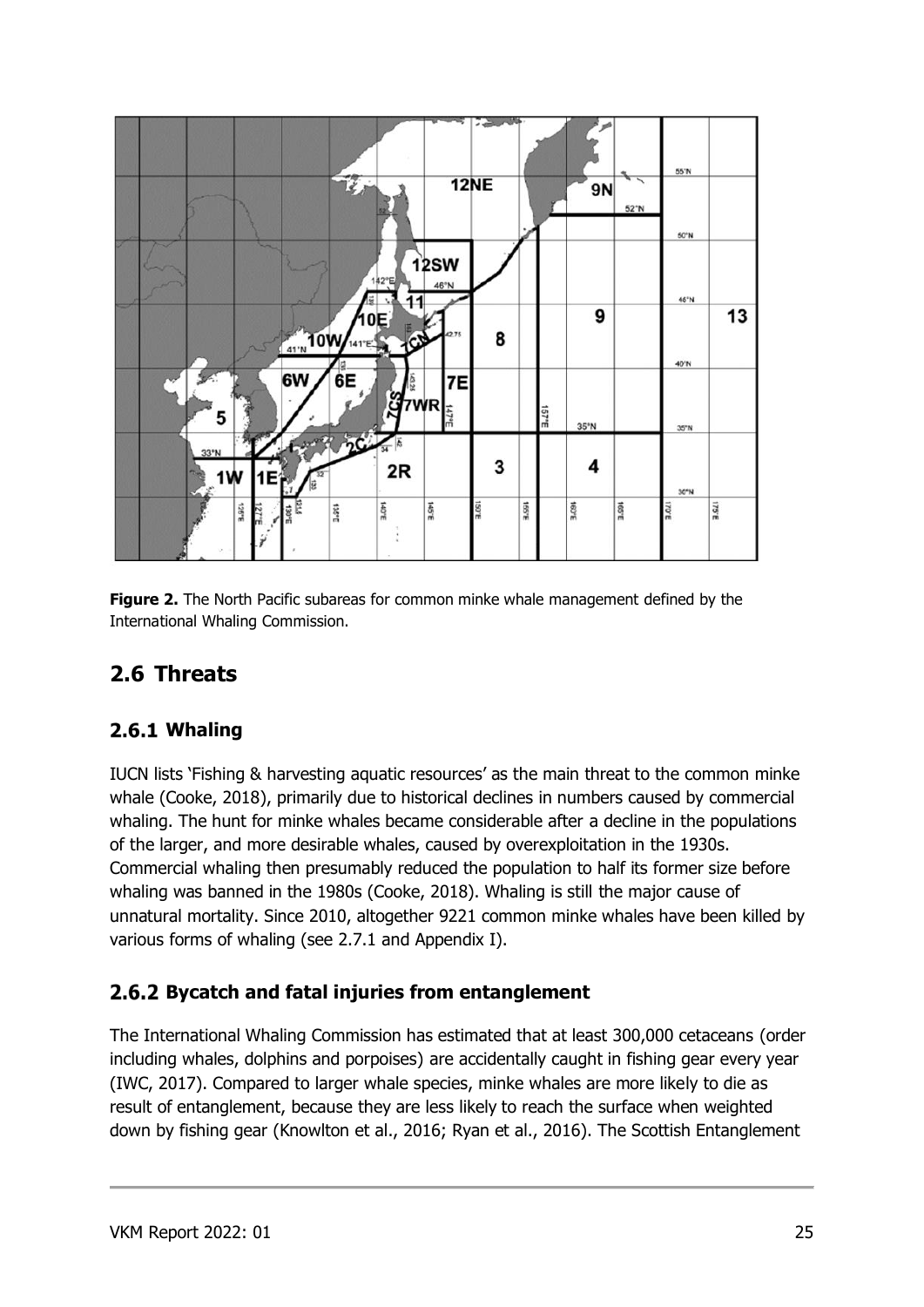

**Figure 2.** The North Pacific subareas for common minke whale management defined by the International Whaling Commission.

### <span id="page-24-0"></span>**2.6 Threats**

#### <span id="page-24-1"></span>**Whaling**

IUCN lists 'Fishing & harvesting aquatic resources' as the main threat to the common minke whale (Cooke, 2018), primarily due to historical declines in numbers caused by commercial whaling. The hunt for minke whales became considerable after a decline in the populations of the larger, and more desirable whales, caused by overexploitation in the 1930s. Commercial whaling then presumably reduced the population to half its former size before whaling was banned in the 1980s (Cooke, 2018). Whaling is still the major cause of unnatural mortality. Since 2010, altogether 9221 common minke whales have been killed by various forms of whaling (see 2.7.1 and Appendix I).

#### <span id="page-24-2"></span>**Bycatch and fatal injuries from entanglement**

The International Whaling Commission has estimated that at least 300,000 cetaceans (order including whales, dolphins and porpoises) are accidentally caught in fishing gear every year (IWC, 2017). Compared to larger whale species, minke whales are more likely to die as result of entanglement, because they are less likely to reach the surface when weighted down by fishing gear (Knowlton et al., 2016; Ryan et al., 2016). The Scottish Entanglement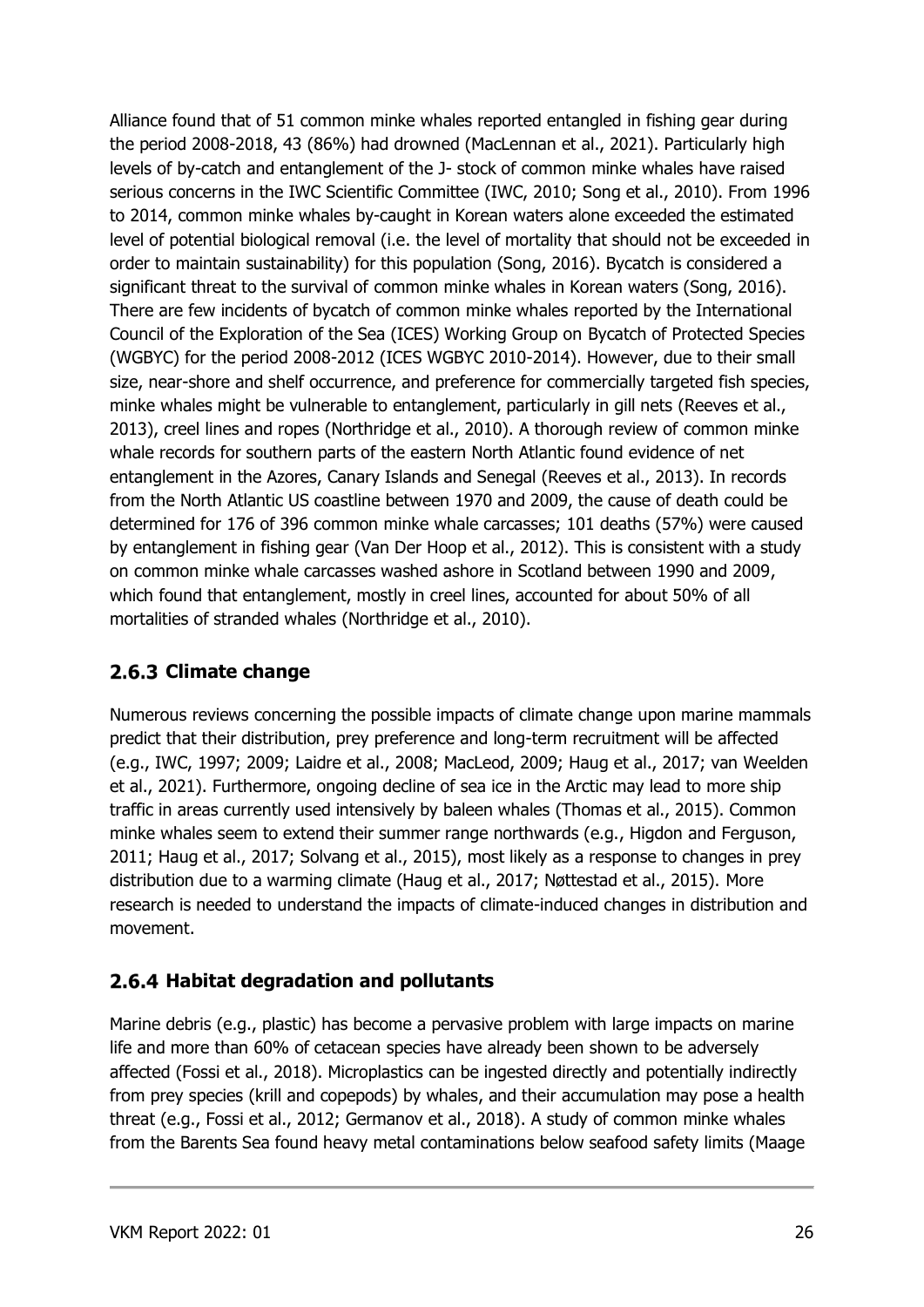Alliance found that of 51 common minke whales reported entangled in fishing gear during the period 2008-2018, 43 (86%) had drowned (MacLennan et al., 2021). Particularly high levels of by-catch and entanglement of the J- stock of common minke whales have raised serious concerns in the IWC Scientific Committee (IWC, 2010; Song et al., 2010). From 1996 to 2014, common minke whales by-caught in Korean waters alone exceeded the estimated level of potential biological removal (i.e. the level of mortality that should not be exceeded in order to maintain sustainability) for this population (Song, 2016). Bycatch is considered a significant threat to the survival of common minke whales in Korean waters (Song, 2016). There are few incidents of bycatch of common minke whales reported by the International Council of the Exploration of the Sea (ICES) Working Group on Bycatch of Protected Species (WGBYC) for the period 2008-2012 (ICES WGBYC 2010-2014). However, due to their small size, near-shore and shelf occurrence, and preference for commercially targeted fish species, minke whales might be vulnerable to entanglement, particularly in gill nets (Reeves et al., 2013), creel lines and ropes (Northridge et al., 2010). A thorough review of common minke whale records for southern parts of the eastern North Atlantic found evidence of net entanglement in the Azores, Canary Islands and Senegal (Reeves et al., 2013). In records from the North Atlantic US coastline between 1970 and 2009, the cause of death could be determined for 176 of 396 common minke whale carcasses; 101 deaths (57%) were caused by entanglement in fishing gear (Van Der Hoop et al., 2012). This is consistent with a study on common minke whale carcasses washed ashore in Scotland between 1990 and 2009, which found that entanglement, mostly in creel lines, accounted for about 50% of all mortalities of stranded whales (Northridge et al., 2010).

#### <span id="page-25-0"></span>**Climate change**

Numerous reviews concerning the possible impacts of climate change upon marine mammals predict that their distribution, prey preference and long-term recruitment will be affected (e.g., IWC, 1997; 2009; Laidre et al., 2008; MacLeod, 2009; Haug et al., 2017; van Weelden et al., 2021). Furthermore, ongoing decline of sea ice in the Arctic may lead to more ship traffic in areas currently used intensively by baleen whales (Thomas et al., 2015). Common minke whales seem to extend their summer range northwards (e.g., Higdon and Ferguson, 2011; Haug et al., 2017; Solvang et al., 2015), most likely as a response to changes in prey distribution due to a warming climate (Haug et al., 2017; Nøttestad et al., 2015). More research is needed to understand the impacts of climate-induced changes in distribution and movement.

#### <span id="page-25-1"></span>**Habitat degradation and pollutants**

Marine debris (e.g., plastic) has become a pervasive problem with large impacts on marine life and more than 60% of cetacean species have already been shown to be adversely affected (Fossi et al., 2018). Microplastics can be ingested directly and potentially indirectly from prey species (krill and copepods) by whales, and their accumulation may pose a health threat (e.g., Fossi et al., 2012; Germanov et al., 2018). A study of common minke whales from the Barents Sea found heavy metal contaminations below seafood safety limits (Maage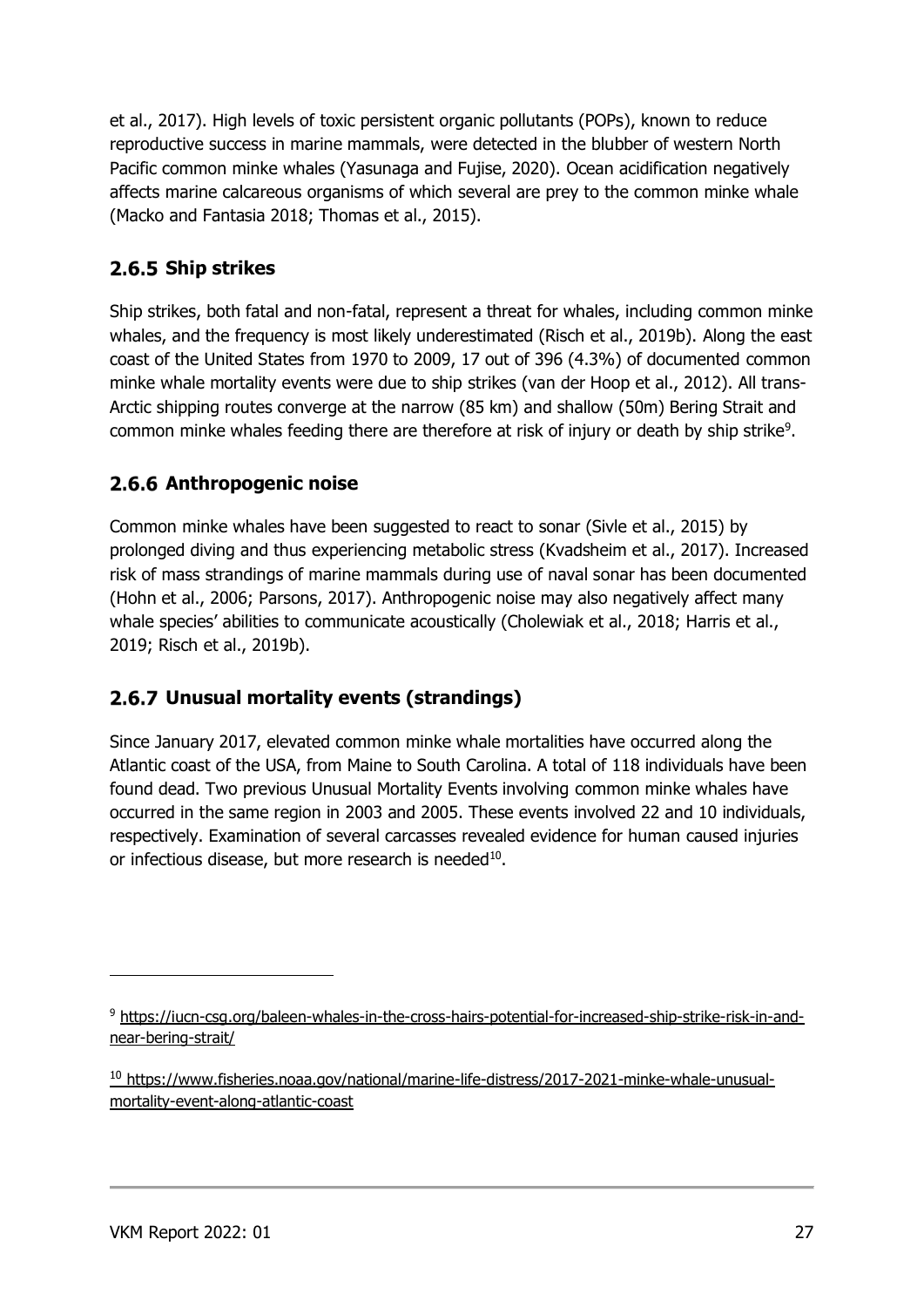et al., 2017). High levels of toxic persistent organic pollutants (POPs), known to reduce reproductive success in marine mammals, were detected in the blubber of western North Pacific common minke whales (Yasunaga and Fujise, 2020). Ocean acidification negatively affects marine calcareous organisms of which several are prey to the common minke whale (Macko and Fantasia 2018; Thomas et al., 2015).

#### <span id="page-26-0"></span>**2.6.5 Ship strikes**

Ship strikes, both fatal and non-fatal, represent a threat for whales, including common minke whales, and the frequency is most likely underestimated (Risch et al., 2019b). Along the east coast of the United States from 1970 to 2009, 17 out of 396 (4.3%) of documented common minke whale mortality events were due to ship strikes (van der Hoop et al., 2012). All trans-Arctic shipping routes converge at the narrow (85 km) and shallow (50m) Bering Strait and common minke whales feeding there are therefore at risk of injury or death by ship strike<sup>9</sup>.

#### <span id="page-26-1"></span>**Anthropogenic noise**

Common minke whales have been suggested to react to sonar (Sivle et al., 2015) by prolonged diving and thus experiencing metabolic stress (Kvadsheim et al., 2017). Increased risk of mass strandings of marine mammals during use of naval sonar has been documented (Hohn et al., 2006; Parsons, 2017). Anthropogenic noise may also negatively affect many whale species' abilities to communicate acoustically (Cholewiak et al., 2018; Harris et al., 2019; Risch et al., 2019b).

#### <span id="page-26-2"></span>**Unusual mortality events (strandings)**

Since January 2017, elevated common minke whale mortalities have occurred along the Atlantic coast of the USA, from Maine to South Carolina. A total of 118 individuals have been found dead. Two previous Unusual Mortality Events involving common minke whales have occurred in the same region in 2003 and 2005. These events involved 22 and 10 individuals, respectively. Examination of several carcasses revealed evidence for human caused injuries or infectious disease, but more research is needed<sup>10</sup>.

<sup>9</sup> [https://iucn-csg.org/baleen-whales-in-the-cross-hairs-potential-for-increased-ship-strike-risk-in-and](https://iucn-csg.org/baleen-whales-in-the-cross-hairs-potential-for-increased-ship-strike-risk-in-and-near-bering-strait/)[near-bering-strait/](https://iucn-csg.org/baleen-whales-in-the-cross-hairs-potential-for-increased-ship-strike-risk-in-and-near-bering-strait/)

<sup>10</sup> [https://www.fisheries.noaa.gov/national/marine-life-distress/2017-2021-minke-whale-unusual](https://www.fisheries.noaa.gov/national/marine-life-distress/2017-2021-minke-whale-unusual-mortality-event-along-atlantic-coast)[mortality-event-along-atlantic-coast](https://www.fisheries.noaa.gov/national/marine-life-distress/2017-2021-minke-whale-unusual-mortality-event-along-atlantic-coast)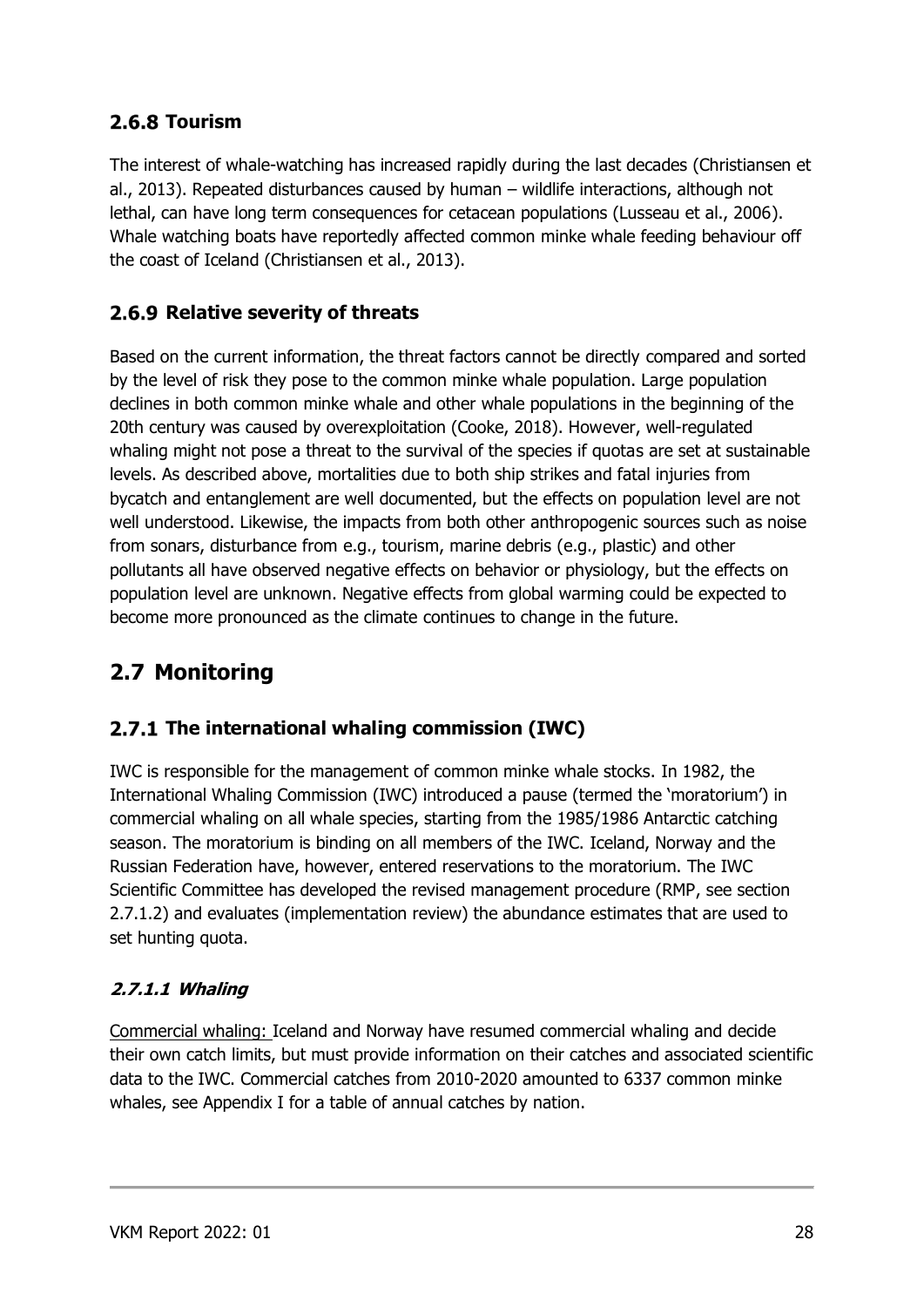#### <span id="page-27-0"></span>**Tourism**

The interest of whale-watching has increased rapidly during the last decades (Christiansen et al., 2013). Repeated disturbances caused by human – wildlife interactions, although not lethal, can have long term consequences for cetacean populations (Lusseau et al., 2006). Whale watching boats have reportedly affected common minke whale feeding behaviour off the coast of Iceland (Christiansen et al., 2013).

#### **2.6.9 Relative severity of threats**

Based on the current information, the threat factors cannot be directly compared and sorted by the level of risk they pose to the common minke whale population. Large population declines in both common minke whale and other whale populations in the beginning of the 20th century was caused by overexploitation (Cooke, 2018). However, well-regulated whaling might not pose a threat to the survival of the species if quotas are set at sustainable levels. As described above, mortalities due to both ship strikes and fatal injuries from bycatch and entanglement are well documented, but the effects on population level are not well understood. Likewise, the impacts from both other anthropogenic sources such as noise from sonars, disturbance from e.g., tourism, marine debris (e.g., plastic) and other pollutants all have observed negative effects on behavior or physiology, but the effects on population level are unknown. Negative effects from global warming could be expected to become more pronounced as the climate continues to change in the future.

## <span id="page-27-1"></span>**2.7 Monitoring**

#### <span id="page-27-2"></span>**The international whaling commission (IWC)**

IWC is responsible for the management of common minke whale stocks. In 1982, the International Whaling Commission (IWC) introduced a pause (termed the 'moratorium') in commercial whaling on all whale species, starting from the 1985/1986 Antarctic catching season. The moratorium is binding on all members of the IWC. Iceland, Norway and the Russian Federation have, however, entered reservations to the moratorium. The IWC Scientific Committee has developed the revised management procedure (RMP, see section 2.7.1.2) and evaluates (implementation review) the abundance estimates that are used to set hunting quota.

#### <span id="page-27-3"></span>**2.7.1.1 Whaling**

Commercial whaling: Iceland and Norway have resumed commercial whaling and decide their own catch limits, but must provide information on their catches and associated scientific data to the IWC. Commercial catches from 2010-2020 amounted to 6337 common minke whales, see Appendix I for a table of annual catches by nation.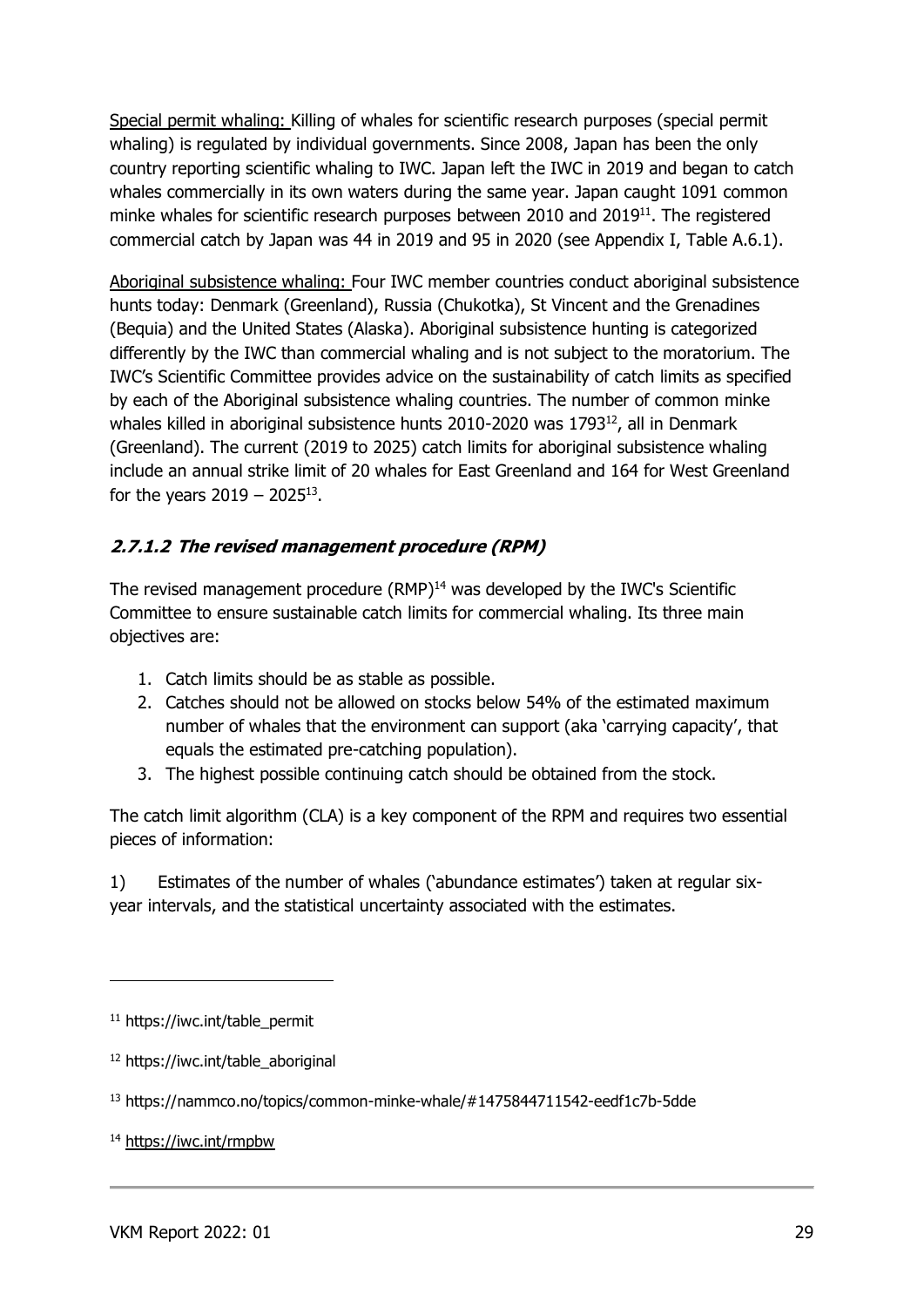Special permit whaling: Killing of whales for scientific research purposes (special permit whaling) is regulated by individual governments. Since 2008, Japan has been the only country reporting scientific whaling to IWC. Japan left the IWC in 2019 and began to catch whales commercially in its own waters during the same year. Japan caught 1091 common minke whales for scientific research purposes between  $2010$  and  $2019<sup>11</sup>$ . The registered commercial catch by Japan was 44 in 2019 and 95 in 2020 (see Appendix I, Table A.6.1).

Aboriginal subsistence whaling: Four IWC member countries conduct aboriginal subsistence hunts today: Denmark (Greenland), Russia (Chukotka), St Vincent and the Grenadines (Bequia) and the United States (Alaska). Aboriginal subsistence hunting is categorized differently by the IWC than commercial whaling and is not subject to the moratorium. The IWC's Scientific Committee provides advice on the sustainability of catch limits as specified by each of the Aboriginal subsistence whaling countries. The number of common minke whales killed in aboriginal subsistence hunts 2010-2020 was 1793 $^{12}$ , all in Denmark (Greenland). The current (2019 to 2025) catch limits for aboriginal subsistence whaling include an annual strike limit of 20 whales for East Greenland and 164 for West Greenland for the years  $2019 - 2025^{13}$ .

#### <span id="page-28-0"></span>**2.7.1.2 The revised management procedure (RPM)**

The revised management procedure (RMP)<sup>14</sup> was developed by the IWC's Scientific Committee to ensure sustainable catch limits for commercial whaling. Its three main objectives are:

- 1. Catch limits should be as stable as possible.
- 2. Catches should not be allowed on stocks below 54% of the estimated maximum number of whales that the environment can support (aka 'carrying capacity', that equals the estimated pre-catching population).
- 3. The highest possible continuing catch should be obtained from the stock.

The catch limit algorithm (CLA) is a key component of the RPM and requires two essential pieces of information:

1) Estimates of the number of whales ('abundance estimates') taken at regular sixyear intervals, and the statistical uncertainty associated with the estimates.

<sup>11</sup> https://iwc.int/table\_permit

<sup>12</sup> https://iwc.int/table\_aboriginal

<sup>13</sup> https://nammco.no/topics/common-minke-whale/#1475844711542-eedf1c7b-5dde

<sup>14</sup> <https://iwc.int/rmpbw>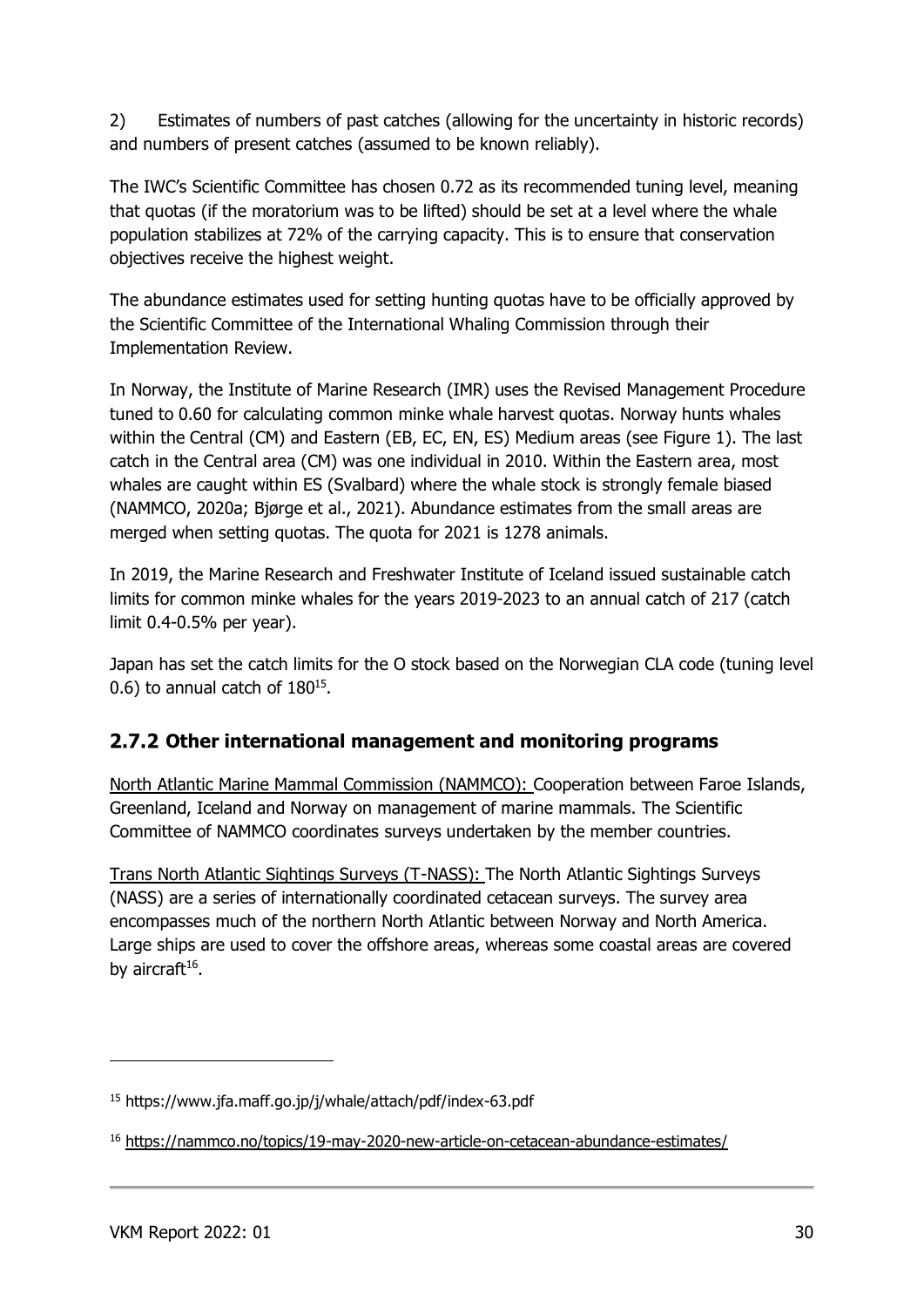2) Estimates of numbers of past catches (allowing for the uncertainty in historic records) and numbers of present catches (assumed to be known reliably).

The IWC's Scientific Committee has chosen 0.72 as its recommended tuning level, meaning that quotas (if the moratorium was to be lifted) should be set at a level where the whale population stabilizes at 72% of the carrying capacity. This is to ensure that conservation objectives receive the highest weight.

The abundance estimates used for setting hunting quotas have to be officially approved by the Scientific Committee of the International Whaling Commission through their Implementation Review.

In Norway, the Institute of Marine Research (IMR) uses the Revised Management Procedure tuned to 0.60 for calculating common minke whale harvest quotas. Norway hunts whales within the Central (CM) and Eastern (EB, EC, EN, ES) Medium areas (see Figure 1). The last catch in the Central area (CM) was one individual in 2010. Within the Eastern area, most whales are caught within ES (Svalbard) where the whale stock is strongly female biased (NAMMCO, 2020a; Bjørge et al., 2021). Abundance estimates from the small areas are merged when setting quotas. The quota for 2021 is 1278 animals.

In 2019, the Marine Research and Freshwater Institute of Iceland issued sustainable catch limits for common minke whales for the years 2019-2023 to an annual catch of 217 (catch limit 0.4-0.5% per year).

Japan has set the catch limits for the O stock based on the Norwegian CLA code (tuning level  $(0.6)$  to annual catch of  $180^{15}$ .

#### <span id="page-29-0"></span>**Other international management and monitoring programs**

North Atlantic Marine Mammal Commission (NAMMCO): Cooperation between Faroe Islands, Greenland, Iceland and Norway on management of marine mammals. The Scientific Committee of NAMMCO coordinates surveys undertaken by the member countries.

Trans North Atlantic Sightings Surveys (T-NASS): The North Atlantic Sightings Surveys (NASS) are a series of internationally coordinated cetacean surveys. The survey area encompasses much of the northern North Atlantic between Norway and North America. Large ships are used to cover the offshore areas, whereas some coastal areas are covered by aircraft<sup>16</sup>.

<sup>15</sup> https://www.jfa.maff.go.jp/j/whale/attach/pdf/index-63.pdf

<sup>16</sup> <https://nammco.no/topics/19-may-2020-new-article-on-cetacean-abundance-estimates/>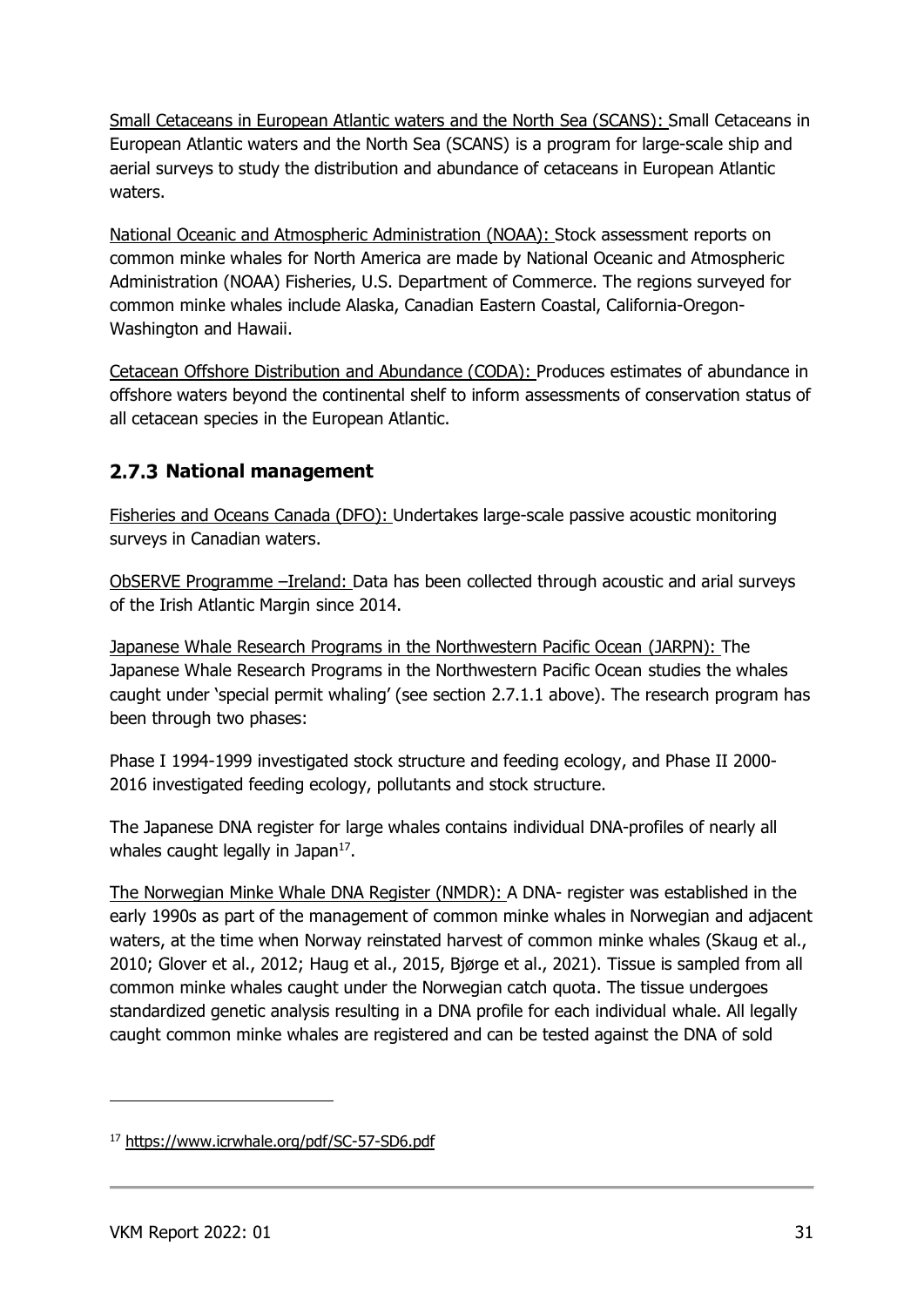Small Cetaceans in European Atlantic waters and the North Sea (SCANS): Small Cetaceans in European Atlantic waters and the North Sea (SCANS) is a program for large-scale ship and aerial surveys to study the distribution and abundance of cetaceans in European Atlantic waters.

National Oceanic and Atmospheric Administration (NOAA): Stock assessment reports on common minke whales for North America are made by National Oceanic and Atmospheric Administration (NOAA) Fisheries, U.S. Department of Commerce. The regions surveyed for common minke whales include Alaska, Canadian Eastern Coastal, California-Oregon-Washington and Hawaii.

Cetacean Offshore Distribution and Abundance (CODA): Produces estimates of abundance in offshore waters beyond the continental shelf to inform assessments of conservation status of all cetacean species in the European Atlantic.

#### <span id="page-30-0"></span>**National management**

Fisheries and Oceans Canada (DFO): Undertakes large-scale passive acoustic monitoring surveys in Canadian waters.

ObSERVE Programme –Ireland: Data has been collected through acoustic and arial surveys of the Irish Atlantic Margin since 2014.

Japanese Whale Research Programs in the Northwestern Pacific Ocean (JARPN): The Japanese Whale Research Programs in the Northwestern Pacific Ocean studies the whales caught under 'special permit whaling' (see section 2.7.1.1 above). The research program has been through two phases:

Phase I 1994-1999 investigated stock structure and feeding ecology, and Phase II 2000- 2016 investigated feeding ecology, pollutants and stock structure.

The Japanese DNA register for large whales contains individual DNA-profiles of nearly all whales caught legally in Japan<sup>17</sup>.

The Norwegian Minke Whale DNA Register (NMDR): A DNA- register was established in the early 1990s as part of the management of common minke whales in Norwegian and adjacent waters, at the time when Norway reinstated harvest of common minke whales (Skaug et al., 2010; Glover et al., 2012; Haug et al., 2015, Bjørge et al., 2021). Tissue is sampled from all common minke whales caught under the Norwegian catch quota. The tissue undergoes standardized genetic analysis resulting in a DNA profile for each individual whale. All legally caught common minke whales are registered and can be tested against the DNA of sold

<sup>17</sup> <https://www.icrwhale.org/pdf/SC-57-SD6.pdf>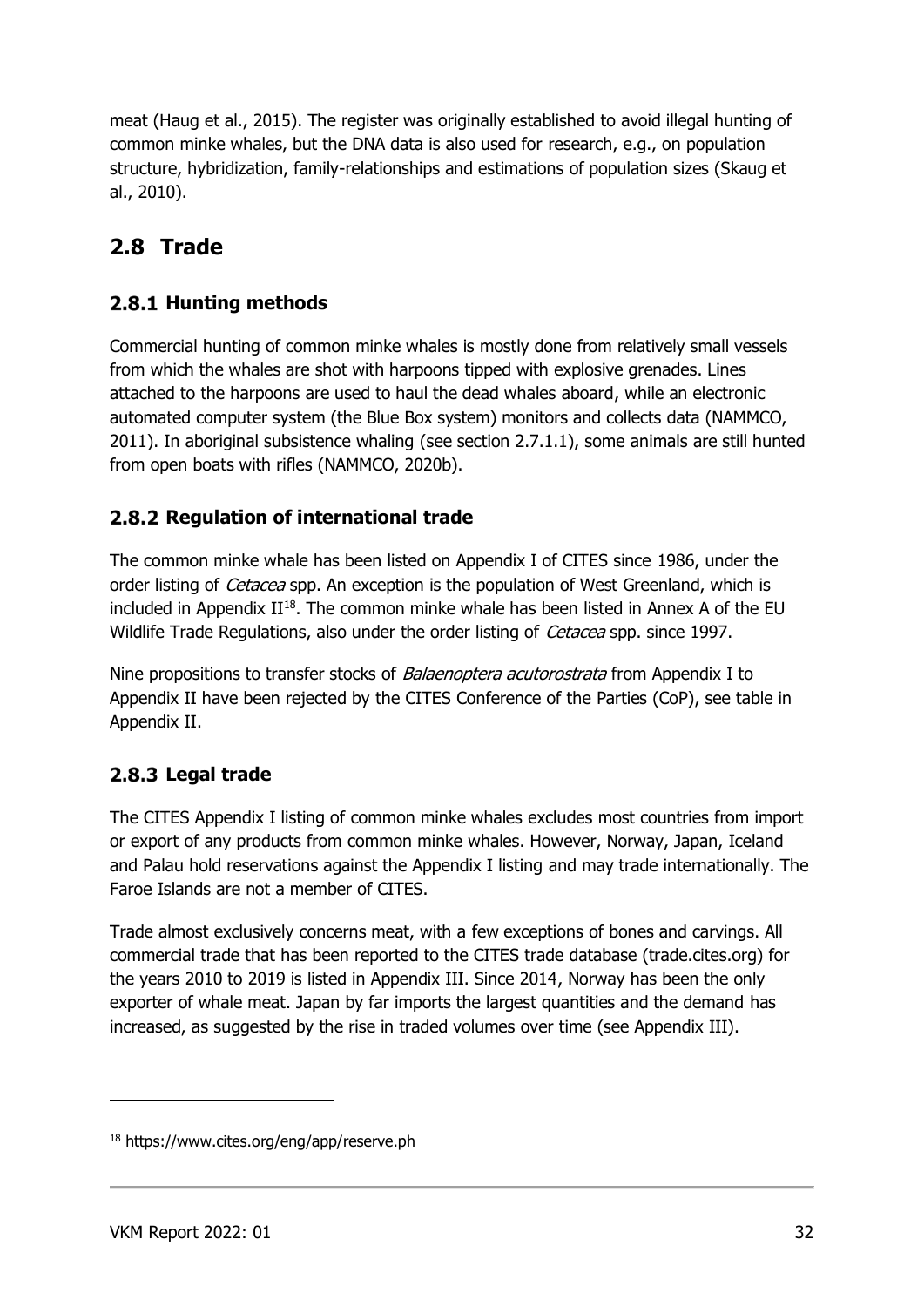meat (Haug et al., 2015). The register was originally established to avoid illegal hunting of common minke whales, but the DNA data is also used for research, e.g., on population structure, hybridization, family-relationships and estimations of population sizes (Skaug et al., 2010).

## <span id="page-31-0"></span>**2.8 Trade**

#### <span id="page-31-1"></span>**2.8.1 Hunting methods**

Commercial hunting of common minke whales is mostly done from relatively small vessels from which the whales are shot with harpoons tipped with explosive grenades. Lines attached to the harpoons are used to haul the dead whales aboard, while an electronic automated computer system (the Blue Box system) monitors and collects data (NAMMCO, 2011). In aboriginal subsistence whaling (see section 2.7.1.1), some animals are still hunted from open boats with rifles (NAMMCO, 2020b).

#### <span id="page-31-2"></span>**2.8.2 Regulation of international trade**

The common minke whale has been listed on Appendix I of CITES since 1986, under the order listing of *Cetacea* spp. An exception is the population of West Greenland, which is included in Appendix  $II^{18}$ . The common minke whale has been listed in Annex A of the EU Wildlife Trade Regulations, also under the order listing of *Cetacea* spp. since 1997.

Nine propositions to transfer stocks of *Balaenoptera acutorostrata* from Appendix I to Appendix II have been rejected by the CITES Conference of the Parties (CoP), see table in Appendix II.

#### <span id="page-31-3"></span>**Legal trade**

The CITES Appendix I listing of common minke whales excludes most countries from import or export of any products from common minke whales. However, Norway, Japan, Iceland and Palau hold reservations against the Appendix I listing and may trade internationally. The Faroe Islands are not a member of CITES.

Trade almost exclusively concerns meat, with a few exceptions of bones and carvings. All commercial trade that has been reported to the CITES trade database (trade.cites.org) for the years 2010 to 2019 is listed in Appendix III. Since 2014, Norway has been the only exporter of whale meat. Japan by far imports the largest quantities and the demand has increased, as suggested by the rise in traded volumes over time (see Appendix III).

<sup>18</sup> https://www.cites.org/eng/app/reserve.ph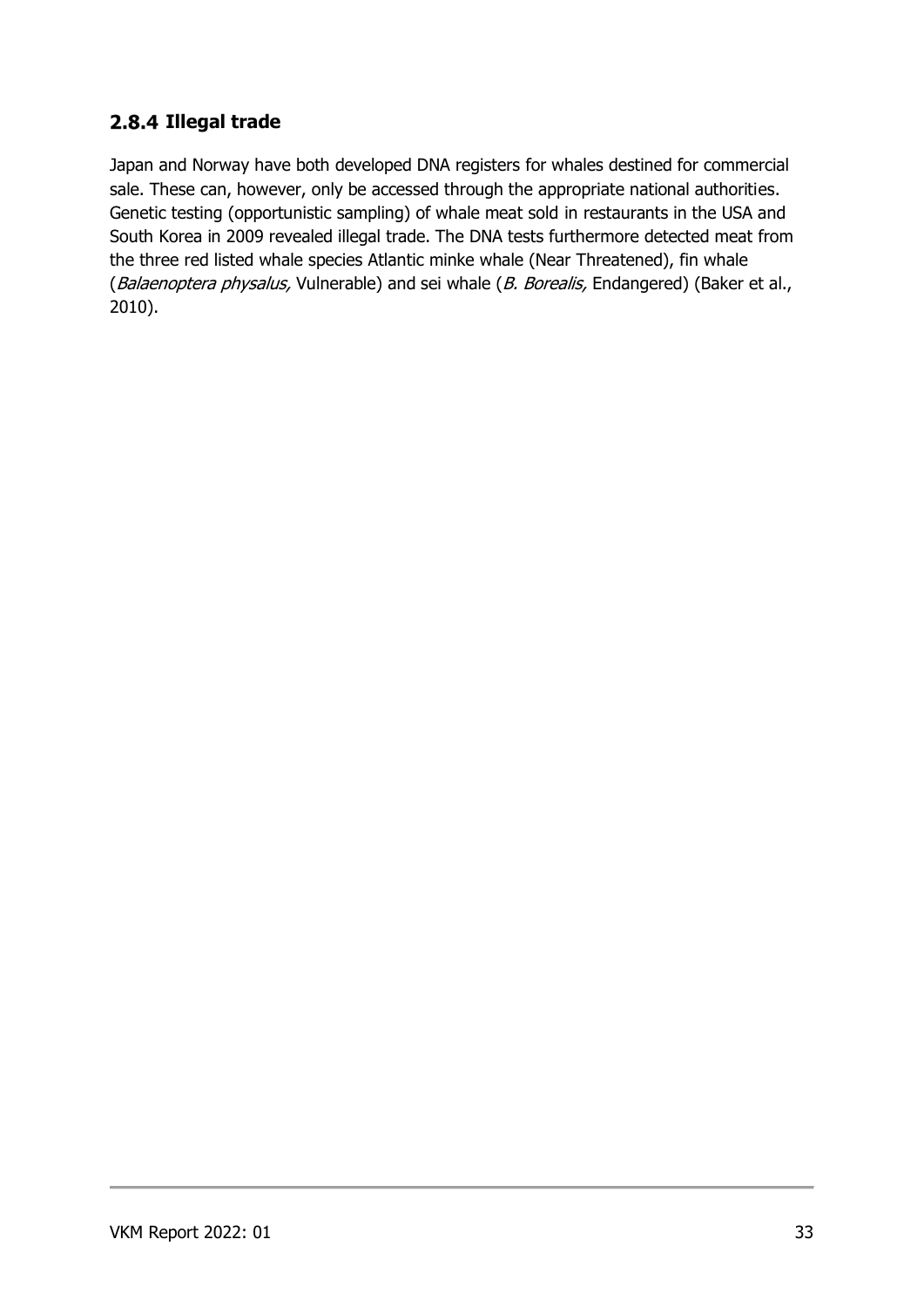#### <span id="page-32-0"></span>2.8.4 Illegal trade

Japan and Norway have both developed DNA registers for whales destined for commercial sale. These can, however, only be accessed through the appropriate national authorities. Genetic testing (opportunistic sampling) of whale meat sold in restaurants in the USA and South Korea in 2009 revealed illegal trade. The DNA tests furthermore detected meat from the three red listed whale species Atlantic minke whale (Near Threatened), fin whale (Balaenoptera physalus, Vulnerable) and sei whale (B. Borealis, Endangered) (Baker et al., 2010).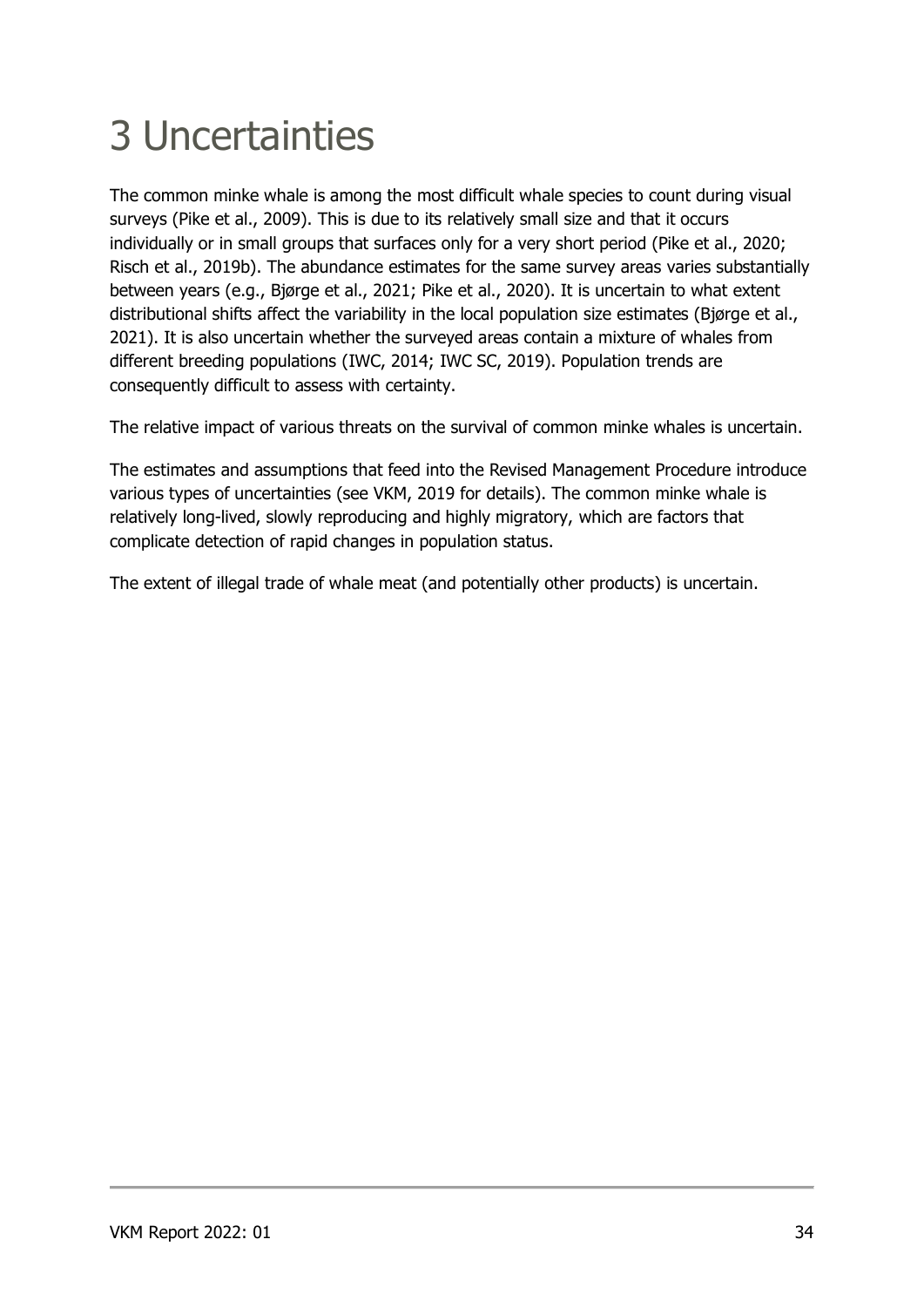# <span id="page-33-0"></span>3 Uncertainties

The common minke whale is among the most difficult whale species to count during visual surveys (Pike et al., 2009). This is due to its relatively small size and that it occurs individually or in small groups that surfaces only for a very short period (Pike et al., 2020; Risch et al., 2019b). The abundance estimates for the same survey areas varies substantially between years (e.g., Bjørge et al., 2021; Pike et al., 2020). It is uncertain to what extent distributional shifts affect the variability in the local population size estimates (Bjørge et al., 2021). It is also uncertain whether the surveyed areas contain a mixture of whales from different breeding populations (IWC, 2014; IWC SC, 2019). Population trends are consequently difficult to assess with certainty.

The relative impact of various threats on the survival of common minke whales is uncertain.

The estimates and assumptions that feed into the Revised Management Procedure introduce various types of uncertainties (see VKM, 2019 for details). The common minke whale is relatively long-lived, slowly reproducing and highly migratory, which are factors that complicate detection of rapid changes in population status.

The extent of illegal trade of whale meat (and potentially other products) is uncertain.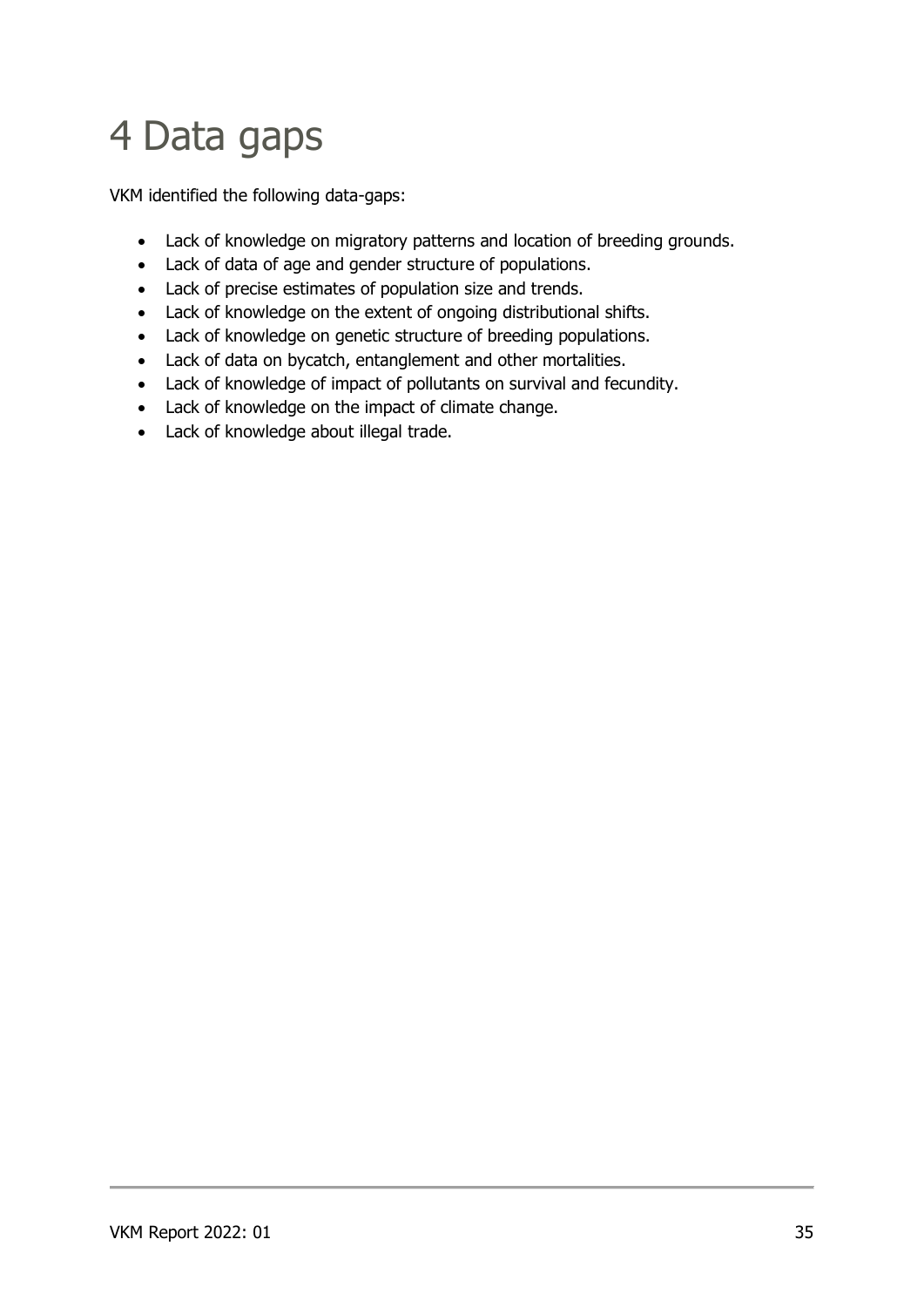## <span id="page-34-0"></span>4 Data gaps

VKM identified the following data-gaps:

- Lack of knowledge on migratory patterns and location of breeding grounds.
- Lack of data of age and gender structure of populations.
- Lack of precise estimates of population size and trends.
- Lack of knowledge on the extent of ongoing distributional shifts.
- Lack of knowledge on genetic structure of breeding populations.
- Lack of data on bycatch, entanglement and other mortalities.
- Lack of knowledge of impact of pollutants on survival and fecundity.
- Lack of knowledge on the impact of climate change.
- Lack of knowledge about illegal trade.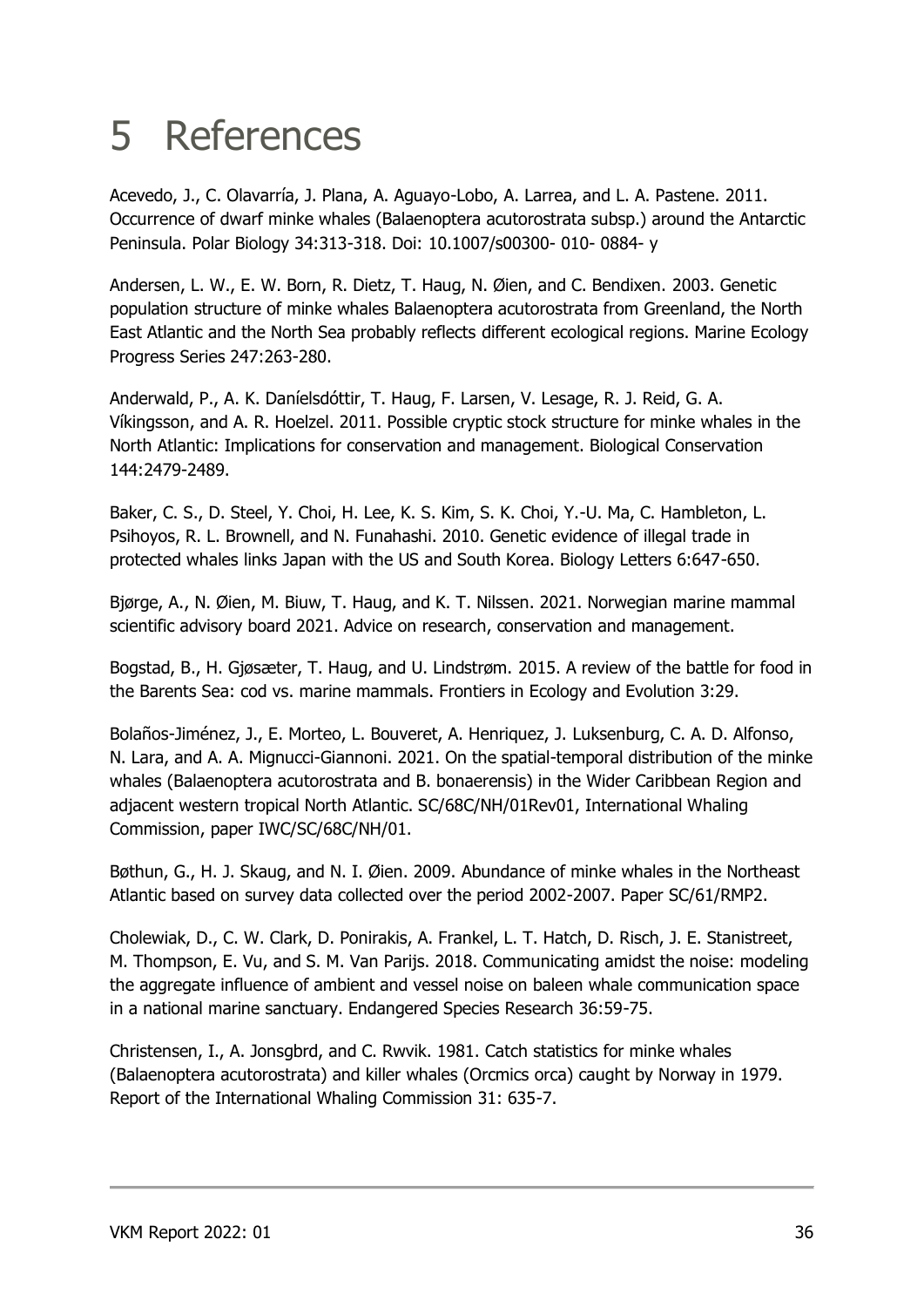## <span id="page-35-0"></span>5 References

Acevedo, J., C. Olavarría, J. Plana, A. Aguayo-Lobo, A. Larrea, and L. A. Pastene. 2011. Occurrence of dwarf minke whales (Balaenoptera acutorostrata subsp.) around the Antarctic Peninsula. Polar Biology 34:313-318. Doi: 10.1007/s00300- 010- 0884- y

Andersen, L. W., E. W. Born, R. Dietz, T. Haug, N. Øien, and C. Bendixen. 2003. Genetic population structure of minke whales Balaenoptera acutorostrata from Greenland, the North East Atlantic and the North Sea probably reflects different ecological regions. Marine Ecology Progress Series 247:263-280.

Anderwald, P., A. K. Daníelsdóttir, T. Haug, F. Larsen, V. Lesage, R. J. Reid, G. A. Víkingsson, and A. R. Hoelzel. 2011. Possible cryptic stock structure for minke whales in the North Atlantic: Implications for conservation and management. Biological Conservation 144:2479-2489.

Baker, C. S., D. Steel, Y. Choi, H. Lee, K. S. Kim, S. K. Choi, Y.-U. Ma, C. Hambleton, L. Psihoyos, R. L. Brownell, and N. Funahashi. 2010. Genetic evidence of illegal trade in protected whales links Japan with the US and South Korea. Biology Letters 6:647-650.

Bjørge, A., N. Øien, M. Biuw, T. Haug, and K. T. Nilssen. 2021. Norwegian marine mammal scientific advisory board 2021. Advice on research, conservation and management.

Bogstad, B., H. Gjøsæter, T. Haug, and U. Lindstrøm. 2015. A review of the battle for food in the Barents Sea: cod vs. marine mammals. Frontiers in Ecology and Evolution 3:29.

Bolaños-Jiménez, J., E. Morteo, L. Bouveret, A. Henriquez, J. Luksenburg, C. A. D. Alfonso, N. Lara, and A. A. Mignucci-Giannoni. 2021. On the spatial-temporal distribution of the minke whales (Balaenoptera acutorostrata and B. bonaerensis) in the Wider Caribbean Region and adjacent western tropical North Atlantic. SC/68C/NH/01Rev01, International Whaling Commission, paper IWC/SC/68C/NH/01.

Bøthun, G., H. J. Skaug, and N. I. Øien. 2009. Abundance of minke whales in the Northeast Atlantic based on survey data collected over the period 2002-2007. Paper SC/61/RMP2.

Cholewiak, D., C. W. Clark, D. Ponirakis, A. Frankel, L. T. Hatch, D. Risch, J. E. Stanistreet, M. Thompson, E. Vu, and S. M. Van Parijs. 2018. Communicating amidst the noise: modeling the aggregate influence of ambient and vessel noise on baleen whale communication space in a national marine sanctuary. Endangered Species Research 36:59-75.

Christensen, I., A. Jonsgbrd, and C. Rwvik. 1981. Catch statistics for minke whales (Balaenoptera acutorostrata) and killer whales (Orcmics orca) caught by Norway in 1979. Report of the International Whaling Commission 31: 635-7.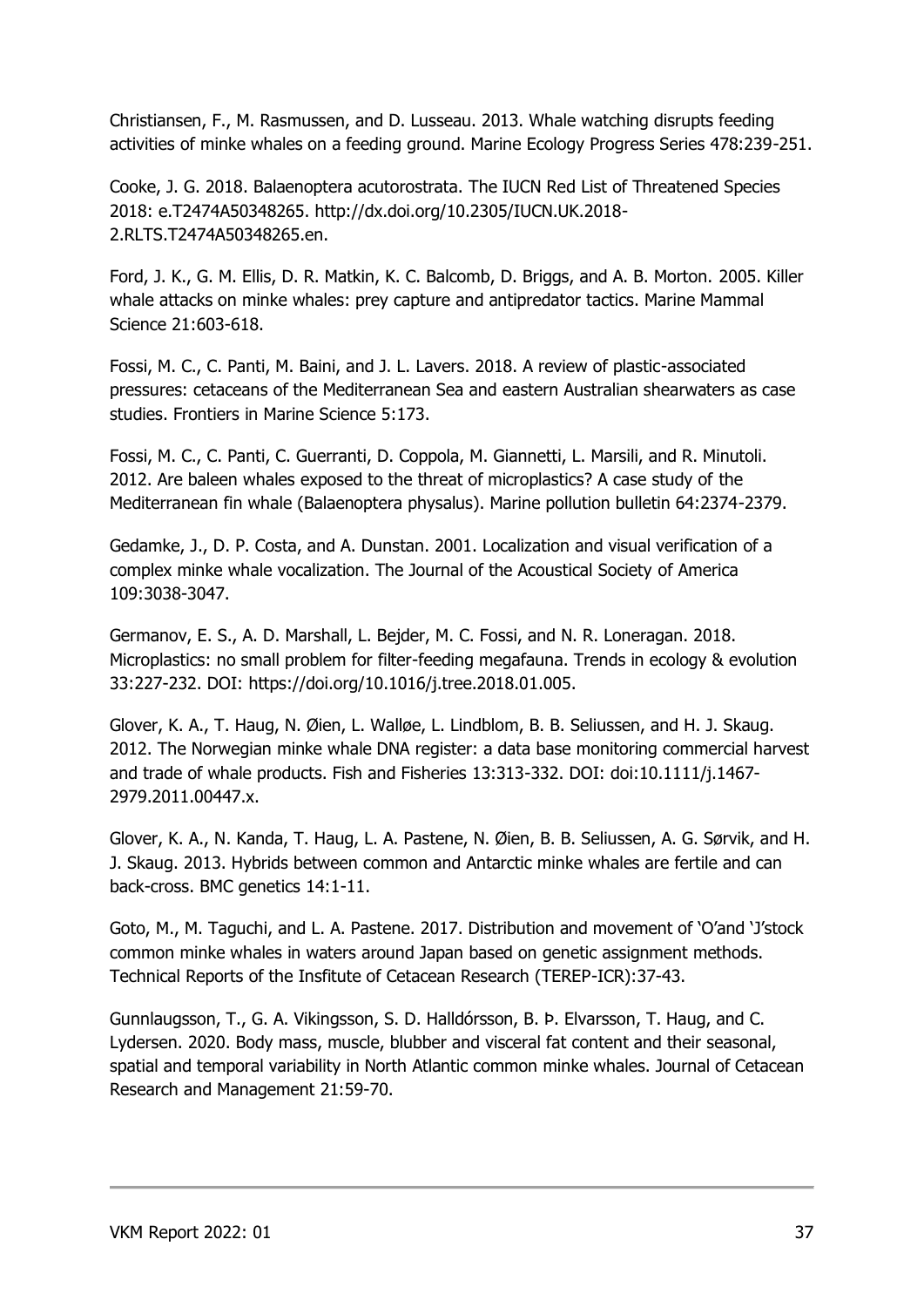Christiansen, F., M. Rasmussen, and D. Lusseau. 2013. Whale watching disrupts feeding activities of minke whales on a feeding ground. Marine Ecology Progress Series 478:239-251.

Cooke, J. G. 2018. Balaenoptera acutorostrata. The IUCN Red List of Threatened Species 2018: e.T2474A50348265. http://dx.doi.org/10.2305/IUCN.UK.2018- 2.RLTS.T2474A50348265.en.

Ford, J. K., G. M. Ellis, D. R. Matkin, K. C. Balcomb, D. Briggs, and A. B. Morton. 2005. Killer whale attacks on minke whales: prey capture and antipredator tactics. Marine Mammal Science 21:603-618.

Fossi, M. C., C. Panti, M. Baini, and J. L. Lavers. 2018. A review of plastic-associated pressures: cetaceans of the Mediterranean Sea and eastern Australian shearwaters as case studies. Frontiers in Marine Science 5:173.

Fossi, M. C., C. Panti, C. Guerranti, D. Coppola, M. Giannetti, L. Marsili, and R. Minutoli. 2012. Are baleen whales exposed to the threat of microplastics? A case study of the Mediterranean fin whale (Balaenoptera physalus). Marine pollution bulletin 64:2374-2379.

Gedamke, J., D. P. Costa, and A. Dunstan. 2001. Localization and visual verification of a complex minke whale vocalization. The Journal of the Acoustical Society of America 109:3038-3047.

Germanov, E. S., A. D. Marshall, L. Bejder, M. C. Fossi, and N. R. Loneragan. 2018. Microplastics: no small problem for filter-feeding megafauna. Trends in ecology & evolution 33:227-232. DOI: https://doi.org/10.1016/j.tree.2018.01.005.

Glover, K. A., T. Haug, N. Øien, L. Walløe, L. Lindblom, B. B. Seliussen, and H. J. Skaug. 2012. The Norwegian minke whale DNA register: a data base monitoring commercial harvest and trade of whale products. Fish and Fisheries 13:313-332. DOI: doi:10.1111/j.1467- 2979.2011.00447.x.

Glover, K. A., N. Kanda, T. Haug, L. A. Pastene, N. Øien, B. B. Seliussen, A. G. Sørvik, and H. J. Skaug. 2013. Hybrids between common and Antarctic minke whales are fertile and can back-cross. BMC genetics 14:1-11.

Goto, M., M. Taguchi, and L. A. Pastene. 2017. Distribution and movement of 'O'and 'J'stock common minke whales in waters around Japan based on genetic assignment methods. Technical Reports of the Insfitute of Cetacean Research (TEREP-ICR):37-43.

Gunnlaugsson, T., G. A. Vikingsson, S. D. Halldórsson, B. Þ. Elvarsson, T. Haug, and C. Lydersen. 2020. Body mass, muscle, blubber and visceral fat content and their seasonal, spatial and temporal variability in North Atlantic common minke whales. Journal of Cetacean Research and Management 21:59-70.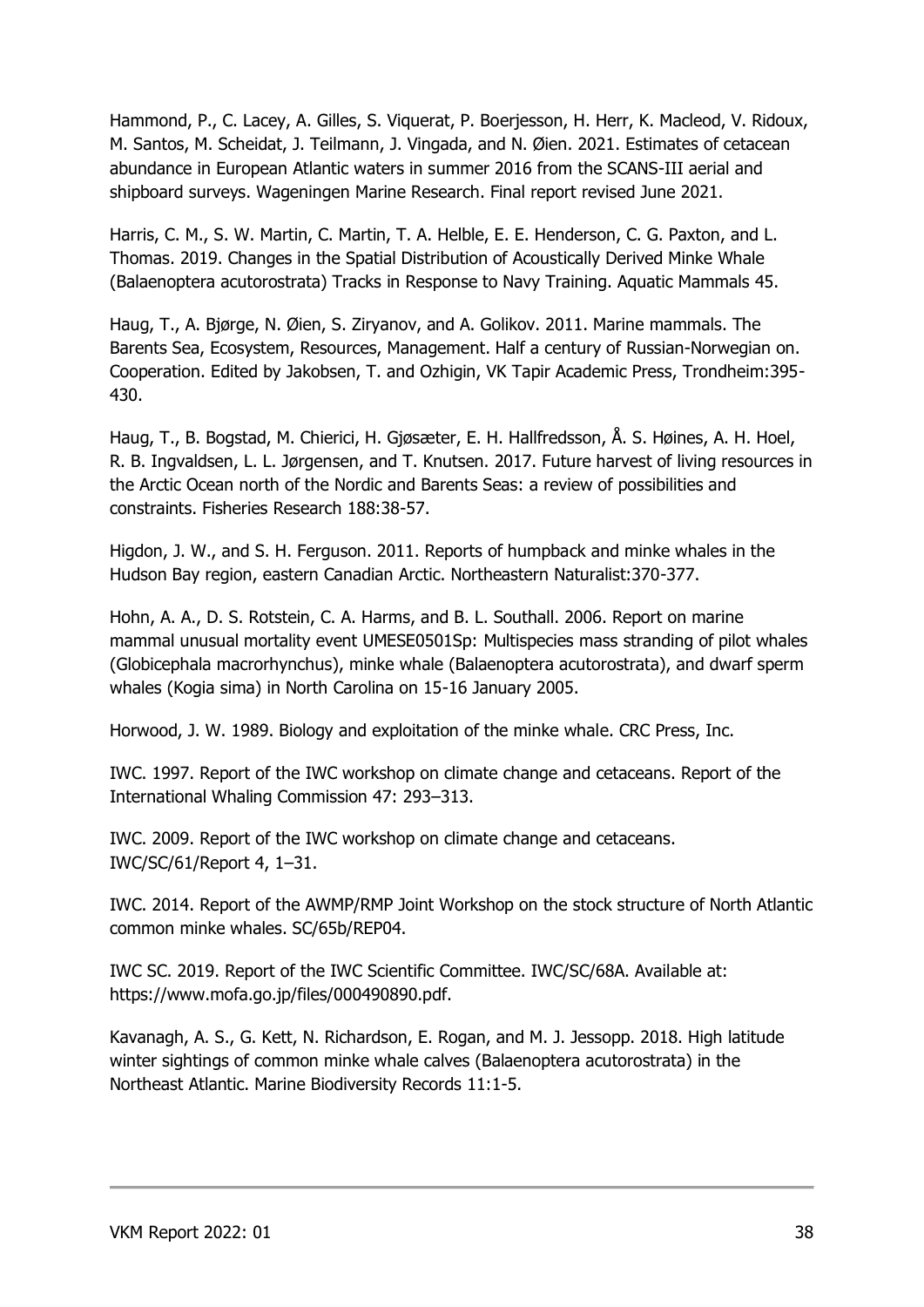Hammond, P., C. Lacey, A. Gilles, S. Viquerat, P. Boerjesson, H. Herr, K. Macleod, V. Ridoux, M. Santos, M. Scheidat, J. Teilmann, J. Vingada, and N. Øien. 2021. Estimates of cetacean abundance in European Atlantic waters in summer 2016 from the SCANS-III aerial and shipboard surveys. Wageningen Marine Research. Final report revised June 2021.

Harris, C. M., S. W. Martin, C. Martin, T. A. Helble, E. E. Henderson, C. G. Paxton, and L. Thomas. 2019. Changes in the Spatial Distribution of Acoustically Derived Minke Whale (Balaenoptera acutorostrata) Tracks in Response to Navy Training. Aquatic Mammals 45.

Haug, T., A. Bjørge, N. Øien, S. Ziryanov, and A. Golikov. 2011. Marine mammals. The Barents Sea, Ecosystem, Resources, Management. Half a century of Russian-Norwegian on. Cooperation. Edited by Jakobsen, T. and Ozhigin, VK Tapir Academic Press, Trondheim:395- 430.

Haug, T., B. Bogstad, M. Chierici, H. Gjøsæter, E. H. Hallfredsson, Å. S. Høines, A. H. Hoel, R. B. Ingvaldsen, L. L. Jørgensen, and T. Knutsen. 2017. Future harvest of living resources in the Arctic Ocean north of the Nordic and Barents Seas: a review of possibilities and constraints. Fisheries Research 188:38-57.

Higdon, J. W., and S. H. Ferguson. 2011. Reports of humpback and minke whales in the Hudson Bay region, eastern Canadian Arctic. Northeastern Naturalist:370-377.

Hohn, A. A., D. S. Rotstein, C. A. Harms, and B. L. Southall. 2006. Report on marine mammal unusual mortality event UMESE0501Sp: Multispecies mass stranding of pilot whales (Globicephala macrorhynchus), minke whale (Balaenoptera acutorostrata), and dwarf sperm whales (Kogia sima) in North Carolina on 15-16 January 2005.

Horwood, J. W. 1989. Biology and exploitation of the minke whale. CRC Press, Inc.

IWC. 1997. Report of the IWC workshop on climate change and cetaceans. Report of the International Whaling Commission 47: 293–313.

IWC. 2009. Report of the IWC workshop on climate change and cetaceans. IWC/SC/61/Report 4, 1–31.

IWC. 2014. Report of the AWMP/RMP Joint Workshop on the stock structure of North Atlantic common minke whales. SC/65b/REP04.

IWC SC. 2019. Report of the IWC Scientific Committee. IWC/SC/68A. Available at: https://www.mofa.go.jp/files/000490890.pdf.

Kavanagh, A. S., G. Kett, N. Richardson, E. Rogan, and M. J. Jessopp. 2018. High latitude winter sightings of common minke whale calves (Balaenoptera acutorostrata) in the Northeast Atlantic. Marine Biodiversity Records 11:1-5.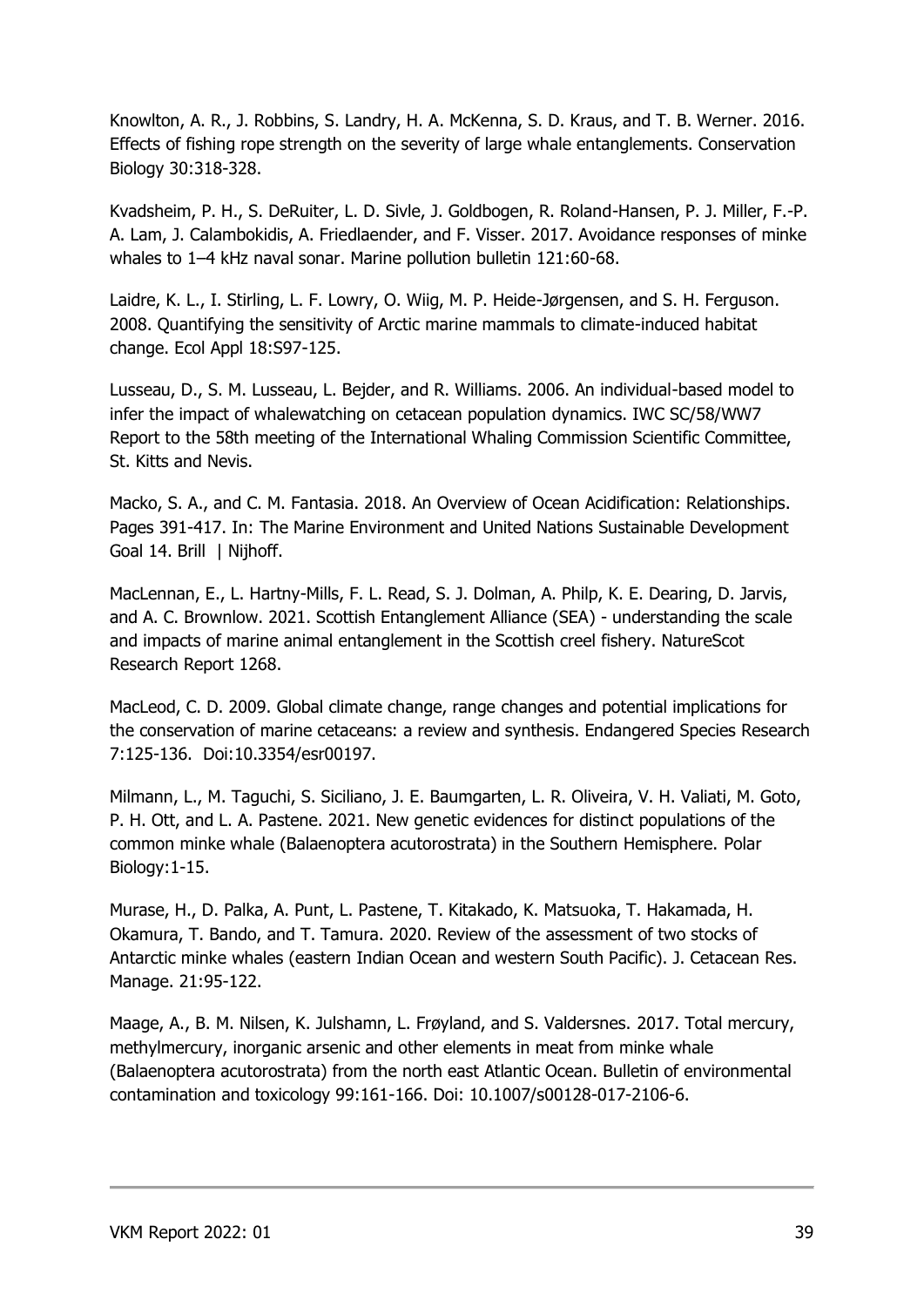Knowlton, A. R., J. Robbins, S. Landry, H. A. McKenna, S. D. Kraus, and T. B. Werner. 2016. Effects of fishing rope strength on the severity of large whale entanglements. Conservation Biology 30:318-328.

Kvadsheim, P. H., S. DeRuiter, L. D. Sivle, J. Goldbogen, R. Roland-Hansen, P. J. Miller, F.-P. A. Lam, J. Calambokidis, A. Friedlaender, and F. Visser. 2017. Avoidance responses of minke whales to 1–4 kHz naval sonar. Marine pollution bulletin 121:60-68.

Laidre, K. L., I. Stirling, L. F. Lowry, O. Wiig, M. P. Heide-Jørgensen, and S. H. Ferguson. 2008. Quantifying the sensitivity of Arctic marine mammals to climate-induced habitat change. Ecol Appl 18:S97-125.

Lusseau, D., S. M. Lusseau, L. Bejder, and R. Williams. 2006. An individual-based model to infer the impact of whalewatching on cetacean population dynamics. IWC SC/58/WW7 Report to the 58th meeting of the International Whaling Commission Scientific Committee, St. Kitts and Nevis.

Macko, S. A., and C. M. Fantasia. 2018. An Overview of Ocean Acidification: Relationships. Pages 391-417. In: The Marine Environment and United Nations Sustainable Development Goal 14. Brill | Nijhoff.

MacLennan, E., L. Hartny-Mills, F. L. Read, S. J. Dolman, A. Philp, K. E. Dearing, D. Jarvis, and A. C. Brownlow. 2021. Scottish Entanglement Alliance (SEA) - understanding the scale and impacts of marine animal entanglement in the Scottish creel fishery. NatureScot Research Report 1268.

MacLeod, C. D. 2009. Global climate change, range changes and potential implications for the conservation of marine cetaceans: a review and synthesis. Endangered Species Research 7:125-136. Doi:10.3354/esr00197.

Milmann, L., M. Taguchi, S. Siciliano, J. E. Baumgarten, L. R. Oliveira, V. H. Valiati, M. Goto, P. H. Ott, and L. A. Pastene. 2021. New genetic evidences for distinct populations of the common minke whale (Balaenoptera acutorostrata) in the Southern Hemisphere. Polar Biology:1-15.

Murase, H., D. Palka, A. Punt, L. Pastene, T. Kitakado, K. Matsuoka, T. Hakamada, H. Okamura, T. Bando, and T. Tamura. 2020. Review of the assessment of two stocks of Antarctic minke whales (eastern Indian Ocean and western South Pacific). J. Cetacean Res. Manage. 21:95-122.

Maage, A., B. M. Nilsen, K. Julshamn, L. Frøyland, and S. Valdersnes. 2017. Total mercury, methylmercury, inorganic arsenic and other elements in meat from minke whale (Balaenoptera acutorostrata) from the north east Atlantic Ocean. Bulletin of environmental contamination and toxicology 99:161-166. Doi: 10.1007/s00128-017-2106-6.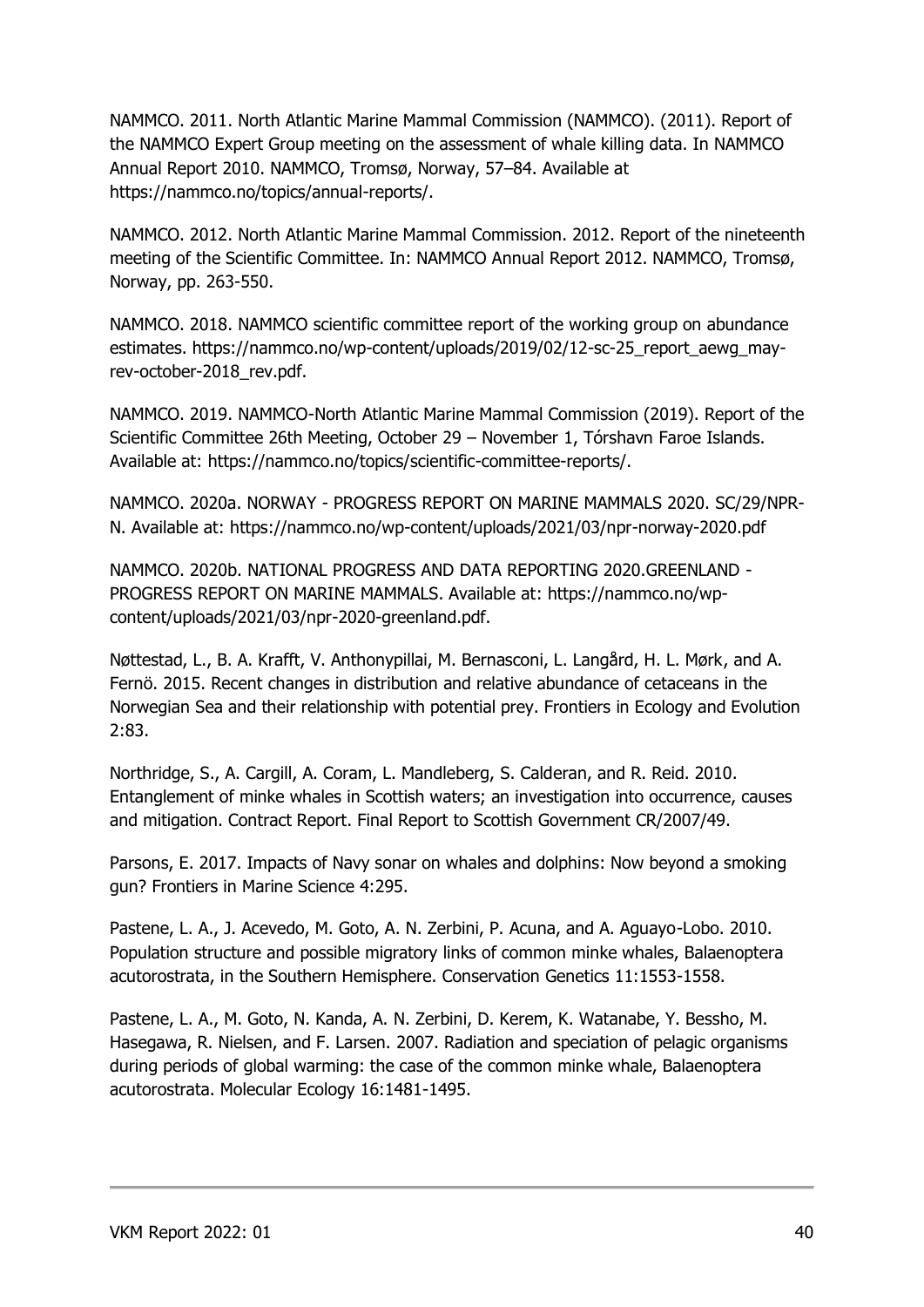NAMMCO. 2011. North Atlantic Marine Mammal Commission (NAMMCO). (2011). Report of the NAMMCO Expert Group meeting on the assessment of whale killing data. In NAMMCO Annual Report 2010. NAMMCO, Tromsø, Norway, 57–84. Available at https://nammco.no/topics/annual-reports/.

NAMMCO. 2012. North Atlantic Marine Mammal Commission. 2012. Report of the nineteenth meeting of the Scientific Committee. In: NAMMCO Annual Report 2012. NAMMCO, Tromsø, Norway, pp. 263-550.

NAMMCO. 2018. NAMMCO scientific committee report of the working group on abundance estimates. https://nammco.no/wp-content/uploads/2019/02/12-sc-25\_report\_aewg\_mayrev-october-2018 rev.pdf.

NAMMCO. 2019. NAMMCO-North Atlantic Marine Mammal Commission (2019). Report of the Scientific Committee 26th Meeting, October 29 – November 1, Tórshavn Faroe Islands. Available at: https://nammco.no/topics/scientific-committee-reports/.

NAMMCO. 2020a. NORWAY - PROGRESS REPORT ON MARINE MAMMALS 2020. SC/29/NPR-N. Available at: https://nammco.no/wp-content/uploads/2021/03/npr-norway-2020.pdf

NAMMCO. 2020b. NATIONAL PROGRESS AND DATA REPORTING 2020.GREENLAND - PROGRESS REPORT ON MARINE MAMMALS. Available at: https://nammco.no/wpcontent/uploads/2021/03/npr-2020-greenland.pdf.

Nøttestad, L., B. A. Krafft, V. Anthonypillai, M. Bernasconi, L. Langård, H. L. Mørk, and A. Fernö. 2015. Recent changes in distribution and relative abundance of cetaceans in the Norwegian Sea and their relationship with potential prey. Frontiers in Ecology and Evolution 2:83.

Northridge, S., A. Cargill, A. Coram, L. Mandleberg, S. Calderan, and R. Reid. 2010. Entanglement of minke whales in Scottish waters; an investigation into occurrence, causes and mitigation. Contract Report. Final Report to Scottish Government CR/2007/49.

Parsons, E. 2017. Impacts of Navy sonar on whales and dolphins: Now beyond a smoking gun? Frontiers in Marine Science 4:295.

Pastene, L. A., J. Acevedo, M. Goto, A. N. Zerbini, P. Acuna, and A. Aguayo-Lobo. 2010. Population structure and possible migratory links of common minke whales, Balaenoptera acutorostrata, in the Southern Hemisphere. Conservation Genetics 11:1553-1558.

Pastene, L. A., M. Goto, N. Kanda, A. N. Zerbini, D. Kerem, K. Watanabe, Y. Bessho, M. Hasegawa, R. Nielsen, and F. Larsen. 2007. Radiation and speciation of pelagic organisms during periods of global warming: the case of the common minke whale, Balaenoptera acutorostrata. Molecular Ecology 16:1481-1495.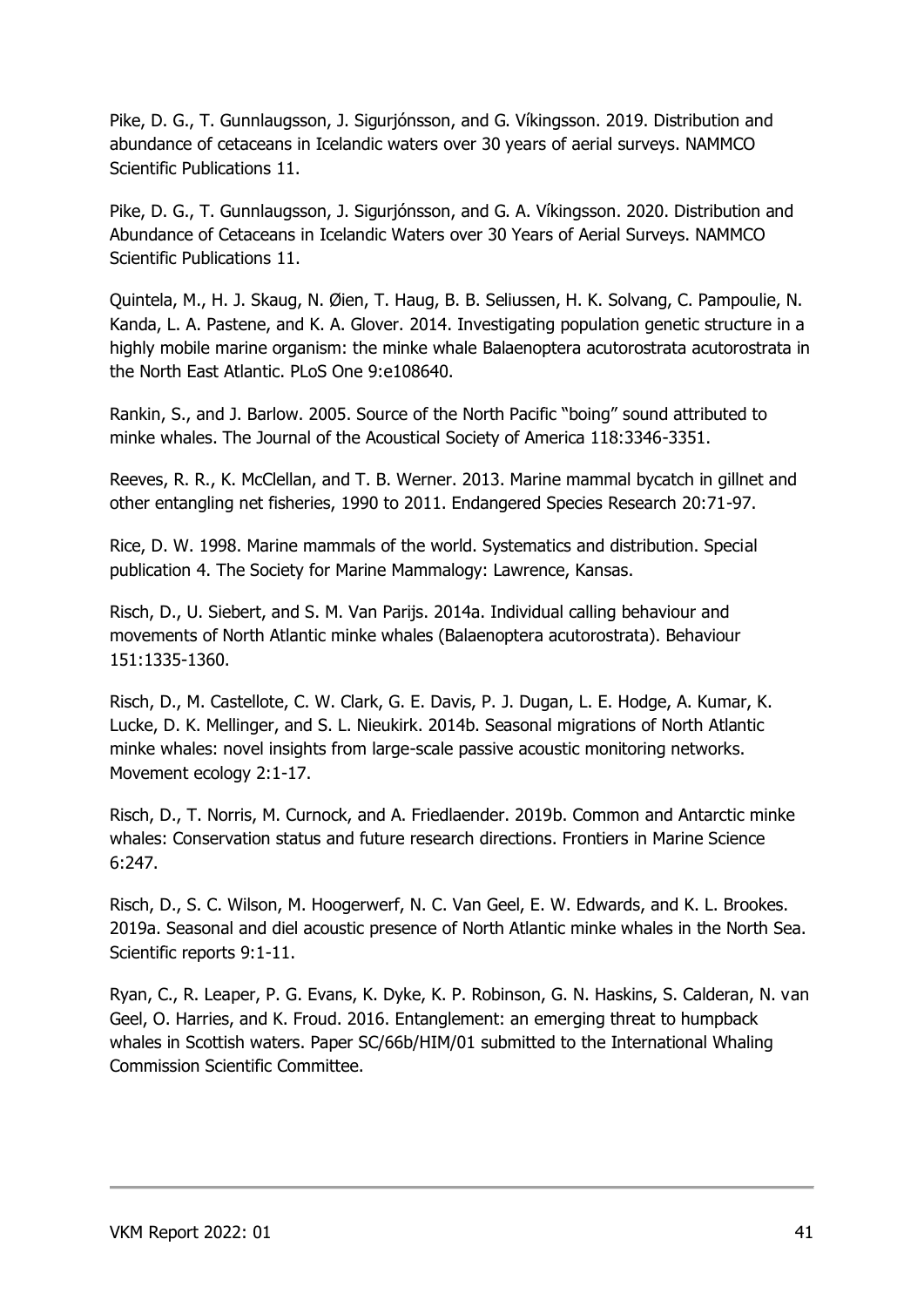Pike, D. G., T. Gunnlaugsson, J. Sigurjónsson, and G. Víkingsson. 2019. Distribution and abundance of cetaceans in Icelandic waters over 30 years of aerial surveys. NAMMCO Scientific Publications 11.

Pike, D. G., T. Gunnlaugsson, J. Sigurjónsson, and G. A. Víkingsson. 2020. Distribution and Abundance of Cetaceans in Icelandic Waters over 30 Years of Aerial Surveys. NAMMCO Scientific Publications 11.

Quintela, M., H. J. Skaug, N. Øien, T. Haug, B. B. Seliussen, H. K. Solvang, C. Pampoulie, N. Kanda, L. A. Pastene, and K. A. Glover. 2014. Investigating population genetic structure in a highly mobile marine organism: the minke whale Balaenoptera acutorostrata acutorostrata in the North East Atlantic. PLoS One 9:e108640.

Rankin, S., and J. Barlow. 2005. Source of the North Pacific "boing" sound attributed to minke whales. The Journal of the Acoustical Society of America 118:3346-3351.

Reeves, R. R., K. McClellan, and T. B. Werner. 2013. Marine mammal bycatch in gillnet and other entangling net fisheries, 1990 to 2011. Endangered Species Research 20:71-97.

Rice, D. W. 1998. Marine mammals of the world. Systematics and distribution. Special publication 4. The Society for Marine Mammalogy: Lawrence, Kansas.

Risch, D., U. Siebert, and S. M. Van Parijs. 2014a. Individual calling behaviour and movements of North Atlantic minke whales (Balaenoptera acutorostrata). Behaviour 151:1335-1360.

Risch, D., M. Castellote, C. W. Clark, G. E. Davis, P. J. Dugan, L. E. Hodge, A. Kumar, K. Lucke, D. K. Mellinger, and S. L. Nieukirk. 2014b. Seasonal migrations of North Atlantic minke whales: novel insights from large-scale passive acoustic monitoring networks. Movement ecology 2:1-17.

Risch, D., T. Norris, M. Curnock, and A. Friedlaender. 2019b. Common and Antarctic minke whales: Conservation status and future research directions. Frontiers in Marine Science 6:247.

Risch, D., S. C. Wilson, M. Hoogerwerf, N. C. Van Geel, E. W. Edwards, and K. L. Brookes. 2019a. Seasonal and diel acoustic presence of North Atlantic minke whales in the North Sea. Scientific reports 9:1-11.

Ryan, C., R. Leaper, P. G. Evans, K. Dyke, K. P. Robinson, G. N. Haskins, S. Calderan, N. van Geel, O. Harries, and K. Froud. 2016. Entanglement: an emerging threat to humpback whales in Scottish waters. Paper SC/66b/HIM/01 submitted to the International Whaling Commission Scientific Committee.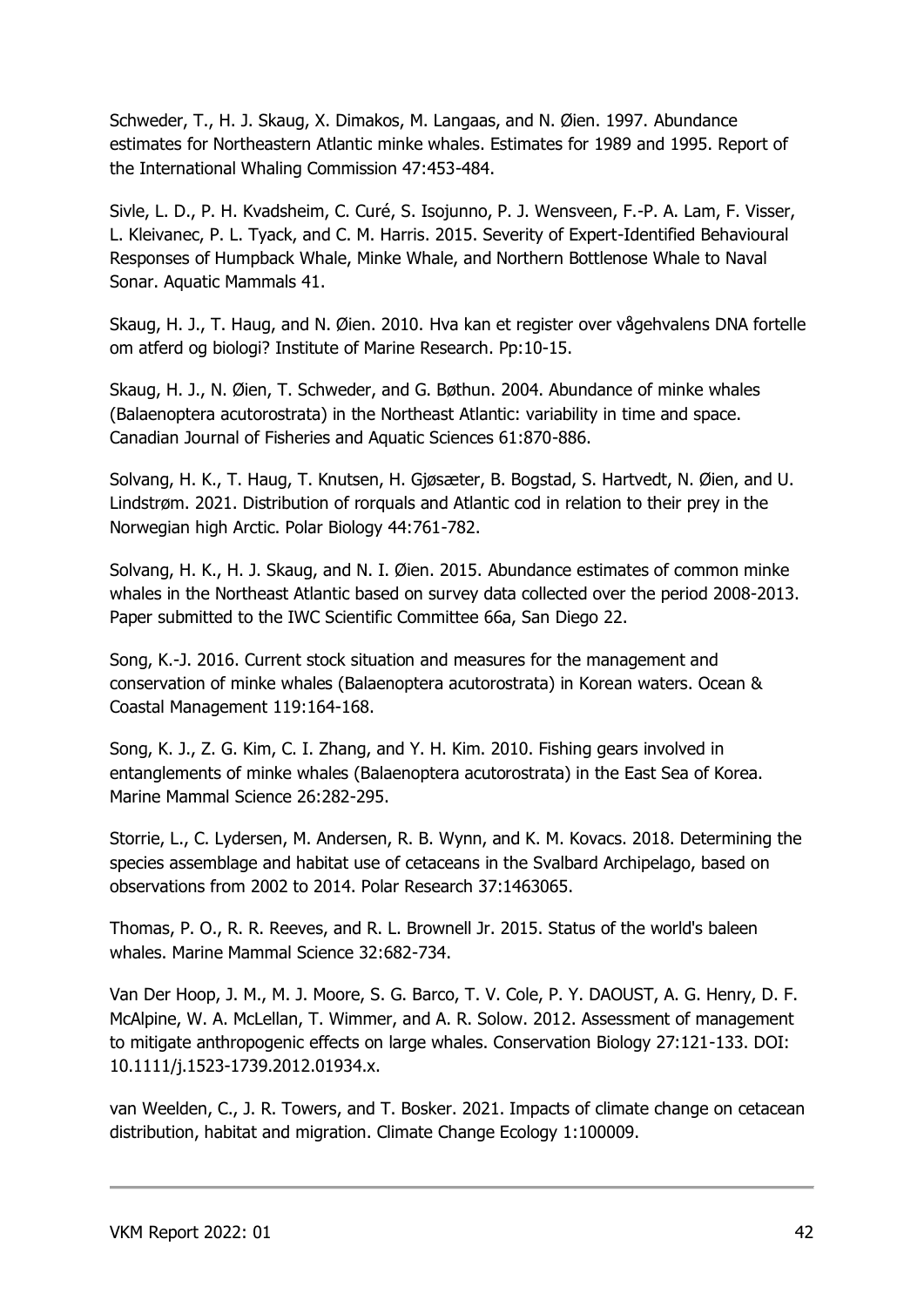Schweder, T., H. J. Skaug, X. Dimakos, M. Langaas, and N. Øien. 1997. Abundance estimates for Northeastern Atlantic minke whales. Estimates for 1989 and 1995. Report of the International Whaling Commission 47:453-484.

Sivle, L. D., P. H. Kvadsheim, C. Curé, S. Isojunno, P. J. Wensveen, F.-P. A. Lam, F. Visser, L. Kleivanec, P. L. Tyack, and C. M. Harris. 2015. Severity of Expert-Identified Behavioural Responses of Humpback Whale, Minke Whale, and Northern Bottlenose Whale to Naval Sonar. Aquatic Mammals 41.

Skaug, H. J., T. Haug, and N. Øien. 2010. Hva kan et register over vågehvalens DNA fortelle om atferd og biologi? Institute of Marine Research. Pp:10-15.

Skaug, H. J., N. Øien, T. Schweder, and G. Bøthun. 2004. Abundance of minke whales (Balaenoptera acutorostrata) in the Northeast Atlantic: variability in time and space. Canadian Journal of Fisheries and Aquatic Sciences 61:870-886.

Solvang, H. K., T. Haug, T. Knutsen, H. Gjøsæter, B. Bogstad, S. Hartvedt, N. Øien, and U. Lindstrøm. 2021. Distribution of rorquals and Atlantic cod in relation to their prey in the Norwegian high Arctic. Polar Biology 44:761-782.

Solvang, H. K., H. J. Skaug, and N. I. Øien. 2015. Abundance estimates of common minke whales in the Northeast Atlantic based on survey data collected over the period 2008-2013. Paper submitted to the IWC Scientific Committee 66a, San Diego 22.

Song, K.-J. 2016. Current stock situation and measures for the management and conservation of minke whales (Balaenoptera acutorostrata) in Korean waters. Ocean & Coastal Management 119:164-168.

Song, K. J., Z. G. Kim, C. I. Zhang, and Y. H. Kim. 2010. Fishing gears involved in entanglements of minke whales (Balaenoptera acutorostrata) in the East Sea of Korea. Marine Mammal Science 26:282-295.

Storrie, L., C. Lydersen, M. Andersen, R. B. Wynn, and K. M. Kovacs. 2018. Determining the species assemblage and habitat use of cetaceans in the Svalbard Archipelago, based on observations from 2002 to 2014. Polar Research 37:1463065.

Thomas, P. O., R. R. Reeves, and R. L. Brownell Jr. 2015. Status of the world's baleen whales. Marine Mammal Science 32:682-734.

Van Der Hoop, J. M., M. J. Moore, S. G. Barco, T. V. Cole, P. Y. DAOUST, A. G. Henry, D. F. McAlpine, W. A. McLellan, T. Wimmer, and A. R. Solow. 2012. Assessment of management to mitigate anthropogenic effects on large whales. Conservation Biology 27:121-133. DOI: 10.1111/j.1523-1739.2012.01934.x.

van Weelden, C., J. R. Towers, and T. Bosker. 2021. Impacts of climate change on cetacean distribution, habitat and migration. Climate Change Ecology 1:100009.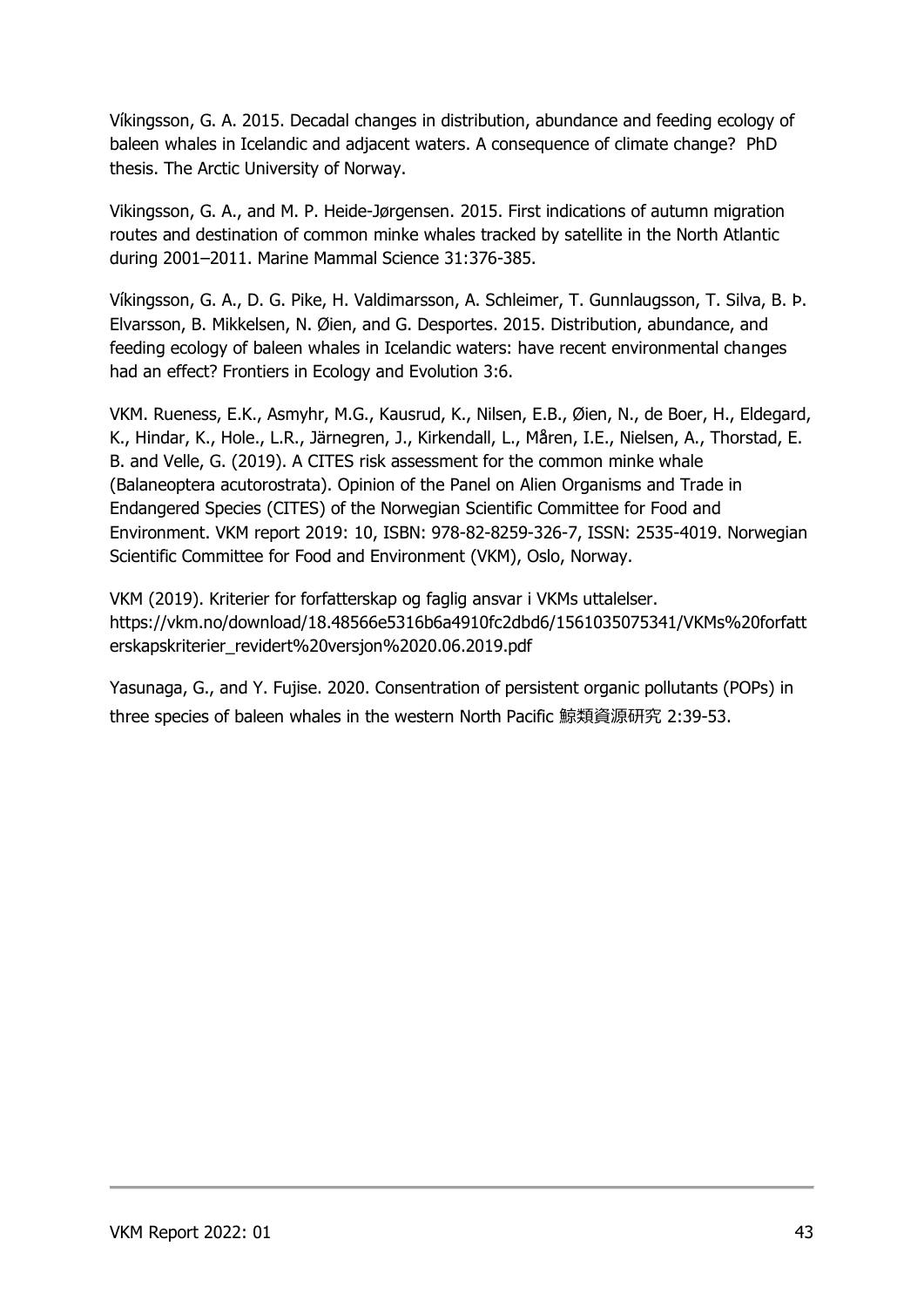Víkingsson, G. A. 2015. Decadal changes in distribution, abundance and feeding ecology of baleen whales in Icelandic and adjacent waters. A consequence of climate change? PhD thesis. The Arctic University of Norway.

Vikingsson, G. A., and M. P. Heide‐Jørgensen. 2015. First indications of autumn migration routes and destination of common minke whales tracked by satellite in the North Atlantic during 2001–2011. Marine Mammal Science 31:376-385.

Víkingsson, G. A., D. G. Pike, H. Valdimarsson, A. Schleimer, T. Gunnlaugsson, T. Silva, B. Þ. Elvarsson, B. Mikkelsen, N. Øien, and G. Desportes. 2015. Distribution, abundance, and feeding ecology of baleen whales in Icelandic waters: have recent environmental changes had an effect? Frontiers in Ecology and Evolution 3:6.

VKM. Rueness, E.K., Asmyhr, M.G., Kausrud, K., Nilsen, E.B., Øien, N., de Boer, H., Eldegard, K., Hindar, K., Hole., L.R., Järnegren, J., Kirkendall, L., Måren, I.E., Nielsen, A., Thorstad, E. B. and Velle, G. (2019). A CITES risk assessment for the common minke whale (Balaneoptera acutorostrata). Opinion of the Panel on Alien Organisms and Trade in Endangered Species (CITES) of the Norwegian Scientific Committee for Food and Environment. VKM report 2019: 10, ISBN: 978-82-8259-326-7, ISSN: 2535-4019. Norwegian Scientific Committee for Food and Environment (VKM), Oslo, Norway.

VKM (2019). Kriterier for forfatterskap og faglig ansvar i VKMs uttalelser. https://vkm.no/download/18.48566e5316b6a4910fc2dbd6/1561035075341/VKMs%20forfatt erskapskriterier\_revidert%20versjon%2020.06.2019.pdf

Yasunaga, G., and Y. Fujise. 2020. Consentration of persistent organic pollutants (POPs) in three species of baleen whales in the western North Pacific 鯨類資源研究 2:39-53.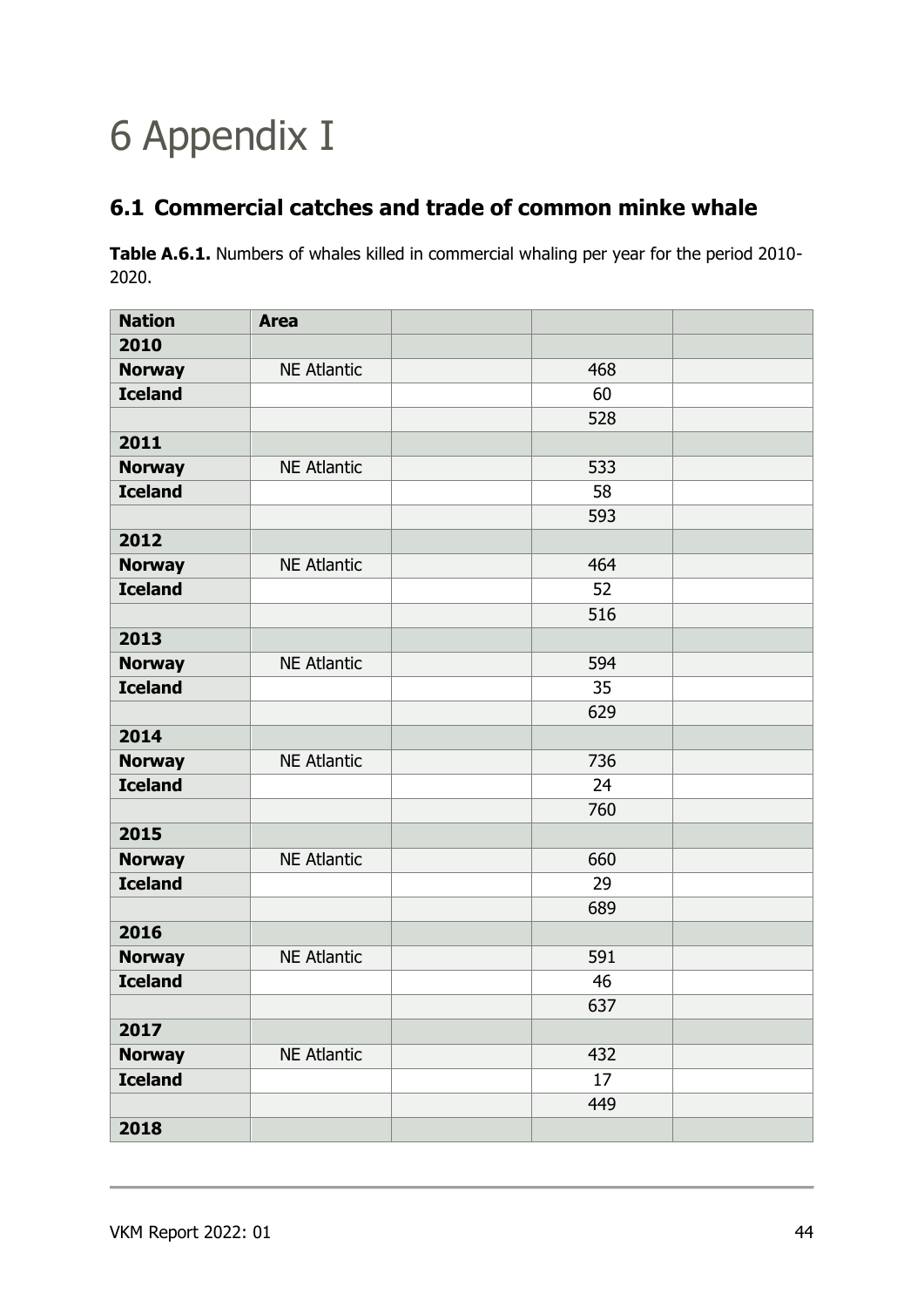# <span id="page-43-0"></span>6 Appendix I

## <span id="page-43-1"></span>**6.1 Commercial catches and trade of common minke whale**

**Table A.6.1.** Numbers of whales killed in commercial whaling per year for the period 2010- 2020.

| <b>Nation</b>  | <b>Area</b>        |     |  |
|----------------|--------------------|-----|--|
| 2010           |                    |     |  |
| <b>Norway</b>  | <b>NE Atlantic</b> | 468 |  |
| <b>Iceland</b> |                    | 60  |  |
|                |                    | 528 |  |
| 2011           |                    |     |  |
| <b>Norway</b>  | <b>NE Atlantic</b> | 533 |  |
| <b>Iceland</b> |                    | 58  |  |
|                |                    | 593 |  |
| 2012           |                    |     |  |
| <b>Norway</b>  | <b>NE Atlantic</b> | 464 |  |
| <b>Iceland</b> |                    | 52  |  |
|                |                    | 516 |  |
| 2013           |                    |     |  |
| <b>Norway</b>  | <b>NE Atlantic</b> | 594 |  |
| <b>Iceland</b> |                    | 35  |  |
|                |                    | 629 |  |
| 2014           |                    |     |  |
| <b>Norway</b>  | <b>NE Atlantic</b> | 736 |  |
| <b>Iceland</b> |                    | 24  |  |
|                |                    | 760 |  |
| 2015           |                    |     |  |
| <b>Norway</b>  | <b>NE Atlantic</b> | 660 |  |
| <b>Iceland</b> |                    | 29  |  |
|                |                    | 689 |  |
| 2016           |                    |     |  |
| <b>Norway</b>  | <b>NE Atlantic</b> | 591 |  |
| <b>Iceland</b> |                    | 46  |  |
|                |                    | 637 |  |
| 2017           |                    |     |  |
| <b>Norway</b>  | <b>NE Atlantic</b> | 432 |  |
| <b>Iceland</b> |                    | 17  |  |
|                |                    | 449 |  |
| 2018           |                    |     |  |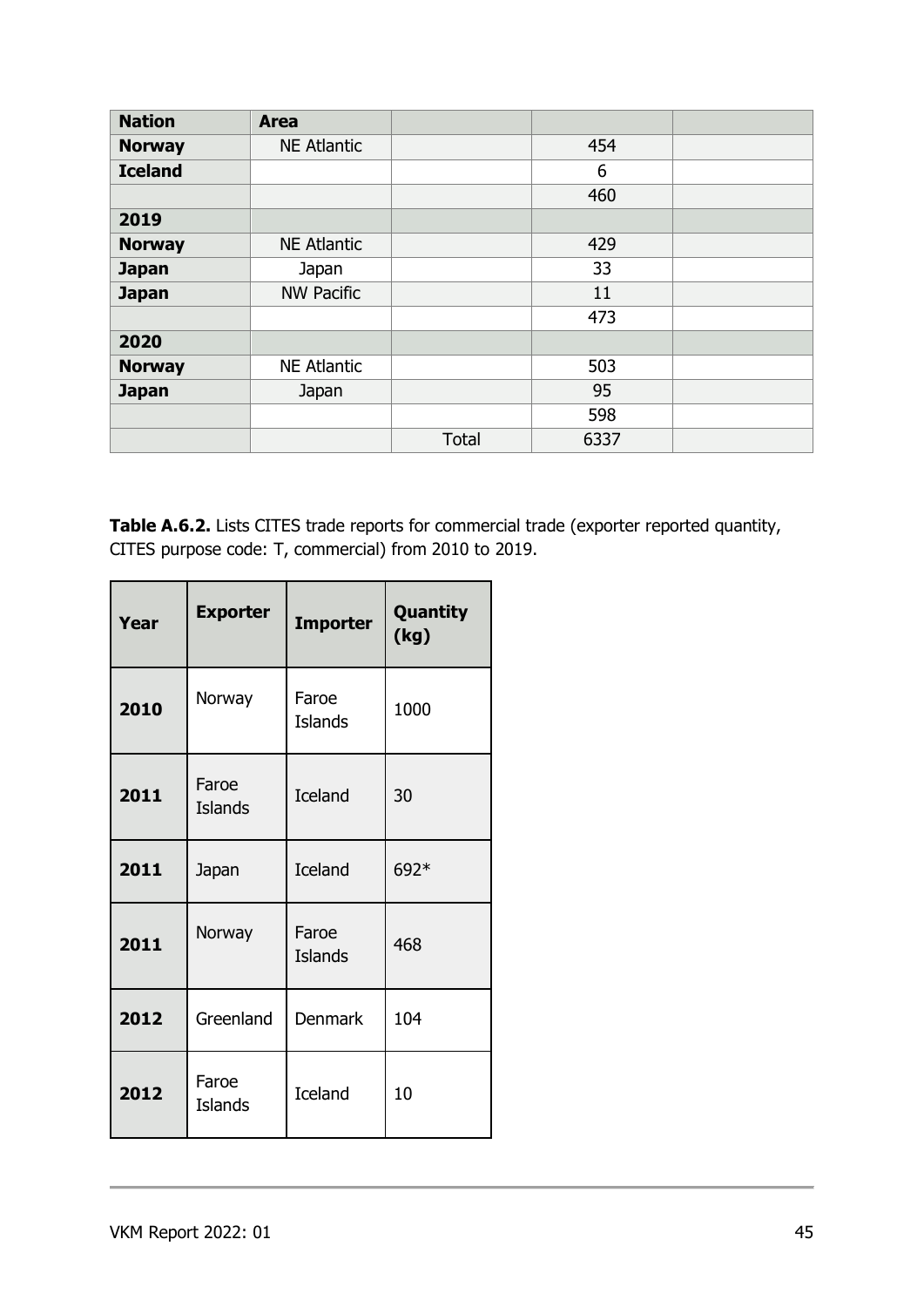| <b>Nation</b>  | <b>Area</b>        |              |      |  |
|----------------|--------------------|--------------|------|--|
| <b>Norway</b>  | <b>NE Atlantic</b> |              | 454  |  |
| <b>Iceland</b> |                    |              | 6    |  |
|                |                    |              | 460  |  |
| 2019           |                    |              |      |  |
| <b>Norway</b>  | <b>NE Atlantic</b> |              | 429  |  |
| <b>Japan</b>   | Japan              |              | 33   |  |
| <b>Japan</b>   | <b>NW Pacific</b>  |              | 11   |  |
|                |                    |              | 473  |  |
| 2020           |                    |              |      |  |
| <b>Norway</b>  | <b>NE Atlantic</b> |              | 503  |  |
| <b>Japan</b>   | Japan              |              | 95   |  |
|                |                    |              | 598  |  |
|                |                    | <b>Total</b> | 6337 |  |

**Table A.6.2.** Lists CITES trade reports for commercial trade (exporter reported quantity, CITES purpose code: T, commercial) from 2010 to 2019.

| Year           | <b>Exporter</b>         | <b>Importer</b>         | <b>Quantity</b><br>(kg) |
|----------------|-------------------------|-------------------------|-------------------------|
| Norway<br>2010 |                         | Faroe<br><b>Islands</b> | 1000                    |
| 2011           | Faroe<br><b>Islands</b> | <b>Iceland</b>          | 30                      |
| 2011           | Japan                   | <b>Iceland</b>          | 692*                    |
| 2011           | Norway                  | Faroe<br>Islands        | 468                     |
| 2012           | Greenland               | Denmark                 | 104                     |
| 2012           | Faroe<br><b>Islands</b> | <b>Iceland</b>          | 10                      |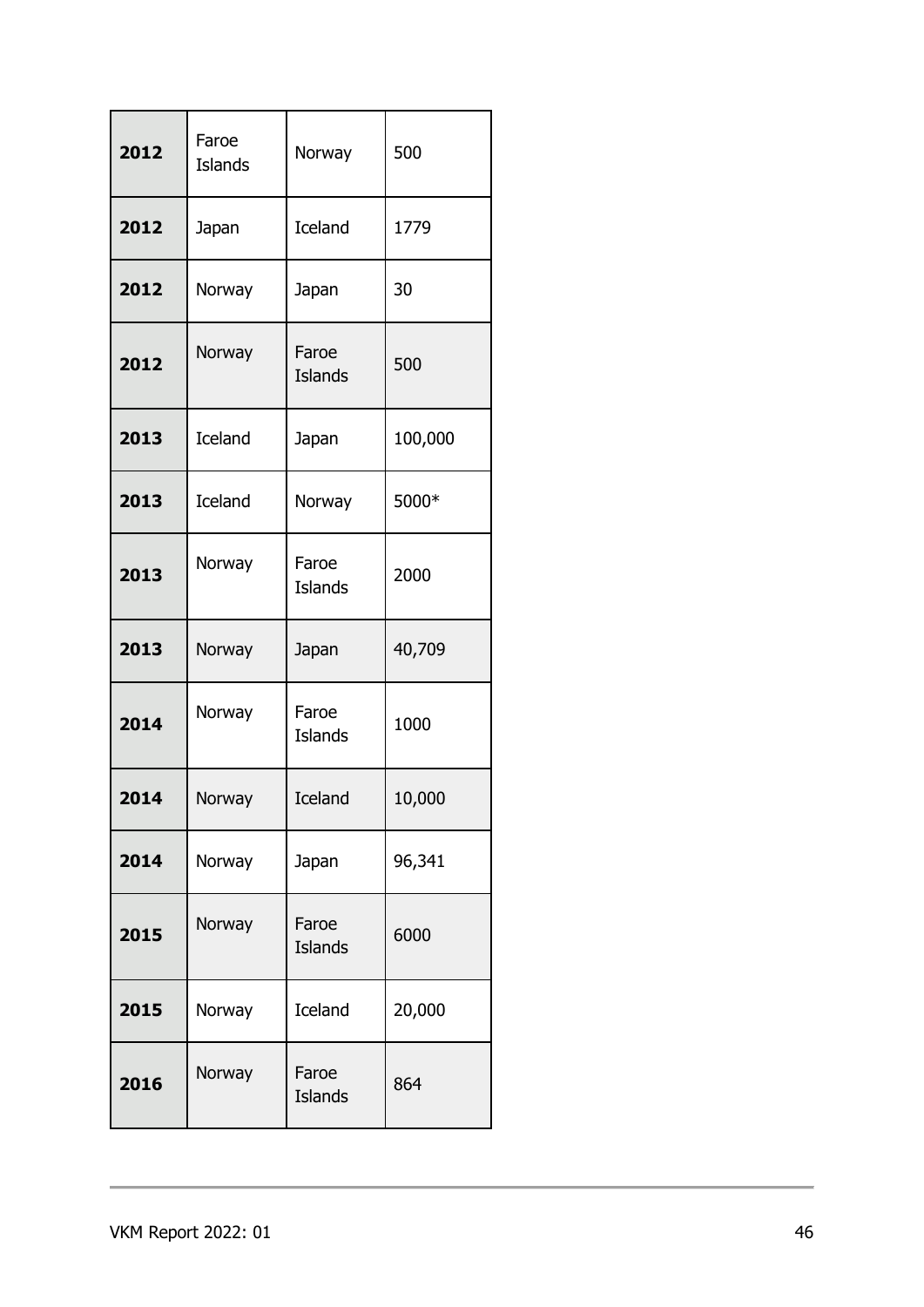| 2012 | Faroe<br><b>Islands</b> | Norway                  | 500     |
|------|-------------------------|-------------------------|---------|
| 2012 | Japan                   | <b>Iceland</b>          | 1779    |
| 2012 | Norway                  | Japan                   | 30      |
| 2012 | Norway                  | Faroe<br><b>Islands</b> | 500     |
| 2013 | <b>Iceland</b>          | Japan                   | 100,000 |
| 2013 | <b>Iceland</b>          | Norway                  | 5000*   |
| 2013 | Norway                  | Faroe<br><b>Islands</b> | 2000    |
| 2013 | Norway                  | Japan                   | 40,709  |
| 2014 | Norway                  | Faroe<br><b>Islands</b> | 1000    |
| 2014 | Norway                  | Iceland                 | 10,000  |
| 2014 | Norway                  | Japan                   | 96,341  |
| 2015 | Norway                  | Faroe<br><b>Islands</b> | 6000    |
| 2015 | Norway                  | <b>Iceland</b>          | 20,000  |
|      |                         |                         |         |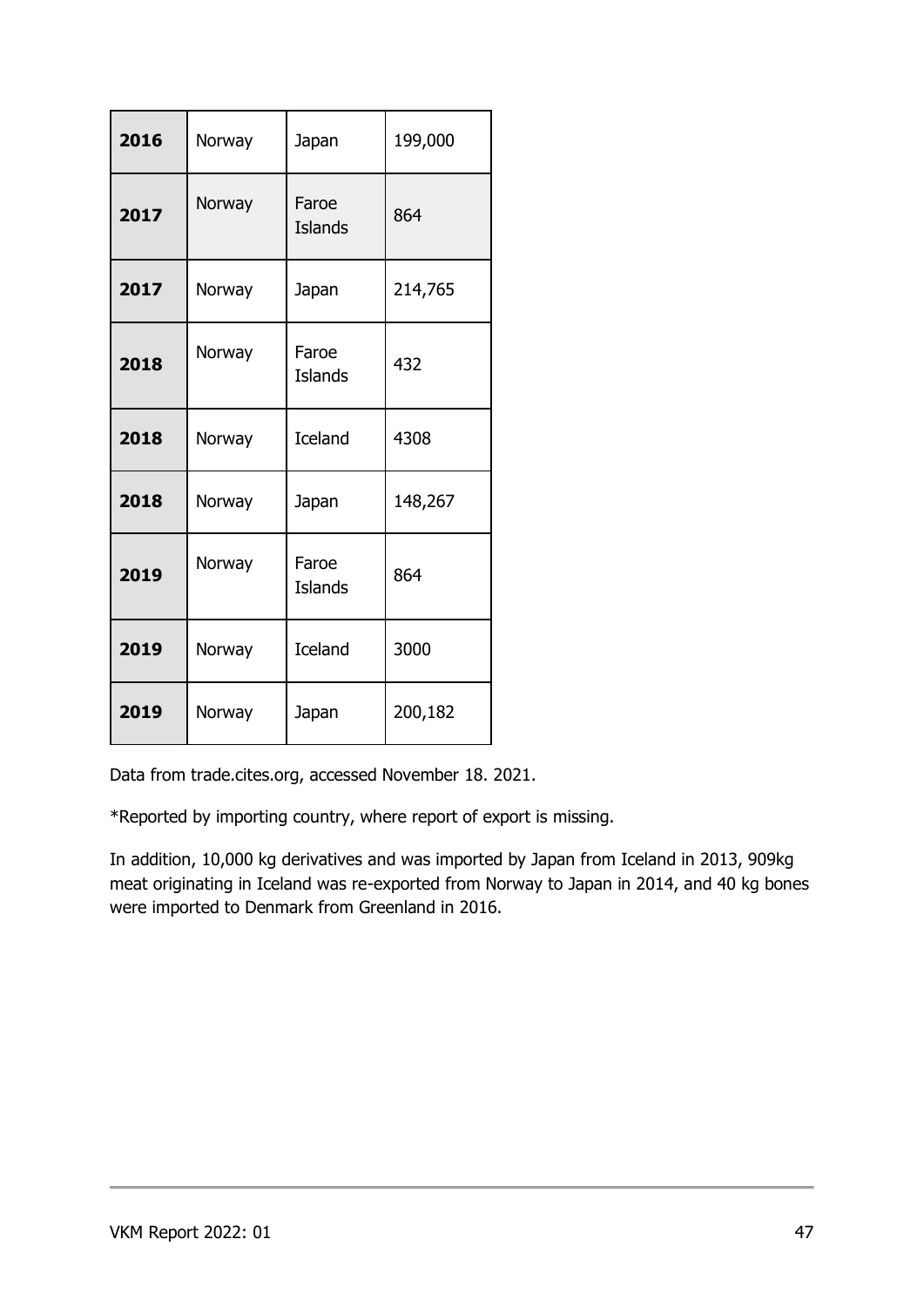| 2016 | Norway | Japan                   | 199,000 |
|------|--------|-------------------------|---------|
| 2017 | Norway | Faroe<br><b>Islands</b> | 864     |
| 2017 | Norway | Japan                   | 214,765 |
| 2018 | Norway | Faroe<br><b>Islands</b> | 432     |
| 2018 | Norway | <b>Iceland</b>          | 4308    |
| 2018 | Norway | Japan                   | 148,267 |
| 2019 | Norway | Faroe<br><b>Islands</b> | 864     |
| 2019 | Norway | <b>Iceland</b>          | 3000    |
| 2019 | Norway | Japan                   | 200,182 |

Data from trade.cites.org, accessed November 18. 2021.

\*Reported by importing country, where report of export is missing.

In addition, 10,000 kg derivatives and was imported by Japan from Iceland in 2013, 909kg meat originating in Iceland was re-exported from Norway to Japan in 2014, and 40 kg bones were imported to Denmark from Greenland in 2016.